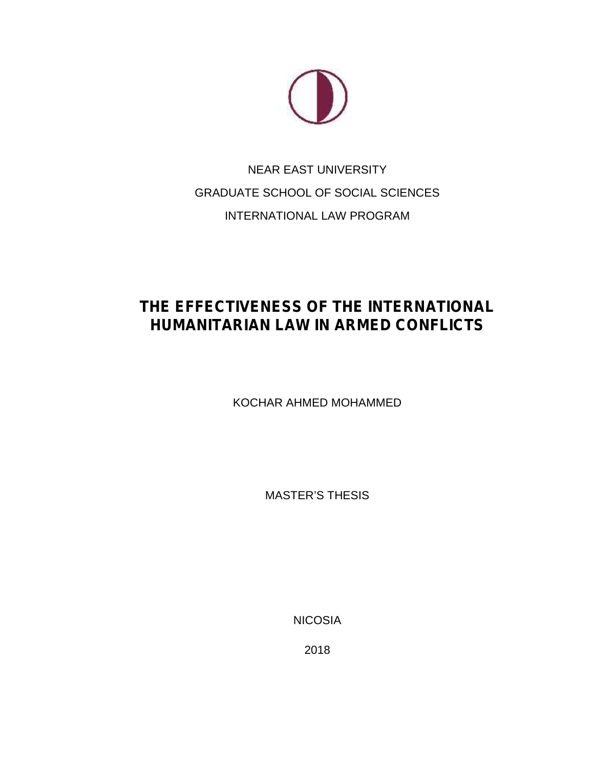

# NEAR EAST UNIVERSITY GRADUATE SCHOOL OF SOCIAL SCIENCES INTERNATIONAL LAW PROGRAM

# **THE EFFECTIVENESS OF THE INTERNATIONAL HUMANITARIAN LAW IN ARMED CONFLICTS**

KOCHAR AHMED MOHAMMED

MASTER'S THESIS

NICOSIA

2018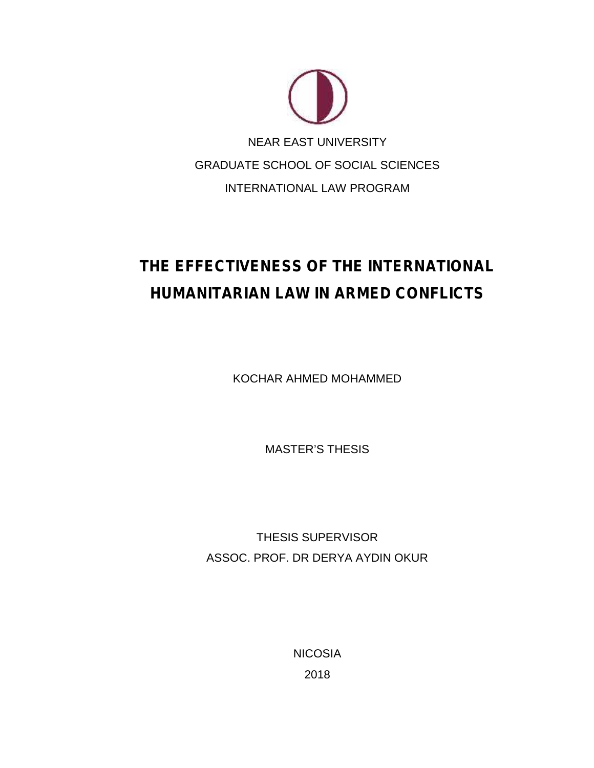

# **THE EFFECTIVENESS OF THE INTERNATIONAL HUMANITARIAN LAW IN ARMED CONFLICTS**

KOCHAR AHMED MOHAMMED

MASTER'S THESIS

THESIS SUPERVISOR ASSOC. PROF. DR DERYA AYDIN OKUR

> **NICOSIA** 2018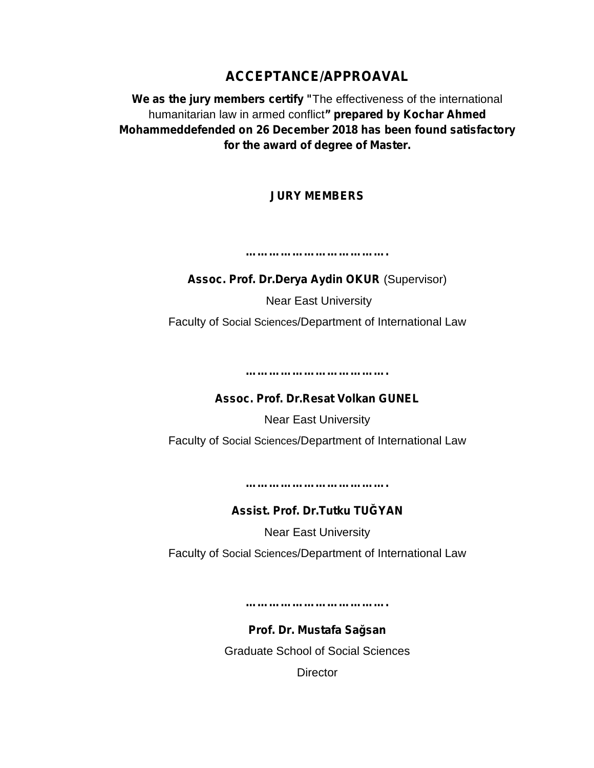### **ACCEPTANCE/APPROAVAL**

**We as the jury members certify "**The effectiveness of the international humanitarian law in armed conflict**" prepared by Kochar Ahmed Mohammeddefended on 26 December 2018 has been found satisfactory for the award of degree of Master.**

### **JURY MEMBERS**

**………………………………. Assoc. Prof. Dr.Derya Aydin OKUR** (Supervisor)

Near East University

Faculty of Social Sciences/Department of International Law

**……………………………….**

**Assoc. Prof. Dr.Resat Volkan GUNEL**

Near East University

Faculty of Social Sciences/Department of International Law

**……………………………….**

**Assist. Prof. Dr.Tutku TU YAN** 

Near East University

Faculty of Social Sciences/Department of International Law

**……………………………….**

**Prof. Dr. Mustafa Sağsan** Graduate School of Social Sciences **Director**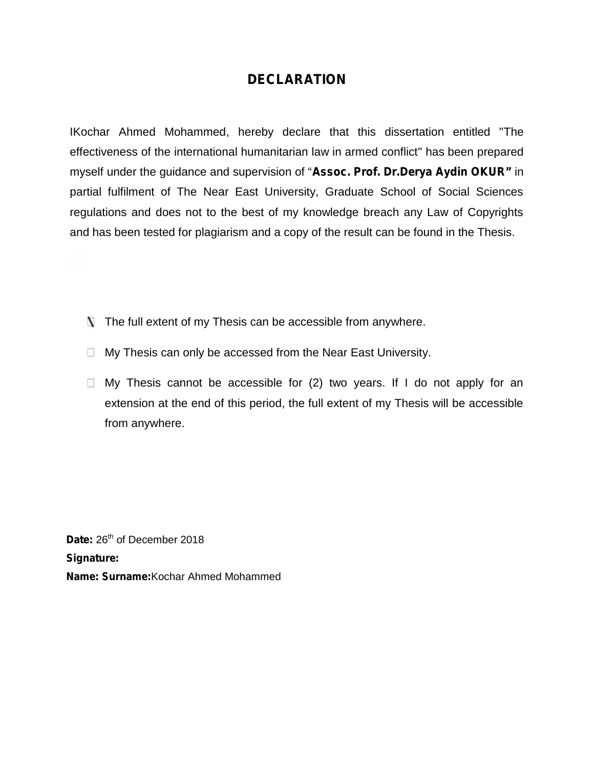### **DECLARATION**

IKochar Ahmed Mohammed, hereby declare that this dissertation entitled "The effectiveness of the international humanitarian law in armed conflict" has been prepared myself under the guidance and supervision of "**Assoc. Prof. Dr.Derya Aydin OKUR"** in partial fulfilment of The Near East University, Graduate School of Social Sciences regulations and does not to the best of my knowledge breach any Law of Copyrights and has been tested for plagiarism and a copy of the result can be found in the Thesis. Ahmed Mohammed, hereby declare that<br>ess of the international humanitarian law in ar<br>der the guidance and supervision of "**Assoc.** the guidance and supervision of "<br>
ent of The Near East University<br>
id does not to the best of my kr<br>
tested for plagiarism and a copy<br>
lextent of my Thesis can be acce<br>
sis can only be accessed from th<br>
esis cannot be acc

- $\blacksquare$  The full extent of my Thesis can be accessible from anywhere.
- $\Box$  My Thesis can only be accessed from the Near East University.
- $\Box$  My Thesis cannot be accessible for (2) two years. If I do not apply for an extension at the end of this period, the full extent of my Thesis will be accessible from anywhere. A The full extent of my Thesis can be accessible from anywhere.<br>
■ My Thesis can only be accessed from the Near East University.<br>
■ My Thesis cannot be accessed from the Near East University.<br>
■ My Thesis cannot be access

Date: 26<sup>th</sup> of December 2018 **Signature: Name: Surname:**Kochar Ahmed Mohammed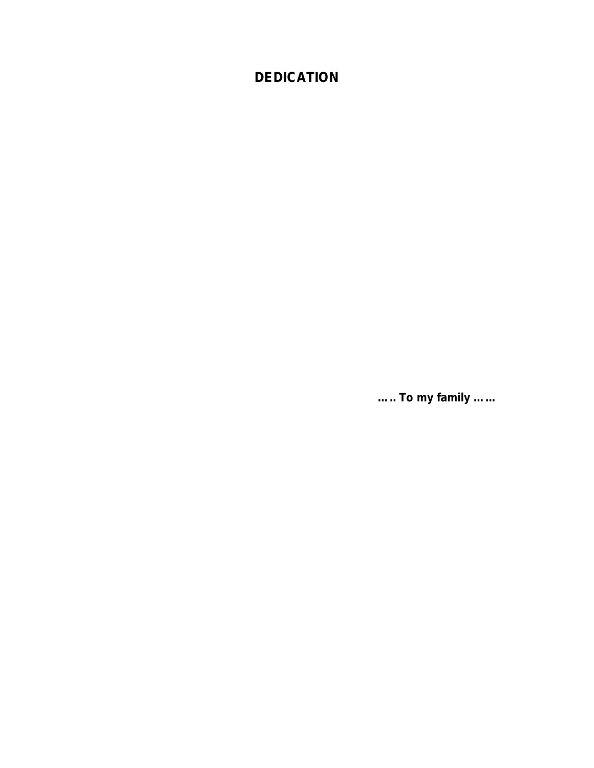### **DEDICATION**

*….. To my family …...*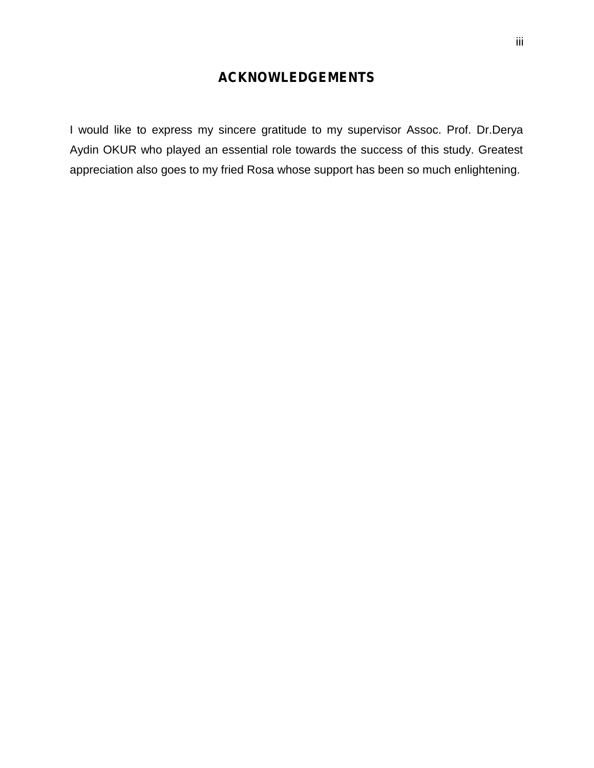### **ACKNOWLEDGEMENTS**

I would like to express my sincere gratitude to my supervisor Assoc. Prof. Dr.Derya Aydin OKUR who played an essential role towards the success of this study. Greatest appreciation also goes to my fried Rosa whose support has been so much enlightening.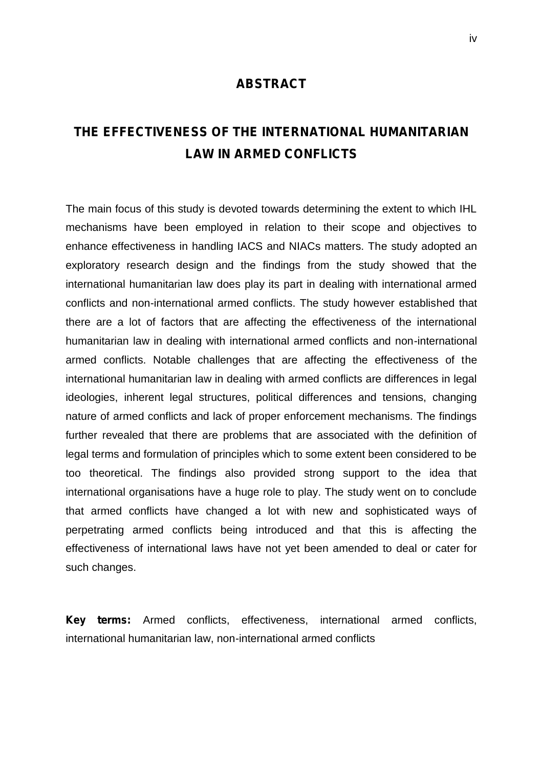#### **ABSTRACT**

## **THE EFFECTIVENESS OF THE INTERNATIONAL HUMANITARIAN LAW IN ARMED CONFLICTS**

The main focus of this study is devoted towards determining the extent to which IHL mechanisms have been employed in relation to their scope and objectives to enhance effectiveness in handling IACS and NIACs matters. The study adopted an exploratory research design and the findings from the study showed that the international humanitarian law does play its part in dealing with international armed conflicts and non-international armed conflicts. The study however established that there are a lot of factors that are affecting the effectiveness of the international humanitarian law in dealing with international armed conflicts and non-international armed conflicts. Notable challenges that are affecting the effectiveness of the international humanitarian law in dealing with armed conflicts are differences in legal ideologies, inherent legal structures, political differences and tensions, changing nature of armed conflicts and lack of proper enforcement mechanisms. The findings further revealed that there are problems that are associated with the definition of legal terms and formulation of principles which to some extent been considered to be too theoretical. The findings also provided strong support to the idea that international organisations have a huge role to play. The study went on to conclude that armed conflicts have changed a lot with new and sophisticated ways of perpetrating armed conflicts being introduced and that this is affecting the effectiveness of international laws have not yet been amended to deal or cater for such changes.

**Key terms:** Armed conflicts, effectiveness, international armed conflicts, international humanitarian law, non-international armed conflicts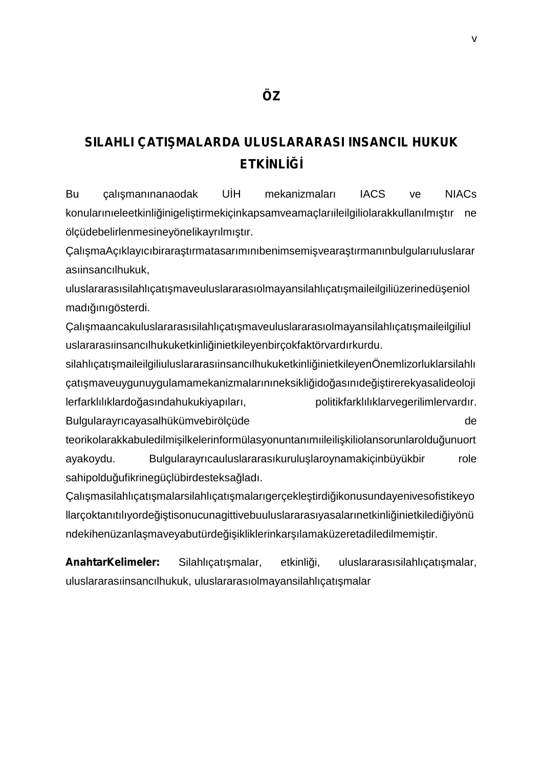### SILAHLI ÇATI MALARDA ULUSLARARASI INSANCIL HUKUK **ETK NL**

Bu çalı manınanaodak UH mekanizmaları IACS ve NIACs konularınıeleetkinli inigeli tirmekiçinkapsamveamaçlarıileilgiliolarakkullanılmı tır ne ölçüdebelirlenmesineyönelikayrılmı tır.

Çalı maAçıklayıcıbirara tırmatasarımınıbenimsemi veara tırmanınbulgularıuluslarar asıinsancılhukuk,

uluslararasısilahlıçatı maveuluslararasıolmayansilahlıçatı maileilgiliüzerinedü eniol madı inigösterdi.

Calı maancakuluslararasısilahlıcatı maveuluslararasıolmayansilahlıcatı maileilgiliul uslararasıinsancılhukuketkinli inietkileyenbircokfaktörvardırkurdu.

silahlıcatı maileilgiliuluslararasıinsancılhukuketkinli inietkileyenÖnemlizorluklarsilahlı çatı maveuygunuygulamamekanizmalarınıneksikli ido asınıde i tirerekyasalideoloji lerfarklılıklardo asındahukukiyapıları, politikfarklılıklarvegerilimlervardır. Bulgularayrıcayasalhükümvebirölçüde de

teorikolarakkabuledilmi ilkelerinformülasyonuntanımıileili kiliolansorunlaroldu unuort ayakoydu. Bulgularayrıcauluslararasıkurulu laroynamakiçinbüyükbir role sahipoldu ufikrinegüçlübirdesteksa ladı.

Calı masilahlıcatı malarsilahlıcatı malarıgercekle tirdi ikonusundayeniyesofistikeyo llarçoktanıtılıyorde i tisonucunagittivebuuluslararasıyasalarınetkinli inietkiledi iyönü ndekihenüzanla maveyabutürde i ikliklerinkar ılamaküzeretadiledilmemi tir.

AnahtarKelimeler: Silahlıçatı malar, etkinli i, uluslararasısilahlıçatı malar, uluslararasıinsancılhukuk, uluslararasıolmayansilahlıçatı malar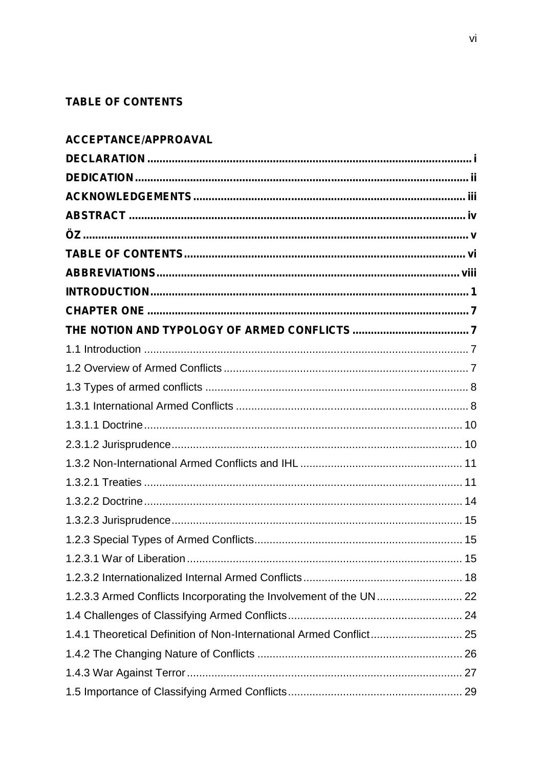### **TABLE OF CONTENTS**

| ACCEPTANCE/APPROAVAL                                                |  |
|---------------------------------------------------------------------|--|
|                                                                     |  |
|                                                                     |  |
|                                                                     |  |
|                                                                     |  |
|                                                                     |  |
|                                                                     |  |
|                                                                     |  |
|                                                                     |  |
|                                                                     |  |
|                                                                     |  |
|                                                                     |  |
|                                                                     |  |
|                                                                     |  |
|                                                                     |  |
|                                                                     |  |
|                                                                     |  |
|                                                                     |  |
|                                                                     |  |
|                                                                     |  |
|                                                                     |  |
|                                                                     |  |
|                                                                     |  |
|                                                                     |  |
|                                                                     |  |
|                                                                     |  |
| 1.4.1 Theoretical Definition of Non-International Armed Conflict 25 |  |
|                                                                     |  |
|                                                                     |  |
|                                                                     |  |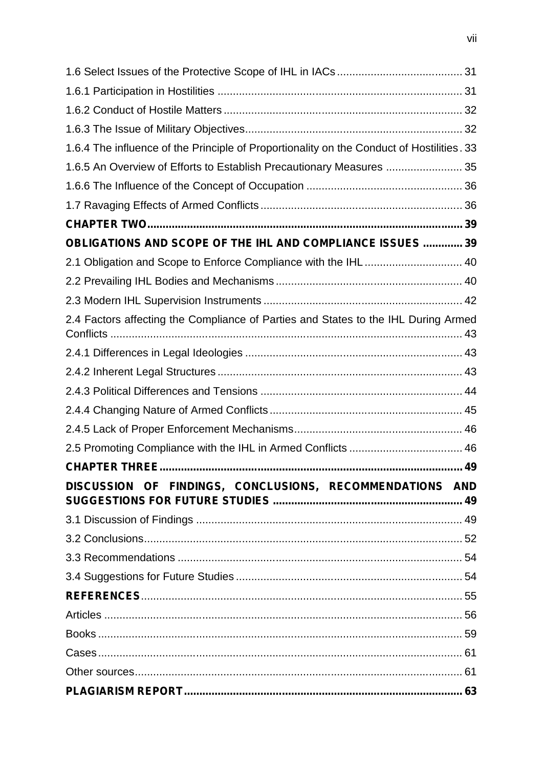| 1.6.4 The influence of the Principle of Proportionality on the Conduct of Hostilities. 33 |  |  |  |
|-------------------------------------------------------------------------------------------|--|--|--|
| 1.6.5 An Overview of Efforts to Establish Precautionary Measures  35                      |  |  |  |
|                                                                                           |  |  |  |
|                                                                                           |  |  |  |
|                                                                                           |  |  |  |
| OBLIGATIONS AND SCOPE OF THE IHL AND COMPLIANCE ISSUES  39                                |  |  |  |
| 2.1 Obligation and Scope to Enforce Compliance with the IHL 40                            |  |  |  |
|                                                                                           |  |  |  |
|                                                                                           |  |  |  |
| 2.4 Factors affecting the Compliance of Parties and States to the IHL During Armed        |  |  |  |
|                                                                                           |  |  |  |
|                                                                                           |  |  |  |
|                                                                                           |  |  |  |
|                                                                                           |  |  |  |
|                                                                                           |  |  |  |
| 2.5 Promoting Compliance with the IHL in Armed Conflicts  46                              |  |  |  |
|                                                                                           |  |  |  |
| DISCUSSION OF FINDINGS, CONCLUSIONS, RECOMMENDATIONS AND                                  |  |  |  |
|                                                                                           |  |  |  |
|                                                                                           |  |  |  |
|                                                                                           |  |  |  |
|                                                                                           |  |  |  |
|                                                                                           |  |  |  |
|                                                                                           |  |  |  |
|                                                                                           |  |  |  |
|                                                                                           |  |  |  |
|                                                                                           |  |  |  |
|                                                                                           |  |  |  |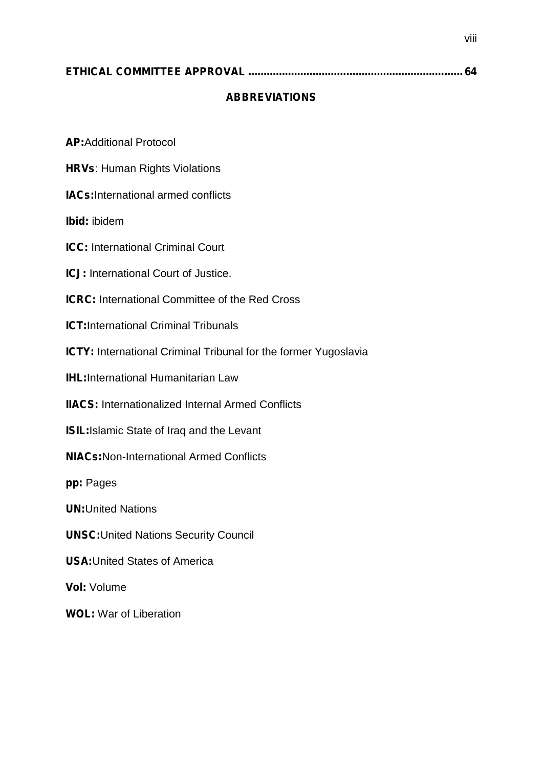|--|--|--|--|

#### **ABBREVIATIONS**

**AP:**Additional Protocol

**HRVs**: Human Rights Violations

**IACs:**International armed conflicts

**Ibid:** ibidem

**ICC:** International Criminal Court

**ICJ:** International Court of Justice.

**ICRC:** International Committee of the Red Cross

**ICT:**International Criminal Tribunals

**ICTY:** International Criminal Tribunal for the former Yugoslavia

**IHL:**International Humanitarian Law

**IIACS:** Internationalized Internal Armed Conflicts

**ISIL:**Islamic State of Iraq and the Levant

**NIACs:**Non-International Armed Conflicts

**pp:** Pages

**UN:**United Nations

**UNSC:**United Nations Security Council

**USA:**United States of America

**Vol:** Volume

**WOL:** War of Liberation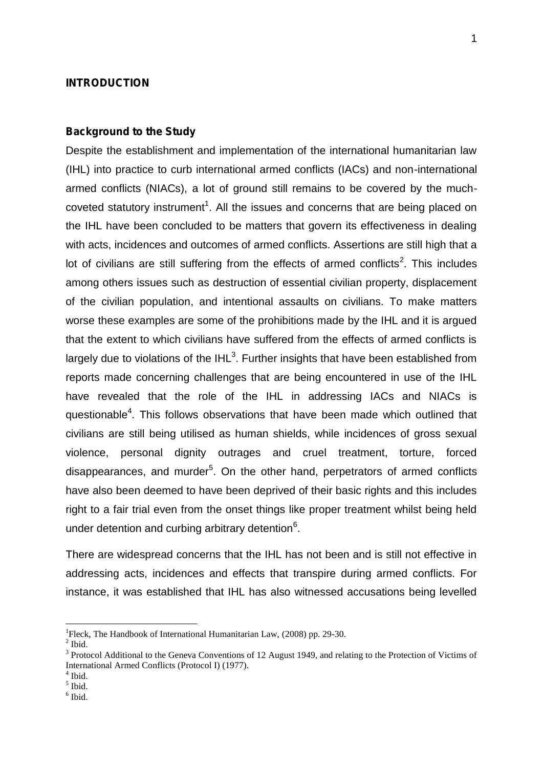#### **INTRODUCTION**

#### **Background to the Study**

Despite the establishment and implementation of the international humanitarian law (IHL) into practice to curb international armed conflicts (IACs) and non-international armed conflicts (NIACs), a lot of ground still remains to be covered by the much coveted statutory instrument<sup>1</sup>. All the issues and concerns that are being placed on the IHL have been concluded to be matters that govern its effectiveness in dealing with acts, incidences and outcomes of armed conflicts. Assertions are still high that a lot of civilians are still suffering from the effects of armed conflicts<sup>2</sup>. This includes among others issues such as destruction of essential civilian property, displacement of the civilian population, and intentional assaults on civilians. To make matters worse these examples are some of the prohibitions made by the IHL and it is argued that the extent to which civilians have suffered from the effects of armed conflicts is largely due to violations of the IHL $^3$ . Further insights that have been established from reports made concerning challenges that are being encountered in use of the IHL have revealed that the role of the IHL in addressing IACs and NIACs is questionable<sup>4</sup>. This follows observations that have been made which outlined that civilians are still being utilised as human shields, while incidences of gross sexual violence, personal dignity outrages and cruel treatment, torture, forced disappearances, and murder<sup>5</sup>. On the other hand, perpetrators of armed conflicts have also been deemed to have been deprived of their basic rights and this includes right to a fair trial even from the onset things like proper treatment whilst being held under detention and curbing arbitrary detention<sup>6</sup>.

There are widespread concerns that the IHL has not been and is still not effective in addressing acts, incidences and effects that transpire during armed conflicts. For instance, it was established that IHL has also witnessed accusations being levelled

<sup>&</sup>lt;sup>1</sup>Fleck, The Handbook of International Humanitarian Law, (2008) pp. 29-30.<br><sup>2</sup> Ibid. <sup>3</sup> Protocol Additional to the Geneva Conventions of 12 August 1949, and relating to the Protection of Victims of International Armed Conflicts (Protocol I) (1977).<br>
<sup>4</sup> Ibid.<br>
<sup>5</sup> Ibid.<br>
<sup>6</sup> Ibid.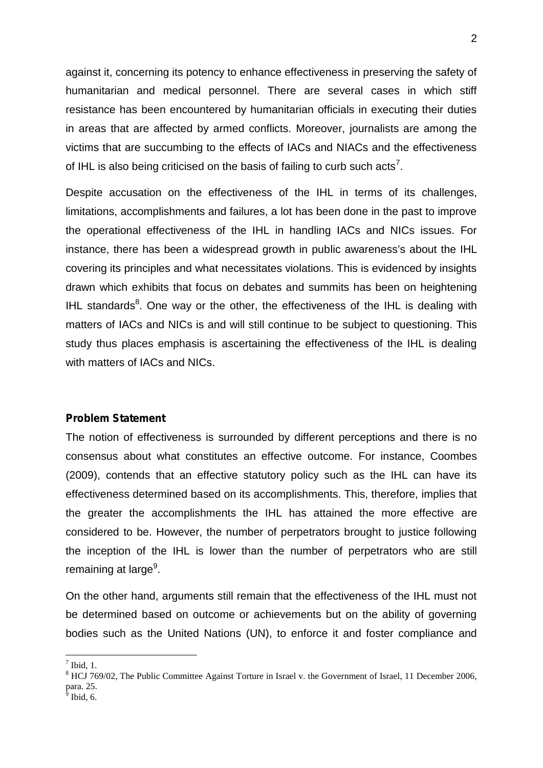against it, concerning its potency to enhance effectiveness in preserving the safety of humanitarian and medical personnel. There are several cases in which stiff resistance has been encountered by humanitarian officials in executing their duties in areas that are affected by armed conflicts. Moreover, journalists are among the victims that are succumbing to the effects of IACs and NIACs and the effectiveness of IHL is also being criticised on the basis of failing to curb such acts<sup>7</sup>.

Despite accusation on the effectiveness of the IHL in terms of its challenges, limitations, accomplishments and failures, a lot has been done in the past to improve the operational effectiveness of the IHL in handling IACs and NICs issues. For instance, there has been a widespread growth in public awareness's about the IHL covering its principles and what necessitates violations. This is evidenced by insights drawn which exhibits that focus on debates and summits has been on heightening IHL standards<sup>8</sup>. One way or the other, the effectiveness of the IHL is dealing with matters of IACs and NICs is and will still continue to be subject to questioning. This study thus places emphasis is ascertaining the effectiveness of the IHL is dealing with matters of IACs and NICs.

#### **Problem Statement**

The notion of effectiveness is surrounded by different perceptions and there is no consensus about what constitutes an effective outcome. For instance, Coombes (2009), contends that an effective statutory policy such as the IHL can have its effectiveness determined based on its accomplishments. This, therefore, implies that the greater the accomplishments the IHL has attained the more effective are considered to be. However, the number of perpetrators brought to justice following the inception of the IHL is lower than the number of perpetrators who are still remaining at large<sup>9</sup>.

On the other hand, arguments still remain that the effectiveness of the IHL must not be determined based on outcome or achievements but on the ability of governing bodies such as the United Nations (UN), to enforce it and foster compliance and

<sup>&</sup>lt;sup>7</sup> Ibid, 1.<br><sup>8</sup> HCJ 769/02, The Public Committee Against Torture in Israel v. the Government of Israel, 11 December 2006, para. 25.  $\frac{9}{9}$  Ibid, 6.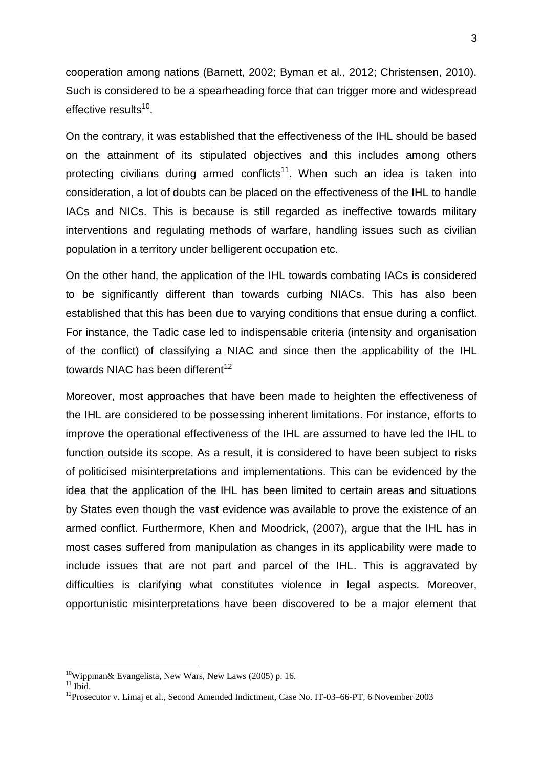cooperation among nations (Barnett, 2002; Byman et al., 2012; Christensen, 2010). Such is considered to be a spearheading force that can trigger more and widespread effective results<sup>10</sup>.

On the contrary, it was established that the effectiveness of the IHL should be based on the attainment of its stipulated objectives and this includes among others protecting civilians during armed conflicts<sup>11</sup>. When such an idea is taken into consideration, a lot of doubts can be placed on the effectiveness of the IHL to handle IACs and NICs. This is because is still regarded as ineffective towards military interventions and regulating methods of warfare, handling issues such as civilian population in a territory under belligerent occupation etc.

On the other hand, the application of the IHL towards combating IACs is considered to be significantly different than towards curbing NIACs. This has also been established that this has been due to varying conditions that ensue during a conflict. For instance, the Tadic case led to indispensable criteria (intensity and organisation of the conflict) of classifying a NIAC and since then the applicability of the IHL towards NIAC has been different $12$ 

Moreover, most approaches that have been made to heighten the effectiveness of the IHL are considered to be possessing inherent limitations. For instance, efforts to improve the operational effectiveness of the IHL are assumed to have led the IHL to function outside its scope. As a result, it is considered to have been subject to risks of politicised misinterpretations and implementations. This can be evidenced by the idea that the application of the IHL has been limited to certain areas and situations by States even though the vast evidence was available to prove the existence of an armed conflict. Furthermore, Khen and Moodrick, (2007), argue that the IHL has in most cases suffered from manipulation as changes in its applicability were made to include issues that are not part and parcel of the IHL. This is aggravated by difficulties is clarifying what constitutes violence in legal aspects. Moreover, opportunistic misinterpretations have been discovered to be a major element that

<sup>&</sup>lt;sup>10</sup>Wippman& Evangelista, New Wars, New Laws (2005) p. 16.<br><sup>11</sup> Ibid. <sup>12</sup>Prosecutor v. Limaj et al., Second Amended Indictment, Case No. IT-03–66-PT, 6 November 2003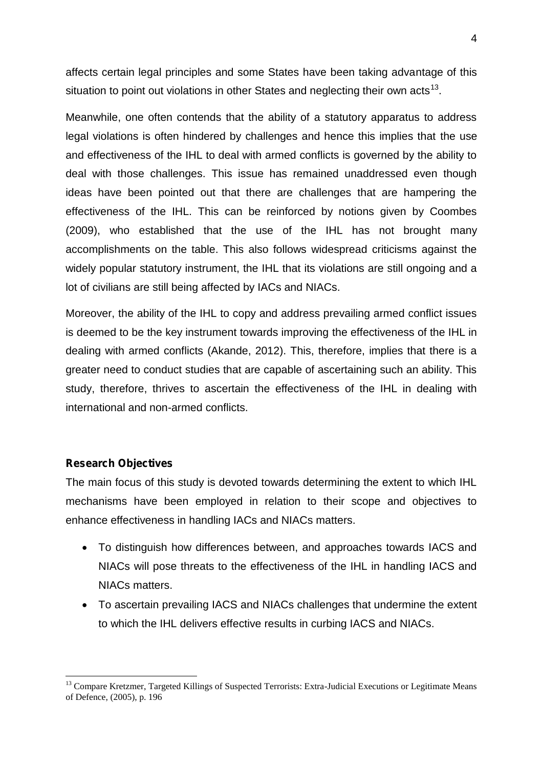affects certain legal principles and some States have been taking advantage of this situation to point out violations in other States and neglecting their own acts<sup>13</sup>.

Meanwhile, one often contends that the ability of a statutory apparatus to address legal violations is often hindered by challenges and hence this implies that the use and effectiveness of the IHL to deal with armed conflicts is governed by the ability to deal with those challenges. This issue has remained unaddressed even though ideas have been pointed out that there are challenges that are hampering the effectiveness of the IHL. This can be reinforced by notions given by Coombes (2009), who established that the use of the IHL has not brought many accomplishments on the table. This also follows widespread criticisms against the widely popular statutory instrument, the IHL that its violations are still ongoing and a lot of civilians are still being affected by IACs and NIACs.

Moreover, the ability of the IHL to copy and address prevailing armed conflict issues is deemed to be the key instrument towards improving the effectiveness of the IHL in dealing with armed conflicts (Akande, 2012). This, therefore, implies that there is a greater need to conduct studies that are capable of ascertaining such an ability. This study, therefore, thrives to ascertain the effectiveness of the IHL in dealing with international and non-armed conflicts.

#### **Research Objectives**

The main focus of this study is devoted towards determining the extent to which IHL mechanisms have been employed in relation to their scope and objectives to enhance effectiveness in handling IACs and NIACs matters.

- To distinguish how differences between, and approaches towards IACS and NIACs will pose threats to the effectiveness of the IHL in handling IACS and NIACs matters.
- To ascertain prevailing IACS and NIACs challenges that undermine the extent to which the IHL delivers effective results in curbing IACS and NIACs.

<sup>&</sup>lt;sup>13</sup> Compare Kretzmer, Targeted Killings of Suspected Terrorists: Extra-Judicial Executions or Legitimate Means of Defence, (2005), p. 196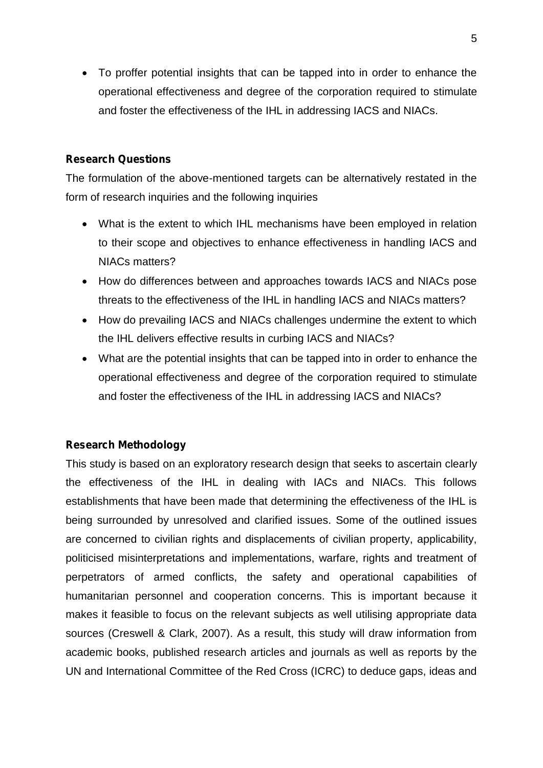To proffer potential insights that can be tapped into in order to enhance the operational effectiveness and degree of the corporation required to stimulate and foster the effectiveness of the IHL in addressing IACS and NIACs.

#### **Research Questions**

The formulation of the above-mentioned targets can be alternatively restated in the form of research inquiries and the following inquiries

- What is the extent to which IHL mechanisms have been employed in relation to their scope and objectives to enhance effectiveness in handling IACS and NIACs matters?
- How do differences between and approaches towards IACS and NIACs pose threats to the effectiveness of the IHL in handling IACS and NIACs matters?
- How do prevailing IACS and NIACs challenges undermine the extent to which the IHL delivers effective results in curbing IACS and NIACs?
- What are the potential insights that can be tapped into in order to enhance the operational effectiveness and degree of the corporation required to stimulate and foster the effectiveness of the IHL in addressing IACS and NIACs?

#### **Research Methodology**

This study is based on an exploratory research design that seeks to ascertain clearly the effectiveness of the IHL in dealing with IACs and NIACs. This follows establishments that have been made that determining the effectiveness of the IHL is being surrounded by unresolved and clarified issues. Some of the outlined issues are concerned to civilian rights and displacements of civilian property, applicability, politicised misinterpretations and implementations, warfare, rights and treatment of perpetrators of armed conflicts, the safety and operational capabilities of humanitarian personnel and cooperation concerns. This is important because it makes it feasible to focus on the relevant subjects as well utilising appropriate data sources (Creswell & Clark, 2007). As a result, this study will draw information from academic books, published research articles and journals as well as reports by the UN and International Committee of the Red Cross (ICRC) to deduce gaps, ideas and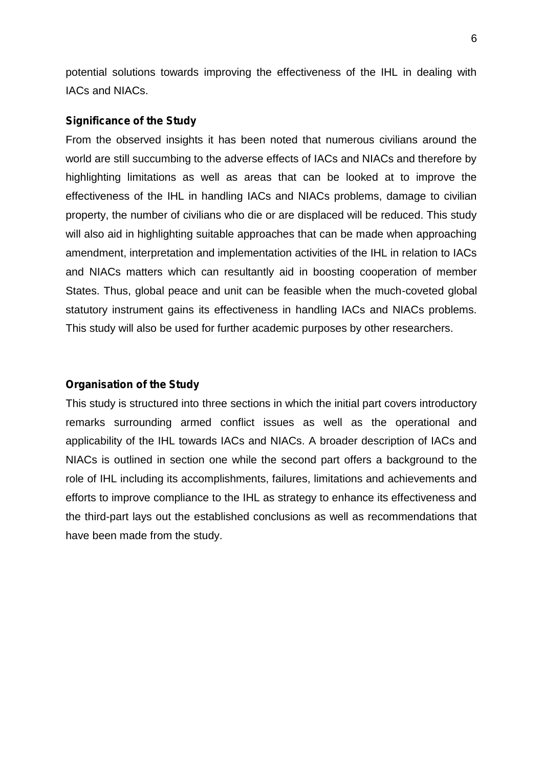potential solutions towards improving the effectiveness of the IHL in dealing with IACs and NIACs.

#### **Significance of the Study**

From the observed insights it has been noted that numerous civilians around the world are still succumbing to the adverse effects of IACs and NIACs and therefore by highlighting limitations as well as areas that can be looked at to improve the effectiveness of the IHL in handling IACs and NIACs problems, damage to civilian property, the number of civilians who die or are displaced will be reduced. This study will also aid in highlighting suitable approaches that can be made when approaching amendment, interpretation and implementation activities of the IHL in relation to IACs and NIACs matters which can resultantly aid in boosting cooperation of member States. Thus, global peace and unit can be feasible when the much-coveted global statutory instrument gains its effectiveness in handling IACs and NIACs problems. This study will also be used for further academic purposes by other researchers.

#### **Organisation of the Study**

This study is structured into three sections in which the initial part covers introductory remarks surrounding armed conflict issues as well as the operational and applicability of the IHL towards IACs and NIACs. A broader description of IACs and NIACs is outlined in section one while the second part offers a background to the role of IHL including its accomplishments, failures, limitations and achievements and efforts to improve compliance to the IHL as strategy to enhance its effectiveness and the third-part lays out the established conclusions as well as recommendations that have been made from the study.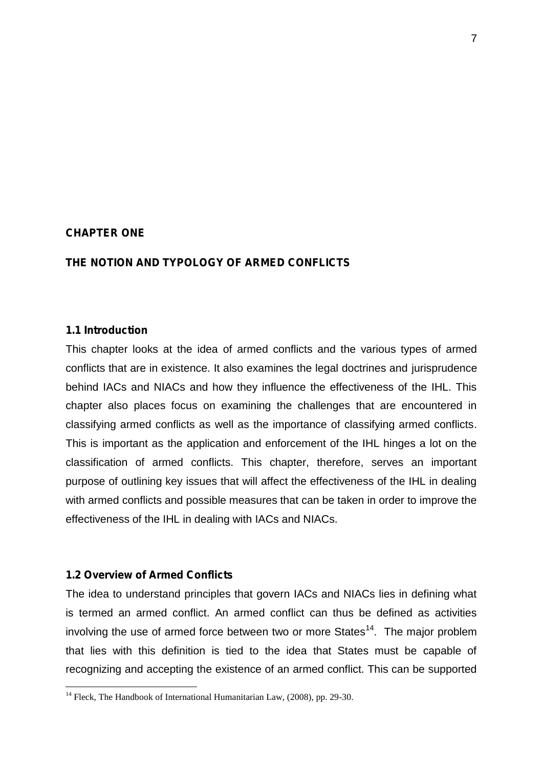#### **CHAPTER ONE**

#### **THE NOTION AND TYPOLOGY OF ARMED CONFLICTS**

#### **1.1 Introduction**

This chapter looks at the idea of armed conflicts and the various types of armed conflicts that are in existence. It also examines the legal doctrines and jurisprudence behind IACs and NIACs and how they influence the effectiveness of the IHL. This chapter also places focus on examining the challenges that are encountered in classifying armed conflicts as well as the importance of classifying armed conflicts. This is important as the application and enforcement of the IHL hinges a lot on the classification of armed conflicts. This chapter, therefore, serves an important purpose of outlining key issues that will affect the effectiveness of the IHL in dealing with armed conflicts and possible measures that can be taken in order to improve the effectiveness of the IHL in dealing with IACs and NIACs.

#### **1.2 Overview of Armed Conflicts**

The idea to understand principles that govern IACs and NIACs lies in defining what is termed an armed conflict. An armed conflict can thus be defined as activities involving the use of armed force between two or more States<sup>14</sup>. The major problem that lies with this definition is tied to the idea that States must be capable of recognizing and accepting the existence of an armed conflict. This can be supported

<sup>&</sup>lt;sup>14</sup> Fleck, The Handbook of International Humanitarian Law,  $(2008)$ , pp. 29-30.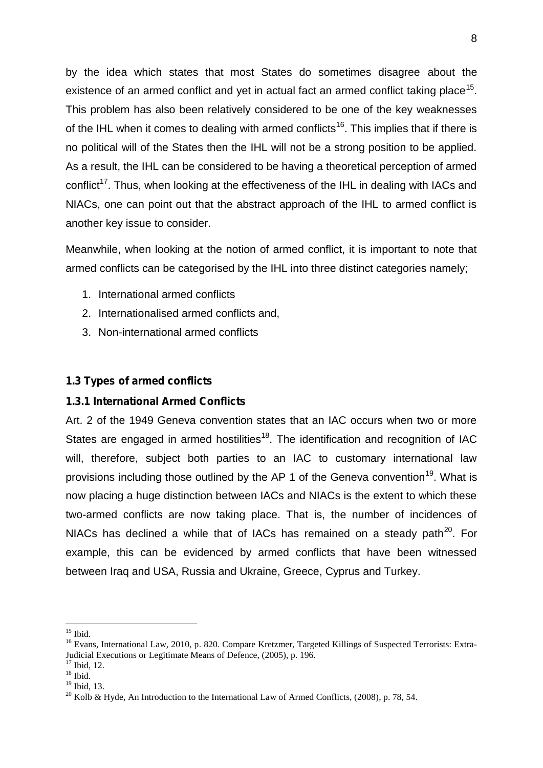by the idea which states that most States do sometimes disagree about the existence of an armed conflict and yet in actual fact an armed conflict taking place<sup>15</sup>. This problem has also been relatively considered to be one of the key weaknesses of the IHL when it comes to dealing with armed conflicts<sup>16</sup>. This implies that if there is no political will of the States then the IHL will not be a strong position to be applied. As a result, the IHL can be considered to be having a theoretical perception of armed conflict<sup>17</sup>. Thus, when looking at the effectiveness of the IHL in dealing with IACs and NIACs, one can point out that the abstract approach of the IHL to armed conflict is another key issue to consider.

Meanwhile, when looking at the notion of armed conflict, it is important to note that armed conflicts can be categorised by the IHL into three distinct categories namely;

- 1. International armed conflicts
- 2. Internationalised armed conflicts and,
- 3. Non-international armed conflicts

#### **1.3 Types of armed conflicts**

#### **1.3.1 International Armed Conflicts**

Art. 2 of the 1949 Geneva convention states that an IAC occurs when two or more States are engaged in armed hostilities<sup>18</sup>. The identification and recognition of IAC will, therefore, subject both parties to an IAC to customary international law provisions including those outlined by the AP 1 of the Geneva convention<sup>19</sup>. What is now placing a huge distinction between IACs and NIACs is the extent to which these two-armed conflicts are now taking place. That is, the number of incidences of NIACs has declined a while that of IACs has remained on a steady path<sup>20</sup>. For example, this can be evidenced by armed conflicts that have been witnessed between Iraq and USA, Russia and Ukraine, Greece, Cyprus and Turkey.

<sup>&</sup>lt;sup>15</sup> Ibid.<br><sup>16</sup> Evans, International Law, 2010, p. 820. Compare Kretzmer, Targeted Killings of Suspected Terrorists: Extra-Judicial Executions or Legitimate Means of Defence, (2005), p. 196.<br>
<sup>17</sup> Ibid, 12.<br>
<sup>18</sup> Ibid. 13.

<sup>&</sup>lt;sup>20</sup> Kolb & Hyde, An Introduction to the International Law of Armed Conflicts, (2008), p. 78, 54.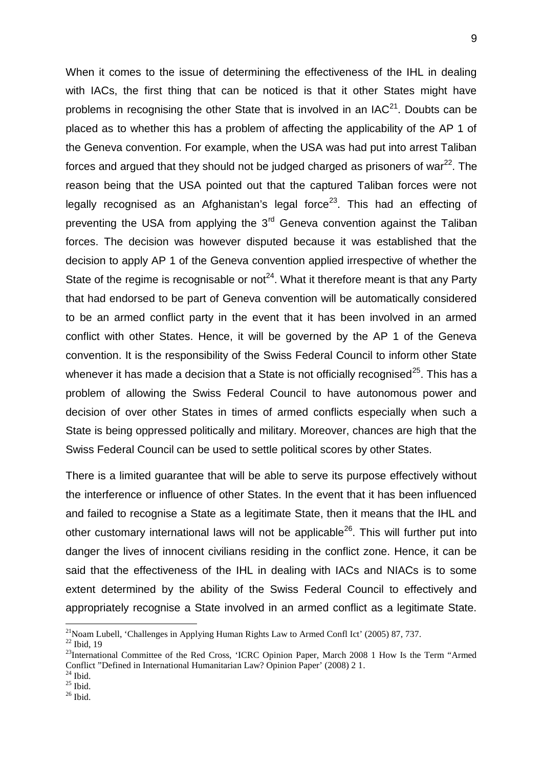When it comes to the issue of determining the effectiveness of the IHL in dealing with IACs, the first thing that can be noticed is that it other States might have problems in recognising the other State that is involved in an  $IAC<sup>21</sup>$ . Doubts can be placed as to whether this has a problem of affecting the applicability of the AP 1 of the Geneva convention. For example, when the USA was had put into arrest Taliban forces and argued that they should not be judged charged as prisoners of war $^{22}$ . The reason being that the USA pointed out that the captured Taliban forces were not legally recognised as an Afghanistan's legal force<sup>23</sup>. This had an effecting of preventing the USA from applying the  $3<sup>rd</sup>$  Geneva convention against the Taliban forces. The decision was however disputed because it was established that the decision to apply AP 1 of the Geneva convention applied irrespective of whether the State of the regime is recognisable or not<sup>24</sup>. What it therefore meant is that any Party that had endorsed to be part of Geneva convention will be automatically considered to be an armed conflict party in the event that it has been involved in an armed conflict with other States. Hence, it will be governed by the AP 1 of the Geneva convention. It is the responsibility of the Swiss Federal Council to inform other State whenever it has made a decision that a State is not officially recognised<sup>25</sup>. This has a problem of allowing the Swiss Federal Council to have autonomous power and decision of over other States in times of armed conflicts especially when such a State is being oppressed politically and military. Moreover, chances are high that the Swiss Federal Council can be used to settle political scores by other States.

There is a limited guarantee that will be able to serve its purpose effectively without the interference or influence of other States. In the event that it has been influenced and failed to recognise a State as a legitimate State, then it means that the IHL and other customary international laws will not be applicable<sup>26</sup>. This will further put into danger the lives of innocent civilians residing in the conflict zone. Hence, it can be said that the effectiveness of the IHL in dealing with IACs and NIACs is to some extent determined by the ability of the Swiss Federal Council to effectively and appropriately recognise a State involved in an armed conflict as a legitimate State.

<sup>&</sup>lt;sup>21</sup>Noam Lubell, 'Challenges in Applying Human Rights Law to Armed Confl Ict' (2005) 87, 737.<br><sup>22</sup> Ibid 19

<sup>&</sup>lt;sup>23</sup>International Committee of the Red Cross, 'ICRC Opinion Paper, March 2008 1 How Is the Term "Armed" Conflict "Defined in International Humanitarian Law? Opinion Paper' (2008) 2 1.<br><sup>24</sup> Ibid. <sup>25</sup> Ibid. <sup>25</sup> Ibid.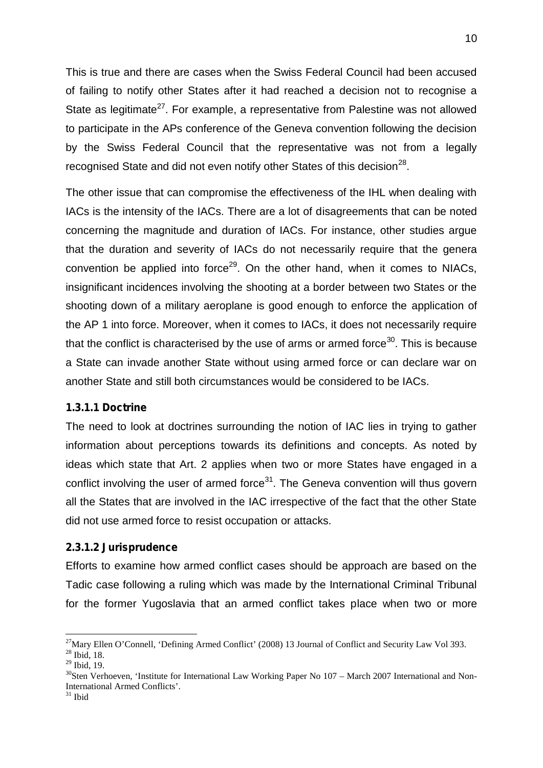This is true and there are cases when the Swiss Federal Council had been accused of failing to notify other States after it had reached a decision not to recognise a State as legitimate<sup>27</sup>. For example, a representative from Palestine was not allowed to participate in the APs conference of the Geneva convention following the decision by the Swiss Federal Council that the representative was not from a legally recognised State and did not even notify other States of this decision<sup>28</sup>.

The other issue that can compromise the effectiveness of the IHL when dealing with IACs is the intensity of the IACs. There are a lot of disagreements that can be noted concerning the magnitude and duration of IACs. For instance, other studies argue that the duration and severity of IACs do not necessarily require that the genera convention be applied into force<sup>29</sup>. On the other hand, when it comes to NIACs, insignificant incidences involving the shooting at a border between two States or the shooting down of a military aeroplane is good enough to enforce the application of the AP 1 into force. Moreover, when it comes to IACs, it does not necessarily require that the conflict is characterised by the use of arms or armed force $30$ . This is because a State can invade another State without using armed force or can declare war on another State and still both circumstances would be considered to be IACs.

#### **1.3.1.1 Doctrine**

The need to look at doctrines surrounding the notion of IAC lies in trying to gather information about perceptions towards its definitions and concepts. As noted by ideas which state that Art. 2 applies when two or more States have engaged in a conflict involving the user of armed force<sup>31</sup>. The Geneva convention will thus govern all the States that are involved in the IAC irrespective of the fact that the other State did not use armed force to resist occupation or attacks.

#### **2.3.1.2 Jurisprudence**

Efforts to examine how armed conflict cases should be approach are based on the Tadic case following a ruling which was made by the International Criminal Tribunal for the former Yugoslavia that an armed conflict takes place when two or more

<sup>&</sup>lt;sup>27</sup>Mary Ellen O'Connell, 'Defining Armed Conflict' (2008) 13 Journal of Conflict and Security Law Vol 393.<br><sup>28</sup> Ibid, 18.<br><sup>29</sup> Ibid. 19.

 $30$ Sten Verhoeven, 'Institute for International Law Working Paper No 107 – March 2007 International and Non-International Armed Conflicts'. <sup>31</sup> Ibid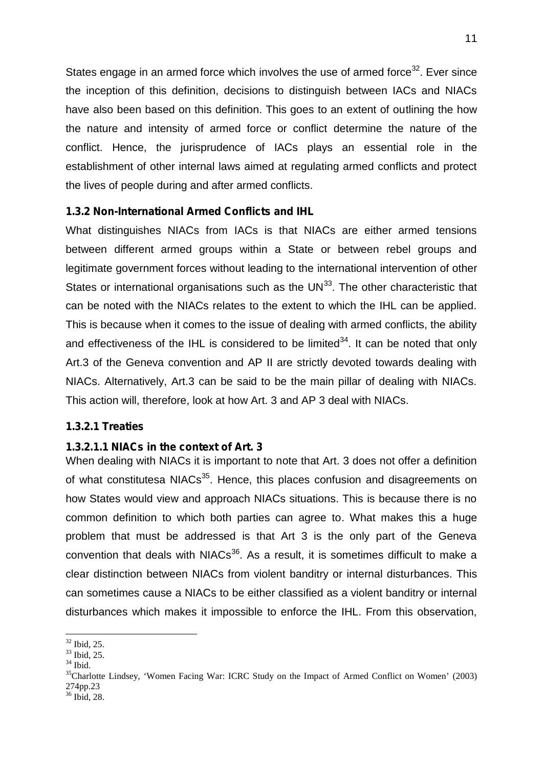States engage in an armed force which involves the use of armed force<sup>32</sup>. Ever since the inception of this definition, decisions to distinguish between IACs and NIACs have also been based on this definition. This goes to an extent of outlining the how the nature and intensity of armed force or conflict determine the nature of the conflict. Hence, the jurisprudence of IACs plays an essential role in the establishment of other internal laws aimed at regulating armed conflicts and protect the lives of people during and after armed conflicts.

#### **1.3.2 Non-International Armed Conflicts and IHL**

What distinguishes NIACs from IACs is that NIACs are either armed tensions between different armed groups within a State or between rebel groups and legitimate government forces without leading to the international intervention of other States or international organisations such as the  $UN<sup>33</sup>$ . The other characteristic that can be noted with the NIACs relates to the extent to which the IHL can be applied. This is because when it comes to the issue of dealing with armed conflicts, the ability and effectiveness of the IHL is considered to be limited<sup>34</sup>. It can be noted that only Art.3 of the Geneva convention and AP II are strictly devoted towards dealing with NIACs. Alternatively, Art.3 can be said to be the main pillar of dealing with NIACs. This action will, therefore, look at how Art. 3 and AP 3 deal with NIACs.

#### **1.3.2.1 Treaties**

#### **1.3.2.1.1 NIACs in the context of Art. 3**

When dealing with NIACs it is important to note that Art. 3 does not offer a definition of what constitutesa NIACs<sup>35</sup>. Hence, this places confusion and disagreements on how States would view and approach NIACs situations. This is because there is no common definition to which both parties can agree to. What makes this a huge problem that must be addressed is that Art 3 is the only part of the Geneva convention that deals with  $N_1ACs^{36}$ . As a result, it is sometimes difficult to make a clear distinction between NIACs from violent banditry or internal disturbances. This can sometimes cause a NIACs to be either classified as a violent banditry or internal disturbances which makes it impossible to enforce the IHL. From this observation,

<sup>&</sup>lt;sup>32</sup> Ibid, 25.<br><sup>33</sup> Ibid, 25.<br><sup>34</sup> Ibid. <sup>35</sup>Charlotte Lindsey, 'Women Facing War: ICRC Study on the Impact of Armed Conflict on Women' (2003) 274pp.23

<sup>36</sup> Ibid, 28.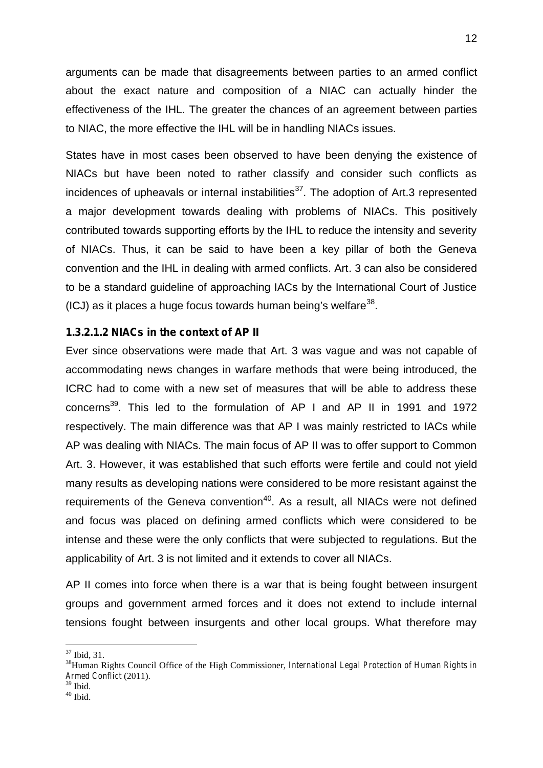arguments can be made that disagreements between parties to an armed conflict about the exact nature and composition of a NIAC can actually hinder the effectiveness of the IHL. The greater the chances of an agreement between parties to NIAC, the more effective the IHL will be in handling NIACs issues.

States have in most cases been observed to have been denying the existence of NIACs but have been noted to rather classify and consider such conflicts as incidences of upheavals or internal instabilities $37$ . The adoption of Art.3 represented a major development towards dealing with problems of NIACs. This positively contributed towards supporting efforts by the IHL to reduce the intensity and severity of NIACs. Thus, it can be said to have been a key pillar of both the Geneva convention and the IHL in dealing with armed conflicts. Art. 3 can also be considered to be a standard guideline of approaching IACs by the International Court of Justice (ICJ) as it places a huge focus towards human being's welfare $^{38}$ .

#### **1.3.2.1.2 NIACs in the context of AP II**

Ever since observations were made that Art. 3 was vague and was not capable of accommodating news changes in warfare methods that were being introduced, the ICRC had to come with a new set of measures that will be able to address these concerns<sup>39</sup>. This led to the formulation of AP I and AP II in 1991 and 1972 respectively. The main difference was that AP I was mainly restricted to IACs while AP was dealing with NIACs. The main focus of AP II was to offer support to Common Art. 3. However, it was established that such efforts were fertile and could not yield many results as developing nations were considered to be more resistant against the requirements of the Geneva convention<sup>40</sup>. As a result, all NIACs were not defined and focus was placed on defining armed conflicts which were considered to be intense and these were the only conflicts that were subjected to regulations. But the applicability of Art. 3 is not limited and it extends to cover all NIACs.

AP II comes into force when there is a war that is being fought between insurgent groups and government armed forces and it does not extend to include internal tensions fought between insurgents and other local groups. What therefore may

<sup>&</sup>lt;sup>37</sup> Ibid, 31.<br><sup>38</sup>Human Rights Council Office of the High Commissioner, *International Legal Protection of Human Rights in Armed Conflict* (2011).

 $^{40}$  Ibid.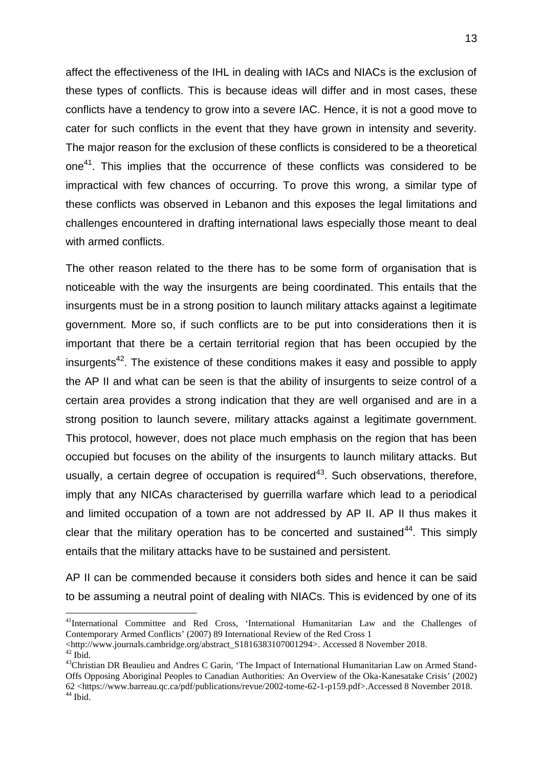affect the effectiveness of the IHL in dealing with IACs and NIACs is the exclusion of these types of conflicts. This is because ideas will differ and in most cases, these conflicts have a tendency to grow into a severe IAC. Hence, it is not a good move to cater for such conflicts in the event that they have grown in intensity and severity. The major reason for the exclusion of these conflicts is considered to be a theoretical one<sup>41</sup>. This implies that the occurrence of these conflicts was considered to be impractical with few chances of occurring. To prove this wrong, a similar type of these conflicts was observed in Lebanon and this exposes the legal limitations and challenges encountered in drafting international laws especially those meant to deal with armed conflicts.

The other reason related to the there has to be some form of organisation that is noticeable with the way the insurgents are being coordinated. This entails that the insurgents must be in a strong position to launch military attacks against a legitimate government. More so, if such conflicts are to be put into considerations then it is important that there be a certain territorial region that has been occupied by the insurgents<sup>42</sup>. The existence of these conditions makes it easy and possible to apply the AP II and what can be seen is that the ability of insurgents to seize control of a certain area provides a strong indication that they are well organised and are in a strong position to launch severe, military attacks against a legitimate government. This protocol, however, does not place much emphasis on the region that has been occupied but focuses on the ability of the insurgents to launch military attacks. But usually, a certain degree of occupation is required<sup>43</sup>. Such observations, therefore, imply that any NICAs characterised by guerrilla warfare which lead to a periodical and limited occupation of a town are not addressed by AP II. AP II thus makes it clear that the military operation has to be concerted and sustained<sup>44</sup>. This simply entails that the military attacks have to be sustained and persistent.

AP II can be commended because it considers both sides and hence it can be said to be assuming a neutral point of dealing with NIACs. This is evidenced by one of its

<sup>41</sup>International Committee and Red Cross, 'International Humanitarian Law and the Challenges of Contemporary Armed Conflicts' (2007) 89 International Review of the Red Cross 1<br>
<http://www.journals.cambridge.org/abstract S1816383107001294>. Accessed 8 November 2018.

<sup>&</sup>lt;sup>42</sup> Ibid.<br><sup>43</sup>Christian DR Beaulieu and Andres C Garin, 'The Impact of International Humanitarian Law on Armed Stand-Offs Opposing Aboriginal Peoples to Canadian Authorities: An Overview of the Oka-Kanesatake Crisis' (2002) 62 <https://www.barreau.qc.ca/pdf/publications/revue/2002-tome-62-1-p159.pdf>.Accessed 8 November 2018. <sup>44</sup> Ibid.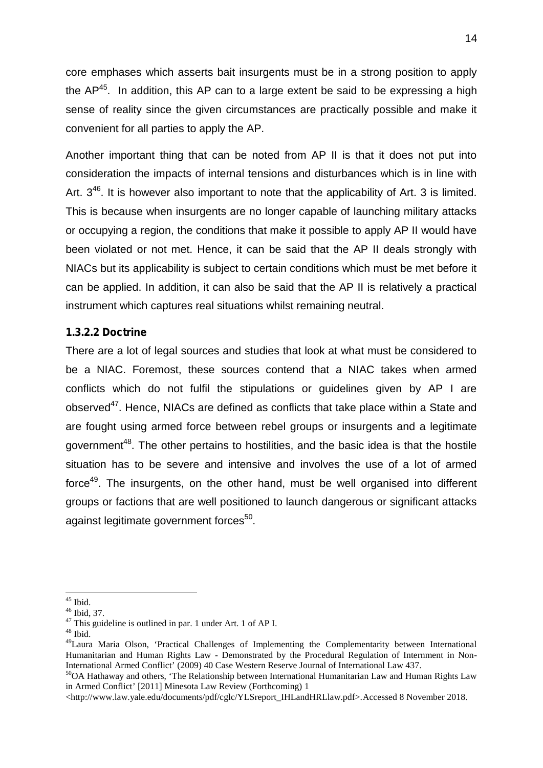core emphases which asserts bait insurgents must be in a strong position to apply the  $AP^{45}$ . In addition, this AP can to a large extent be said to be expressing a high sense of reality since the given circumstances are practically possible and make it convenient for all parties to apply the AP.

Another important thing that can be noted from AP II is that it does not put into consideration the impacts of internal tensions and disturbances which is in line with Art.  $3^{46}$ . It is however also important to note that the applicability of Art. 3 is limited. This is because when insurgents are no longer capable of launching military attacks or occupying a region, the conditions that make it possible to apply AP II would have been violated or not met. Hence, it can be said that the AP II deals strongly with NIACs but its applicability is subject to certain conditions which must be met before it can be applied. In addition, it can also be said that the AP II is relatively a practical instrument which captures real situations whilst remaining neutral.

#### **1.3.2.2 Doctrine**

There are a lot of legal sources and studies that look at what must be considered to be a NIAC. Foremost, these sources contend that a NIAC takes when armed conflicts which do not fulfil the stipulations or guidelines given by AP I are observed<sup>47</sup>. Hence, NIACs are defined as conflicts that take place within a State and are fought using armed force between rebel groups or insurgents and a legitimate government<sup>48</sup>. The other pertains to hostilities, and the basic idea is that the hostile situation has to be severe and intensive and involves the use of a lot of armed force<sup>49</sup>. The insurgents, on the other hand, must be well organised into different groups or factions that are well positioned to launch dangerous or significant attacks against legitimate government forces<sup>50</sup>.

<sup>&</sup>lt;sup>45</sup> Ibid.  $46$  Ibid, 37.<br><sup>47</sup> This guideline is outlined in par. 1 under Art. 1 of AP I.  $48$  Ibid.

<sup>&</sup>lt;sup>49</sup>Laura Maria Olson, 'Practical Challenges of Implementing the Complementarity between International Humanitarian and Human Rights Law - Demonstrated by the Procedural Regulation of Internment in Non-<br>International Armed Conflict' (2009) 40 Case Western Reserve Journal of International Law 437.

<sup>&</sup>lt;sup>50</sup>OA Hathaway and others, 'The Relationship between International Humanitarian Law and Human Rights Law in Armed Conflict' [2011] Minesota Law Review (Forthcoming) 1

<sup>&</sup>lt;http://www.law.yale.edu/documents/pdf/cglc/YLSreport\_IHLandHRLlaw.pdf>.Accessed 8 November 2018.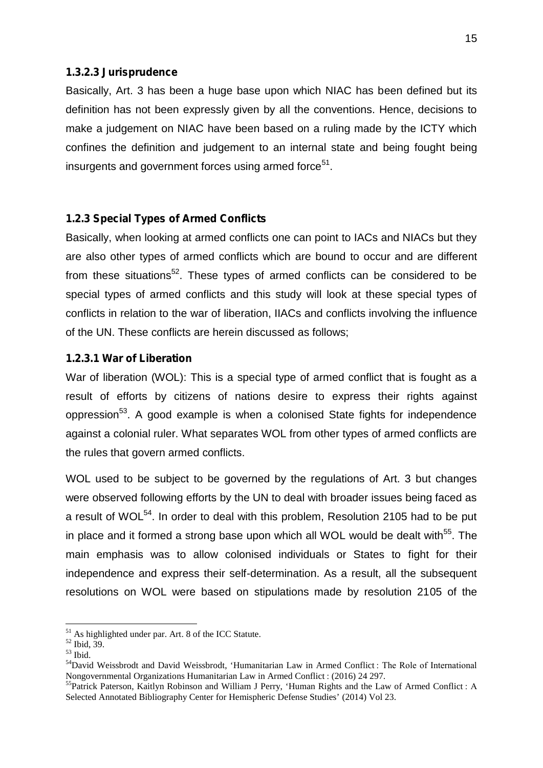#### **1.3.2.3 Jurisprudence**

Basically, Art. 3 has been a huge base upon which NIAC has been defined but its definition has not been expressly given by all the conventions. Hence, decisions to make a judgement on NIAC have been based on a ruling made by the ICTY which confines the definition and judgement to an internal state and being fought being insurgents and government forces using armed force<sup>51</sup>.

#### **1.2.3 Special Types of Armed Conflicts**

Basically, when looking at armed conflicts one can point to IACs and NIACs but they are also other types of armed conflicts which are bound to occur and are different from these situations<sup>52</sup>. These types of armed conflicts can be considered to be special types of armed conflicts and this study will look at these special types of conflicts in relation to the war of liberation, IIACs and conflicts involving the influence of the UN. These conflicts are herein discussed as follows;

#### **1.2.3.1 War of Liberation**

War of liberation (WOL): This is a special type of armed conflict that is fought as a result of efforts by citizens of nations desire to express their rights against oppression<sup>53</sup>. A good example is when a colonised State fights for independence against a colonial ruler. What separates WOL from other types of armed conflicts are the rules that govern armed conflicts.

WOL used to be subject to be governed by the regulations of Art. 3 but changes were observed following efforts by the UN to deal with broader issues being faced as a result of WOL<sup>54</sup>. In order to deal with this problem, Resolution 2105 had to be put in place and it formed a strong base upon which all WOL would be dealt with<sup>55</sup>. The main emphasis was to allow colonised individuals or States to fight for their independence and express their self-determination. As a result, all the subsequent resolutions on WOL were based on stipulations made by resolution 2105 of the

<sup>&</sup>lt;sup>51</sup> As highlighted under par. Art. 8 of the ICC Statute.<br><sup>52</sup> Ibid, 39.<br><sup>53</sup> Ibid.<br><sup>54</sup>David Weissbrodt and David Weissbrodt, 'Humanitarian Law in Armed Conflict : The Role of International<br>Nongovernmental Organizations

<sup>&</sup>lt;sup>55</sup>Patrick Paterson, Kaitlyn Robinson and William J Perry, 'Human Rights and the Law of Armed Conflict : A Selected Annotated Bibliography Center for Hemispheric Defense Studies' (2014) Vol 23.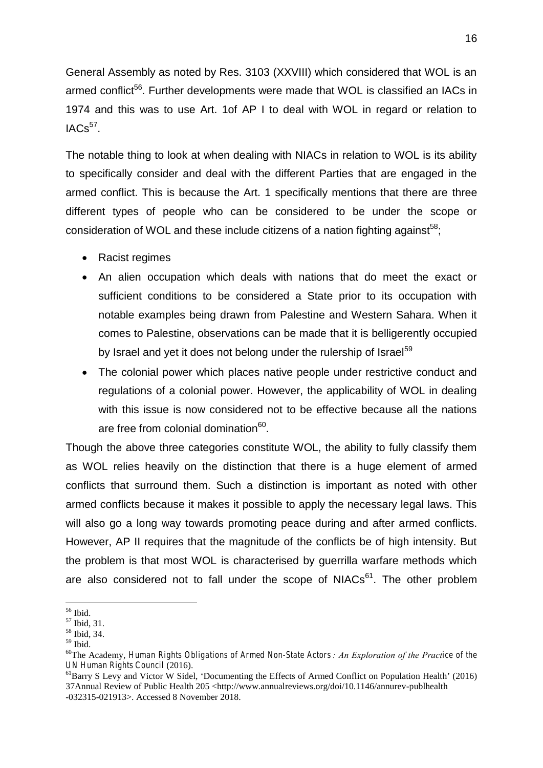General Assembly as noted by Res. 3103 (XXVIII) which considered that WOL is an armed conflict<sup>56</sup>. Further developments were made that WOL is classified an IACs in 1974 and this was to use Art. 1of AP I to deal with WOL in regard or relation to  $IACS<sup>57</sup>$ .

The notable thing to look at when dealing with NIACs in relation to WOL is its ability to specifically consider and deal with the different Parties that are engaged in the armed conflict. This is because the Art. 1 specifically mentions that there are three different types of people who can be considered to be under the scope or consideration of WOL and these include citizens of a nation fighting against<sup>58</sup>:

- Racist regimes
- An alien occupation which deals with nations that do meet the exact or sufficient conditions to be considered a State prior to its occupation with notable examples being drawn from Palestine and Western Sahara. When it comes to Palestine, observations can be made that it is belligerently occupied by Israel and yet it does not belong under the rulership of Israel<sup>59</sup>
- The colonial power which places native people under restrictive conduct and regulations of a colonial power. However, the applicability of WOL in dealing with this issue is now considered not to be effective because all the nations are free from colonial domination<sup>60</sup>.

Though the above three categories constitute WOL, the ability to fully classify them as WOL relies heavily on the distinction that there is a huge element of armed conflicts that surround them. Such a distinction is important as noted with other armed conflicts because it makes it possible to apply the necessary legal laws. This will also go a long way towards promoting peace during and after armed conflicts. However, AP II requires that the magnitude of the conflicts be of high intensity. But the problem is that most WOL is characterised by guerrilla warfare methods which are also considered not to fall under the scope of  $NIACS<sup>61</sup>$ . The other problem

 $^{56}$  Ibid.<br> $^{57}$  Ibid, 31.<br> $^{58}$  Ibid, 34.<br> $^{59}$  Ibid.

<sup>59</sup> Ibid. <sup>60</sup>The Academy, *Human Rights Obligations of Armed Non-State Actors : An Exploration of the Practice of the UN Human Rights Council* (2016).<br><sup>61</sup>Barry S Levy and Victor W Sidel, 'Documenting the Effects of Armed Conflict on Population Health' (2016)

<sup>37</sup>Annual Review of Public Health 205 <http://www.annualreviews.org/doi/10.1146/annurev-publhealth -032315-021913>. Accessed 8 November 2018.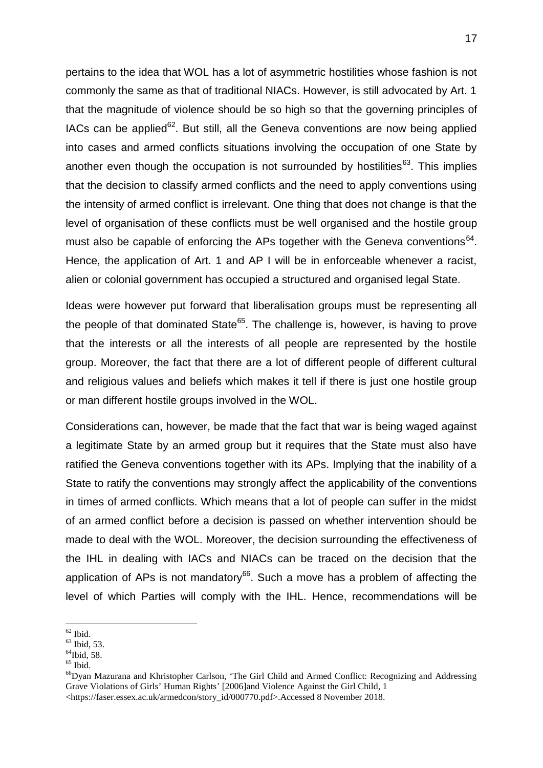pertains to the idea that WOL has a lot of asymmetric hostilities whose fashion is not commonly the same as that of traditional NIACs. However, is still advocated by Art. 1 that the magnitude of violence should be so high so that the governing principles of IACs can be applied<sup>62</sup>. But still, all the Geneva conventions are now being applied into cases and armed conflicts situations involving the occupation of one State by another even though the occupation is not surrounded by hostilities<sup>63</sup>. This implies that the decision to classify armed conflicts and the need to apply conventions using the intensity of armed conflict is irrelevant. One thing that does not change is that the level of organisation of these conflicts must be well organised and the hostile group must also be capable of enforcing the APs together with the Geneva conventions<sup>64</sup>. Hence, the application of Art. 1 and AP I will be in enforceable whenever a racist, alien or colonial government has occupied a structured and organised legal State.

Ideas were however put forward that liberalisation groups must be representing all the people of that dominated State<sup>65</sup>. The challenge is, however, is having to prove that the interests or all the interests of all people are represented by the hostile group. Moreover, the fact that there are a lot of different people of different cultural and religious values and beliefs which makes it tell if there is just one hostile group or man different hostile groups involved in the WOL.

Considerations can, however, be made that the fact that war is being waged against a legitimate State by an armed group but it requires that the State must also have ratified the Geneva conventions together with its APs. Implying that the inability of a State to ratify the conventions may strongly affect the applicability of the conventions in times of armed conflicts. Which means that a lot of people can suffer in the midst of an armed conflict before a decision is passed on whether intervention should be made to deal with the WOL. Moreover, the decision surrounding the effectiveness of the IHL in dealing with IACs and NIACs can be traced on the decision that the application of APs is not mandatory<sup>66</sup>. Such a move has a problem of affecting the level of which Parties will comply with the IHL. Hence, recommendations will be

<sup>&</sup>lt;sup>62</sup> Ibid.<br><sup>63</sup> Ibid, 53.<br><sup>64</sup>Ibid, 58.<br><sup>65</sup> Ibid. <sup>66</sup>Dyan Mazurana and Khristopher Carlson, 'The Girl Child and Armed Conflict: Recognizing and Addressing Grave Violations of Girls' Human Rights' [2006]and Violence Against the Girl Child, 1 <https://faser.essex.ac.uk/armedcon/story\_id/000770.pdf>.Accessed 8 November 2018.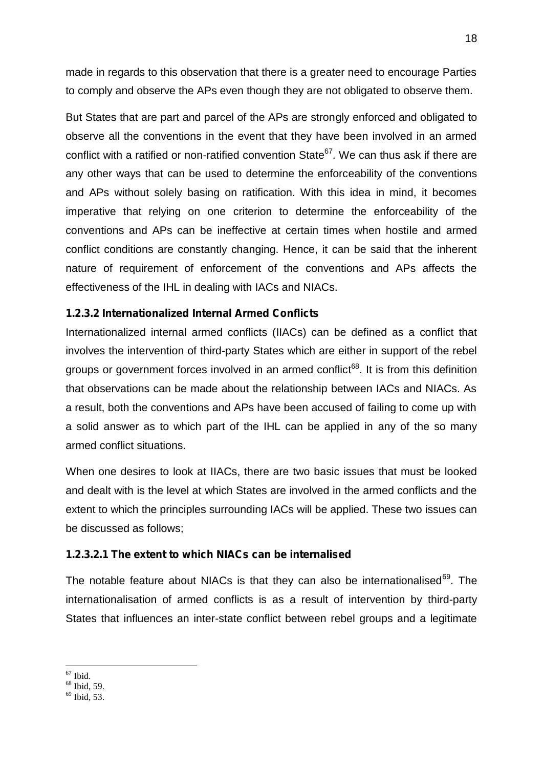made in regards to this observation that there is a greater need to encourage Parties to comply and observe the APs even though they are not obligated to observe them.

But States that are part and parcel of the APs are strongly enforced and obligated to observe all the conventions in the event that they have been involved in an armed conflict with a ratified or non-ratified convention State<sup>67</sup>. We can thus ask if there are any other ways that can be used to determine the enforceability of the conventions and APs without solely basing on ratification. With this idea in mind, it becomes imperative that relying on one criterion to determine the enforceability of the conventions and APs can be ineffective at certain times when hostile and armed conflict conditions are constantly changing. Hence, it can be said that the inherent nature of requirement of enforcement of the conventions and APs affects the effectiveness of the IHL in dealing with IACs and NIACs.

#### **1.2.3.2 Internationalized Internal Armed Conflicts**

Internationalized internal armed conflicts (IIACs) can be defined as a conflict that involves the intervention of third-party States which are either in support of the rebel groups or government forces involved in an armed conflict<sup>68</sup>. It is from this definition that observations can be made about the relationship between IACs and NIACs. As a result, both the conventions and APs have been accused of failing to come up with a solid answer as to which part of the IHL can be applied in any of the so many armed conflict situations.

When one desires to look at IIACs, there are two basic issues that must be looked and dealt with is the level at which States are involved in the armed conflicts and the extent to which the principles surrounding IACs will be applied. These two issues can be discussed as follows;

#### **1.2.3.2.1 The extent to which NIACs can be internalised**

The notable feature about NIACs is that they can also be internationalised<sup>69</sup>. The internationalisation of armed conflicts is as a result of intervention by third-party States that influences an inter-state conflict between rebel groups and a legitimate

 $^{67}$  Ibid.<br> $^{68}$  Ibid, 59.<br> $^{69}$  Ibid, 53.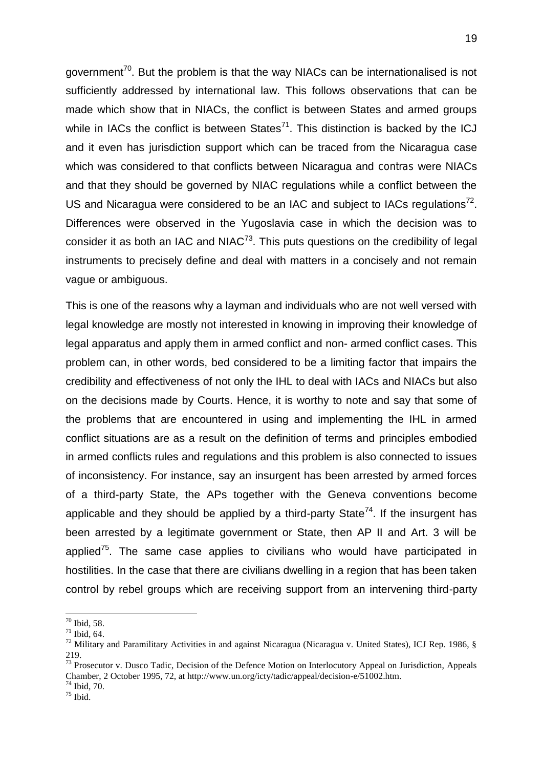government<sup>70</sup>. But the problem is that the way NIACs can be internationalised is not sufficiently addressed by international law. This follows observations that can be made which show that in NIACs, the conflict is between States and armed groups while in IACs the conflict is between States<sup>71</sup>. This distinction is backed by the ICJ and it even has jurisdiction support which can be traced from the Nicaragua case which was considered to that conflicts between Nicaragua and *contras* were NIACs and that they should be governed by NIAC regulations while a conflict between the US and Nicaragua were considered to be an IAC and subject to IACs regulations<sup>72</sup>. Differences were observed in the Yugoslavia case in which the decision was to consider it as both an IAC and  $N_1AC^{73}$ . This puts questions on the credibility of legal instruments to precisely define and deal with matters in a concisely and not remain vague or ambiguous.

This is one of the reasons why a layman and individuals who are not well versed with legal knowledge are mostly not interested in knowing in improving their knowledge of legal apparatus and apply them in armed conflict and non- armed conflict cases. This problem can, in other words, bed considered to be a limiting factor that impairs the credibility and effectiveness of not only the IHL to deal with IACs and NIACs but also on the decisions made by Courts. Hence, it is worthy to note and say that some of the problems that are encountered in using and implementing the IHL in armed conflict situations are as a result on the definition of terms and principles embodied in armed conflicts rules and regulations and this problem is also connected to issues of inconsistency. For instance, say an insurgent has been arrested by armed forces of a third-party State, the APs together with the Geneva conventions become applicable and they should be applied by a third-party State<sup>74</sup>. If the insurgent has been arrested by a legitimate government or State, then AP II and Art. 3 will be applied<sup>75</sup>. The same case applies to civilians who would have participated in hostilities. In the case that there are civilians dwelling in a region that has been taken control by rebel groups which are receiving support from an intervening third-party

<sup>&</sup>lt;sup>70</sup> Ibid, 58.<br><sup>71</sup> Ibid, 64.<br><sup>72</sup> Military and Paramilitary Activities in and against Nicaragua (Nicaragua v. United States), ICJ Rep. 1986, § 219.<br><sup>73</sup> Prosecutor v. Dusco Tadic, Decision of the Defence Motion on Interlocutory Appeal on Jurisdiction, Appeals

Chamber, 2 October 1995, 72, at http://www.un.org/icty/tadic/appeal/decision-e/51002.htm.<br><sup>74</sup> Ibid, 70.<br><sup>75</sup> Ibid.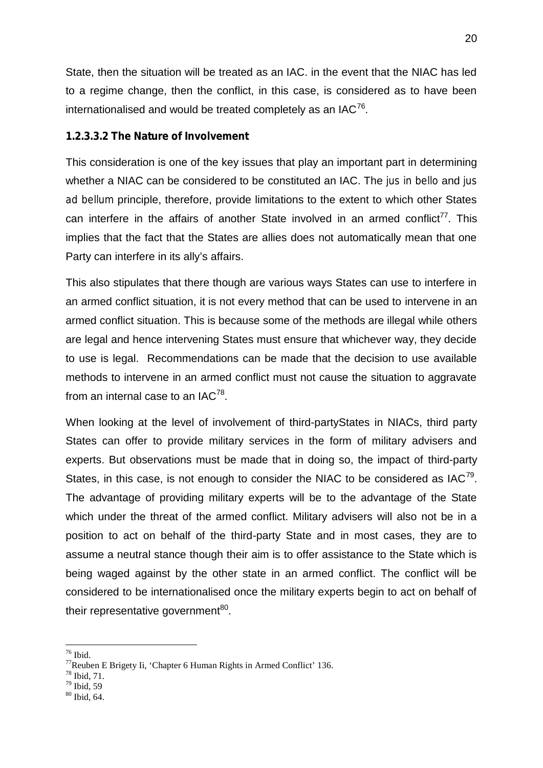State, then the situation will be treated as an IAC. in the event that the NIAC has led to a regime change, then the conflict, in this case, is considered as to have been internationalised and would be treated completely as an IAC $^{76}$ .

#### **1.2.3.3.2 The Nature of Involvement**

This consideration is one of the key issues that play an important part in determining whether a NIAC can be considered to be constituted an IAC. The *jus in bello* and *jus ad bellum* principle, therefore, provide limitations to the extent to which other States can interfere in the affairs of another State involved in an armed conflict<sup>77</sup>. This implies that the fact that the States are allies does not automatically mean that one Party can interfere in its ally's affairs.

This also stipulates that there though are various ways States can use to interfere in an armed conflict situation, it is not every method that can be used to intervene in an armed conflict situation. This is because some of the methods are illegal while others are legal and hence intervening States must ensure that whichever way, they decide to use is legal. Recommendations can be made that the decision to use available methods to intervene in an armed conflict must not cause the situation to aggravate from an internal case to an IAC $^{78}$ .

When looking at the level of involvement of third-partyStates in NIACs, third party States can offer to provide military services in the form of military advisers and experts. But observations must be made that in doing so, the impact of third-party States, in this case, is not enough to consider the NIAC to be considered as  $IAC^{79}$ . The advantage of providing military experts will be to the advantage of the State which under the threat of the armed conflict. Military advisers will also not be in a position to act on behalf of the third-party State and in most cases, they are to assume a neutral stance though their aim is to offer assistance to the State which is being waged against by the other state in an armed conflict. The conflict will be considered to be internationalised once the military experts begin to act on behalf of their representative government<sup>80</sup>.

- 
- 

<sup>&</sup>lt;sup>76</sup> Ibid. <sup>77</sup>Reuben E Brigety Ii, 'Chapter 6 Human Rights in Armed Conflict' 136. <sup>78</sup> Ibid, 59<br><sup>78</sup> Ibid, 59

<sup>80</sup> Ibid, 64.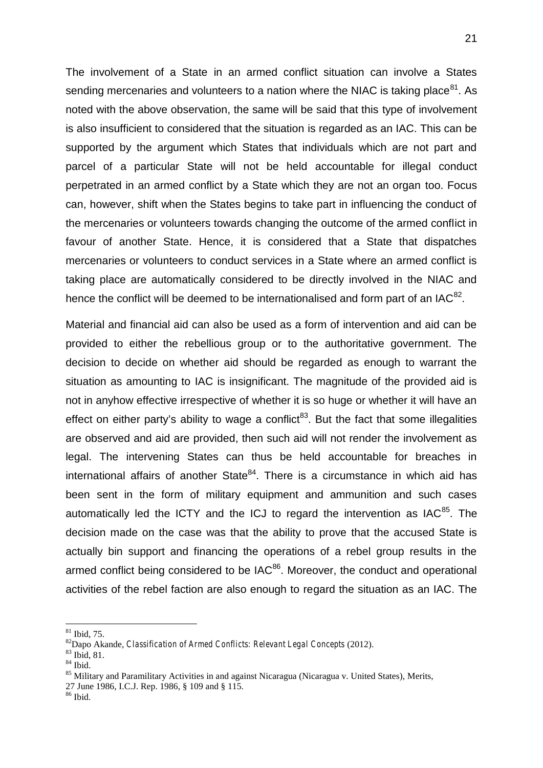The involvement of a State in an armed conflict situation can involve a States sending mercenaries and volunteers to a nation where the NIAC is taking place  $81$ . As noted with the above observation, the same will be said that this type of involvement is also insufficient to considered that the situation is regarded as an IAC. This can be supported by the argument which States that individuals which are not part and parcel of a particular State will not be held accountable for illegal conduct perpetrated in an armed conflict by a State which they are not an organ too. Focus can, however, shift when the States begins to take part in influencing the conduct of the mercenaries or volunteers towards changing the outcome of the armed conflict in favour of another State. Hence, it is considered that a State that dispatches mercenaries or volunteers to conduct services in a State where an armed conflict is taking place are automatically considered to be directly involved in the NIAC and hence the conflict will be deemed to be internationalised and form part of an IAC $^{82}$ .

Material and financial aid can also be used as a form of intervention and aid can be provided to either the rebellious group or to the authoritative government. The decision to decide on whether aid should be regarded as enough to warrant the situation as amounting to IAC is insignificant. The magnitude of the provided aid is not in anyhow effective irrespective of whether it is so huge or whether it will have an effect on either party's ability to wage a conflict<sup>83</sup>. But the fact that some illegalities are observed and aid are provided, then such aid will not render the involvement as legal. The intervening States can thus be held accountable for breaches in international affairs of another State $^{84}$ . There is a circumstance in which aid has been sent in the form of military equipment and ammunition and such cases automatically led the ICTY and the ICJ to regard the intervention as IAC<sup>85</sup>. The decision made on the case was that the ability to prove that the accused State is actually bin support and financing the operations of a rebel group results in the armed conflict being considered to be IAC<sup>86</sup>. Moreover, the conduct and operational activities of the rebel faction are also enough to regard the situation as an IAC. The

<sup>&</sup>lt;sup>81</sup> Ibid, 75.<br><sup>82</sup> Dapo Akande, *Classification of Armed Conflicts: Relevant Legal Concepts* (2012).<br><sup>83</sup> Ibid, 81.<br><sup>84</sup> Ibid.<br><sup>85</sup> Military and Paramilitary Activities in and against Nicaragua (Nicaragua v. United State

<sup>27</sup> June 1986, I.C.J. Rep. 1986, § 109 and § 115. <sup>86</sup> Ibid.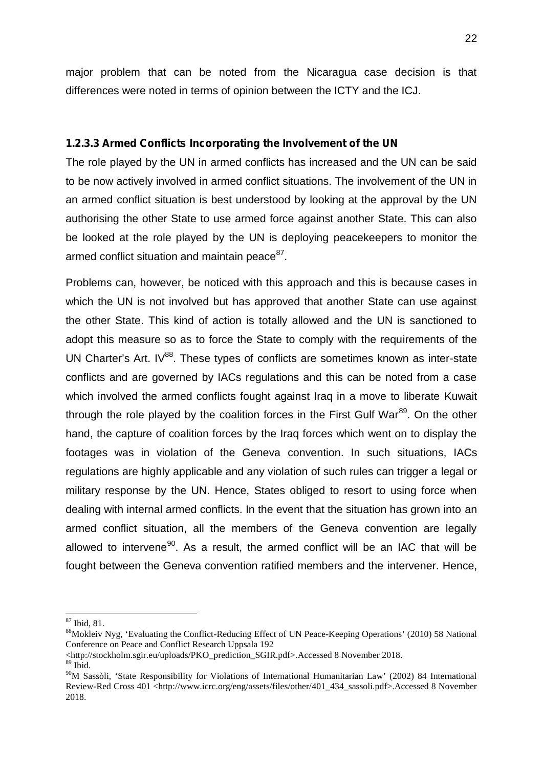major problem that can be noted from the Nicaragua case decision is that differences were noted in terms of opinion between the ICTY and the ICJ.

#### **1.2.3.3 Armed Conflicts Incorporating the Involvement of the UN**

The role played by the UN in armed conflicts has increased and the UN can be said to be now actively involved in armed conflict situations. The involvement of the UN in an armed conflict situation is best understood by looking at the approval by the UN authorising the other State to use armed force against another State. This can also be looked at the role played by the UN is deploying peacekeepers to monitor the armed conflict situation and maintain peace<sup>87</sup>.

Problems can, however, be noticed with this approach and this is because cases in which the UN is not involved but has approved that another State can use against the other State. This kind of action is totally allowed and the UN is sanctioned to adopt this measure so as to force the State to comply with the requirements of the UN Charter's Art.  $IV^{88}$ . These types of conflicts are sometimes known as inter-state conflicts and are governed by IACs regulations and this can be noted from a case which involved the armed conflicts fought against Irag in a move to liberate Kuwait through the role played by the coalition forces in the First Gulf War $^{89}$ . On the other hand, the capture of coalition forces by the Iraq forces which went on to display the footages was in violation of the Geneva convention. In such situations, IACs regulations are highly applicable and any violation of such rules can trigger a legal or military response by the UN. Hence, States obliged to resort to using force when dealing with internal armed conflicts. In the event that the situation has grown into an armed conflict situation, all the members of the Geneva convention are legally allowed to intervene<sup>90</sup>. As a result, the armed conflict will be an IAC that will be fought between the Geneva convention ratified members and the intervener. Hence,

 $^{87}$  Ibid, 81.<br> $^{88}$ Mokleiv Nyg, 'Evaluating the Conflict-Reducing Effect of UN Peace-Keeping Operations' (2010) 58 National Conference on Peace and Conflict Research Uppsala 192

<sup>&</sup>lt;http://stockholm.sgir.eu/uploads/PKO\_prediction\_SGIR.pdf>.Accessed 8 November 2018.

 $89$  Ibid.

<sup>90</sup>M Sassòli, 'State Responsibility for Violations of International Humanitarian Law' (2002) 84 International Review-Red Cross 401 <http://www.icrc.org/eng/assets/files/other/401\_434\_sassoli.pdf>.Accessed 8 November 2018.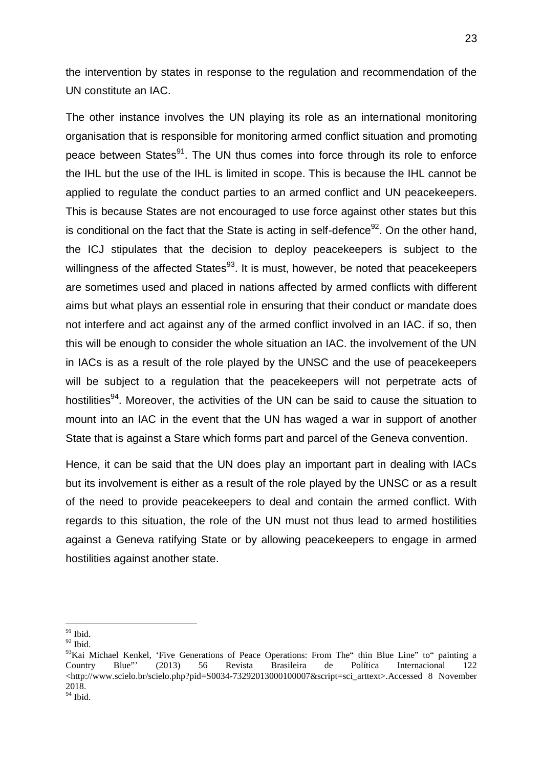the intervention by states in response to the regulation and recommendation of the UN constitute an IAC.

The other instance involves the UN playing its role as an international monitoring organisation that is responsible for monitoring armed conflict situation and promoting peace between States<sup>91</sup>. The UN thus comes into force through its role to enforce the IHL but the use of the IHL is limited in scope. This is because the IHL cannot be applied to regulate the conduct parties to an armed conflict and UN peacekeepers. This is because States are not encouraged to use force against other states but this is conditional on the fact that the State is acting in self-defence<sup>92</sup>. On the other hand, the ICJ stipulates that the decision to deploy peacekeepers is subject to the willingness of the affected States $93$ . It is must, however, be noted that peacekeepers are sometimes used and placed in nations affected by armed conflicts with different aims but what plays an essential role in ensuring that their conduct or mandate does not interfere and act against any of the armed conflict involved in an IAC. if so, then this will be enough to consider the whole situation an IAC. the involvement of the UN in IACs is as a result of the role played by the UNSC and the use of peacekeepers will be subiect to a regulation that the peacekeepers will not perpetrate acts of hostilities<sup>94</sup>. Moreover, the activities of the UN can be said to cause the situation to mount into an IAC in the event that the UN has waged a war in support of another State that is against a Stare which forms part and parcel of the Geneva convention.

Hence, it can be said that the UN does play an important part in dealing with IACs but its involvement is either as a result of the role played by the UNSC or as a result of the need to provide peacekeepers to deal and contain the armed conflict. With regards to this situation, the role of the UN must not thus lead to armed hostilities against a Geneva ratifying State or by allowing peacekeepers to engage in armed hostilities against another state.

 $^{91}$  Ibid.

 $^{92}$  Ibid.

<sup>&</sup>lt;sup>93</sup>Kai Michael Kenkel, 'Five Generations of Peace Operations: From The" thin Blue Line" to" painting a Country Blue"' (2013) 56 Revista Brasileira de Política Internacional 122 <http://www.scielo.br/scielo.php?pid=S0034-73292013000100007&script=sci\_arttext>.Accessed 8 November 2018. <sup>94</sup> Ibid.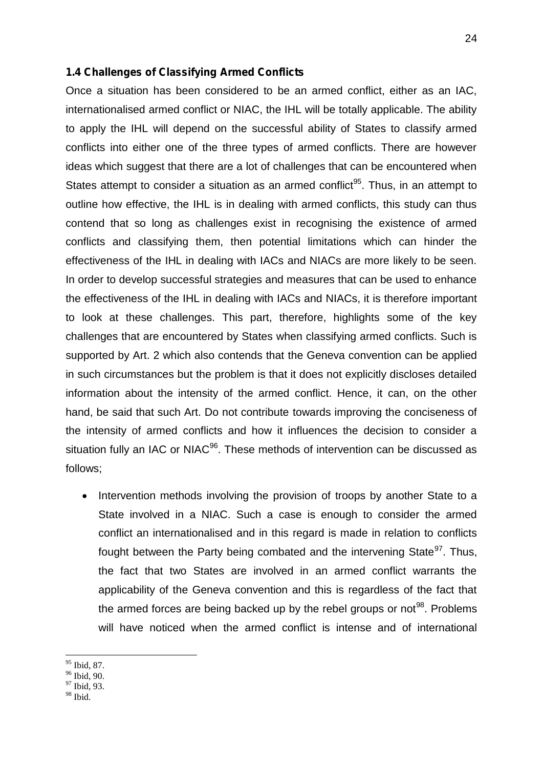#### **1.4 Challenges of Classifying Armed Conflicts**

Once a situation has been considered to be an armed conflict, either as an IAC, internationalised armed conflict or NIAC, the IHL will be totally applicable. The ability to apply the IHL will depend on the successful ability of States to classify armed conflicts into either one of the three types of armed conflicts. There are however ideas which suggest that there are a lot of challenges that can be encountered when States attempt to consider a situation as an armed conflict<sup>95</sup>. Thus, in an attempt to outline how effective, the IHL is in dealing with armed conflicts, this study can thus contend that so long as challenges exist in recognising the existence of armed conflicts and classifying them, then potential limitations which can hinder the effectiveness of the IHL in dealing with IACs and NIACs are more likely to be seen. In order to develop successful strategies and measures that can be used to enhance the effectiveness of the IHL in dealing with IACs and NIACs, it is therefore important to look at these challenges. This part, therefore, highlights some of the key challenges that are encountered by States when classifying armed conflicts. Such is supported by Art. 2 which also contends that the Geneva convention can be applied in such circumstances but the problem is that it does not explicitly discloses detailed information about the intensity of the armed conflict. Hence, it can, on the other hand, be said that such Art. Do not contribute towards improving the conciseness of the intensity of armed conflicts and how it influences the decision to consider a situation fully an IAC or NIAC<sup>96</sup>. These methods of intervention can be discussed as follows;

• Intervention methods involving the provision of troops by another State to a State involved in a NIAC. Such a case is enough to consider the armed conflict an internationalised and in this regard is made in relation to conflicts fought between the Party being combated and the intervening State<sup>97</sup>. Thus, the fact that two States are involved in an armed conflict warrants the applicability of the Geneva convention and this is regardless of the fact that the armed forces are being backed up by the rebel groups or not<sup>98</sup>. Problems will have noticed when the armed conflict is intense and of international

 $\frac{95}{96}$  Ibid, 87.<br> $\frac{96}{97}$  Ibid, 93.

 $98$  Ibid.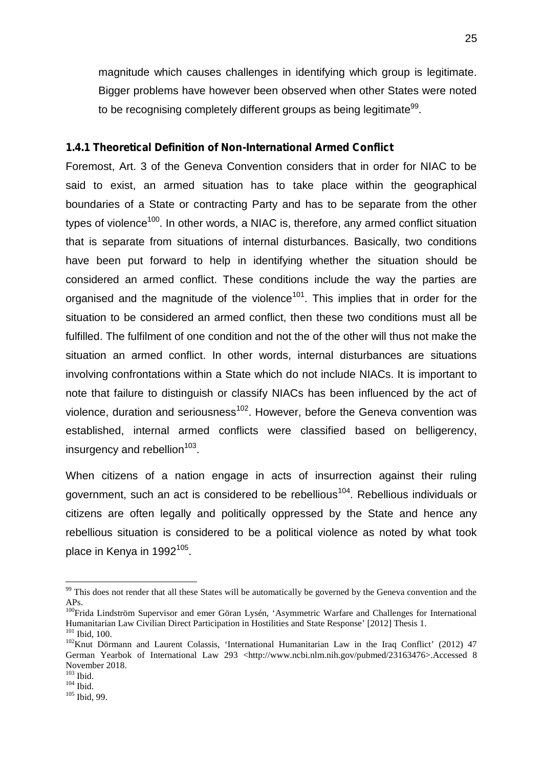magnitude which causes challenges in identifying which group is legitimate. Bigger problems have however been observed when other States were noted to be recognising completely different groups as being legitimate<sup>99</sup>.

#### **1.4.1 Theoretical Definition of Non-International Armed Conflict**

Foremost, Art. 3 of the Geneva Convention considers that in order for NIAC to be said to exist, an armed situation has to take place within the geographical boundaries of a State or contracting Party and has to be separate from the other types of violence<sup>100</sup>. In other words, a NIAC is, therefore, any armed conflict situation that is separate from situations of internal disturbances. Basically, two conditions have been put forward to help in identifying whether the situation should be considered an armed conflict. These conditions include the way the parties are organised and the magnitude of the violence<sup>101</sup>. This implies that in order for the situation to be considered an armed conflict, then these two conditions must all be fulfilled. The fulfilment of one condition and not the of the other will thus not make the situation an armed conflict. In other words, internal disturbances are situations involving confrontations within a State which do not include NIACs. It is important to note that failure to distinguish or classify NIACs has been influenced by the act of violence, duration and seriousness<sup>102</sup>. However, before the Geneva convention was established, internal armed conflicts were classified based on belligerency, insurgency and rebellion<sup>103</sup>.

When citizens of a nation engage in acts of insurrection against their ruling government, such an act is considered to be rebellious<sup>104</sup>. Rebellious individuals or citizens are often legally and politically oppressed by the State and hence any rebellious situation is considered to be a political violence as noted by what took place in Kenya in 1992<sup>105</sup>.

<sup>&</sup>lt;sup>99</sup> This does not render that all these States will be automatically be governed by the Geneva convention and the

APs.<br><sup>100</sup>Frida Lindström Supervisor and emer Göran Lysén, 'Asymmetric Warfare and Challenges for International Humanitarian Law Civilian Direct Participation in Hostilities and State Response' [2012] Thesis 1.

<sup>&</sup>lt;sup>101</sup> Ibid, 100.<br><sup>102</sup> Knut Dörmann and Laurent Colassis, 'International Humanitarian Law in the Iraq Conflict' (2012) 47 German Yearbok of International Law 293 <http://www.ncbi.nlm.nih.gov/pubmed/23163476>.Accessed 8 November 2018.<br> $^{103}_{104}$  Ibid.<br> $^{104}_{105}$  Ibid, 99.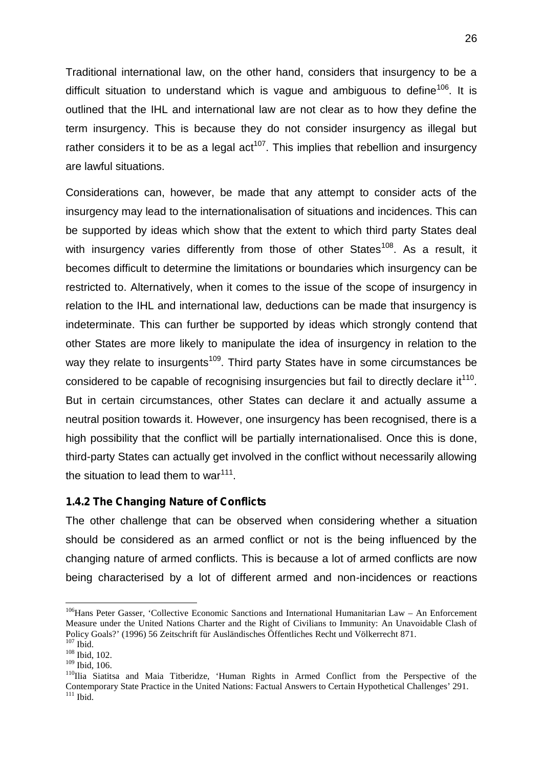Traditional international law, on the other hand, considers that insurgency to be a difficult situation to understand which is vague and ambiguous to define<sup>106</sup>. It is outlined that the IHL and international law are not clear as to how they define the term insurgency. This is because they do not consider insurgency as illegal but rather considers it to be as a legal  $act^{107}$ . This implies that rebellion and insurgency are lawful situations.

Considerations can, however, be made that any attempt to consider acts of the insurgency may lead to the internationalisation of situations and incidences. This can be supported by ideas which show that the extent to which third party States deal with insurgency varies differently from those of other States<sup>108</sup>. As a result, it becomes difficult to determine the limitations or boundaries which insurgency can be restricted to. Alternatively, when it comes to the issue of the scope of insurgency in relation to the IHL and international law, deductions can be made that insurgency is indeterminate. This can further be supported by ideas which strongly contend that other States are more likely to manipulate the idea of insurgency in relation to the way they relate to insurgents<sup>109</sup>. Third party States have in some circumstances be considered to be capable of recognising insurgencies but fail to directly declare it $^{110}$ . But in certain circumstances, other States can declare it and actually assume a neutral position towards it. However, one insurgency has been recognised, there is a high possibility that the conflict will be partially internationalised. Once this is done, third-party States can actually get involved in the conflict without necessarily allowing the situation to lead them to war<sup>111</sup>.

## **1.4.2 The Changing Nature of Conflicts**

The other challenge that can be observed when considering whether a situation should be considered as an armed conflict or not is the being influenced by the changing nature of armed conflicts. This is because a lot of armed conflicts are now being characterised by a lot of different armed and non-incidences or reactions

<sup>&</sup>lt;sup>106</sup>Hans Peter Gasser, 'Collective Economic Sanctions and International Humanitarian Law – An Enforcement Measure under the United Nations Charter and the Right of Civilians to Immunity: An Unavoidable Clash of Policy Goals?' (1996) 56 Zeitschrift für Ausländisches Öffentliches Recht und Völkerrecht 871.<br><sup>107</sup> Ibid. 102.<br><sup>108</sup> Ibid, 102.<br><sup>109</sup> Ibid, 106.

<sup>&</sup>lt;sup>110</sup>Ilia Siatitsa and Maia Titberidze, 'Human Rights in Armed Conflict from the Perspective of the Contemporary State Practice in the United Nations: Factual Answers to Certain Hypothetical Challenges' 291. <sup>111</sup> Ibid.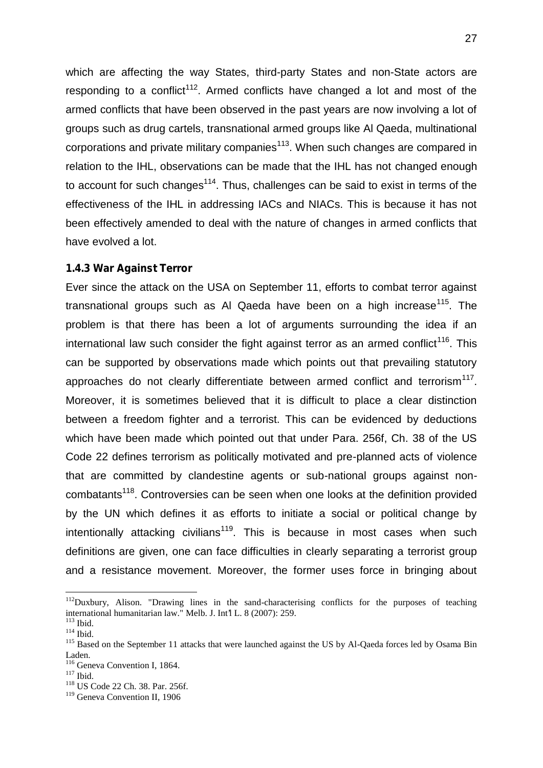which are affecting the way States, third-party States and non-State actors are responding to a conflict<sup>112</sup>. Armed conflicts have changed a lot and most of the armed conflicts that have been observed in the past years are now involving a lot of groups such as drug cartels, transnational armed groups like Al Qaeda, multinational corporations and private military companies<sup>113</sup>. When such changes are compared in relation to the IHL, observations can be made that the IHL has not changed enough to account for such changes<sup>114</sup>. Thus, challenges can be said to exist in terms of the effectiveness of the IHL in addressing IACs and NIACs. This is because it has not been effectively amended to deal with the nature of changes in armed conflicts that have evolved a lot.

## **1.4.3 War Against Terror**

Ever since the attack on the USA on September 11, efforts to combat terror against transnational groups such as Al Qaeda have been on a high increase<sup>115</sup>. The problem is that there has been a lot of arguments surrounding the idea if an international law such consider the fight against terror as an armed conflict<sup>116</sup>. This can be supported by observations made which points out that prevailing statutory approaches do not clearly differentiate between armed conflict and terrorism<sup>117</sup>. Moreover, it is sometimes believed that it is difficult to place a clear distinction between a freedom fighter and a terrorist. This can be evidenced by deductions which have been made which pointed out that under Para. 256f, Ch. 38 of the US Code 22 defines terrorism as politically motivated and pre-planned acts of violence that are committed by clandestine agents or sub-national groups against non combatants<sup>118</sup>. Controversies can be seen when one looks at the definition provided by the UN which defines it as efforts to initiate a social or political change by intentionally attacking civilians<sup>119</sup>. This is because in most cases when such definitions are given, one can face difficulties in clearly separating a terrorist group and a resistance movement. Moreover, the former uses force in bringing about

<sup>&</sup>lt;sup>112</sup>Duxbury, Alison. "Drawing lines in the sand-characterising conflicts for the purposes of teaching international humanitarian law." Melb. J. Int<sup>1</sup> L. 8 (2007): 259.

<sup>&</sup>lt;sup>113</sup> Ibid.  $\frac{114 \text{ Bid}}{115 \text{ Based on the September 11 attacks that were launched against the US by Al-Qaeda forces led by Osama Bin-$ Laden.<br><sup>116</sup> Geneva Convention I, 1864.<br><sup>117</sup> Ibid.<br><sup>118</sup> US Code 22 Ch. 38. Par. 256f.

<sup>119</sup> Geneva Convention II, 1906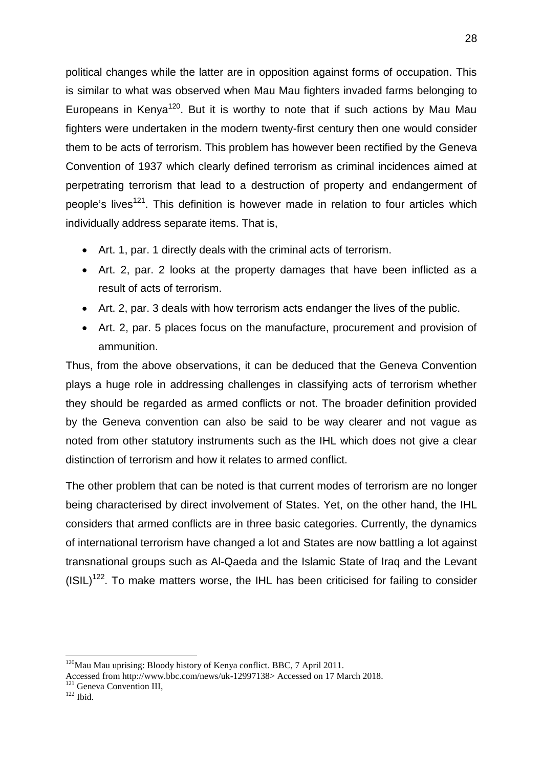political changes while the latter are in opposition against forms of occupation. This is similar to what was observed when Mau Mau fighters invaded farms belonging to Europeans in Kenya<sup>120</sup>. But it is worthy to note that if such actions by Mau Mau fighters were undertaken in the modern twenty-first century then one would consider them to be acts of terrorism. This problem has however been rectified by the Geneva Convention of 1937 which clearly defined terrorism as criminal incidences aimed at perpetrating terrorism that lead to a destruction of property and endangerment of people's lives<sup>121</sup>. This definition is however made in relation to four articles which individually address separate items. That is,

- Art. 1, par. 1 directly deals with the criminal acts of terrorism.
- Art. 2, par. 2 looks at the property damages that have been inflicted as a result of acts of terrorism.
- Art. 2, par. 3 deals with how terrorism acts endanger the lives of the public.
- Art. 2, par. 5 places focus on the manufacture, procurement and provision of ammunition.

Thus, from the above observations, it can be deduced that the Geneva Convention plays a huge role in addressing challenges in classifying acts of terrorism whether they should be regarded as armed conflicts or not. The broader definition provided by the Geneva convention can also be said to be way clearer and not vague as noted from other statutory instruments such as the IHL which does not give a clear distinction of terrorism and how it relates to armed conflict.

The other problem that can be noted is that current modes of terrorism are no longer being characterised by direct involvement of States. Yet, on the other hand, the IHL considers that armed conflicts are in three basic categories. Currently, the dynamics of international terrorism have changed a lot and States are now battling a lot against transnational groups such as Al-Qaeda and the Islamic State of Iraq and the Levant  $(ISIL)^{122}$ . To make matters worse, the IHL has been criticised for failing to consider

<sup>&</sup>lt;sup>120</sup>Mau Mau uprising: Bloody history of Kenya conflict. BBC, 7 April 2011.

Accessed from http://www.bbc.com/news/uk-12997138> Accessed on 17 March 2018.<br><sup>121</sup> Geneva Convention III, <sup>122</sup> Ibid.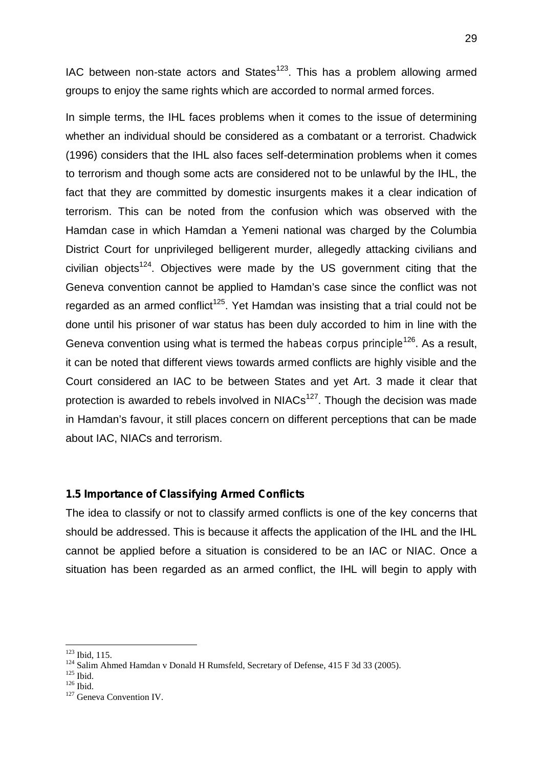IAC between non-state actors and States $123$ . This has a problem allowing armed groups to enjoy the same rights which are accorded to normal armed forces.

In simple terms, the IHL faces problems when it comes to the issue of determining whether an individual should be considered as a combatant or a terrorist. Chadwick (1996) considers that the IHL also faces self-determination problems when it comes to terrorism and though some acts are considered not to be unlawful by the IHL, the fact that they are committed by domestic insurgents makes it a clear indication of terrorism. This can be noted from the confusion which was observed with the Hamdan case in which Hamdan a Yemeni national was charged by the Columbia District Court for unprivileged belligerent murder, allegedly attacking civilians and civilian objects<sup>124</sup>. Objectives were made by the US government citing that the Geneva convention cannot be applied to Hamdan's case since the conflict was not regarded as an armed conflict<sup>125</sup>. Yet Hamdan was insisting that a trial could not be done until his prisoner of war status has been duly accorded to him in line with the Geneva convention using what is termed the *habeas corpus principle*<sup>126</sup>. As a result, it can be noted that different views towards armed conflicts are highly visible and the Court considered an IAC to be between States and yet Art. 3 made it clear that protection is awarded to rebels involved in  $NIACs<sup>127</sup>$ . Though the decision was made in Hamdan's favour, it still places concern on different perceptions that can be made about IAC, NIACs and terrorism.

## **1.5 Importance of Classifying Armed Conflicts**

The idea to classify or not to classify armed conflicts is one of the key concerns that should be addressed. This is because it affects the application of the IHL and the IHL cannot be applied before a situation is considered to be an IAC or NIAC. Once a situation has been regarded as an armed conflict, the IHL will begin to apply with

<sup>&</sup>lt;sup>123</sup> Ibid, 115.<br><sup>124</sup> Salim Ahmed Hamdan v Donald H Rumsfeld, Secretary of Defense, 415 F 3d 33 (2005).<br><sup>125</sup> Ibid. <sup>126</sup> Ibid. <sup>126</sup> Geneva Convention IV.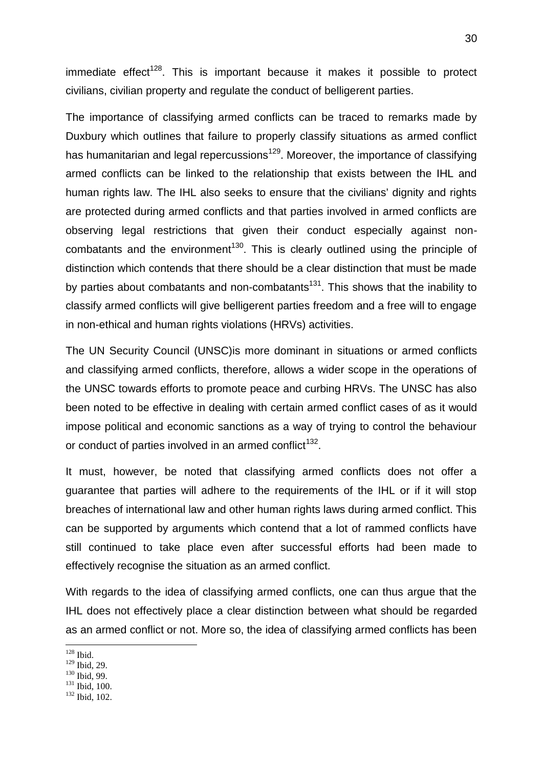immediate effect<sup>128</sup>. This is important because it makes it possible to protect civilians, civilian property and regulate the conduct of belligerent parties.

The importance of classifying armed conflicts can be traced to remarks made by Duxbury which outlines that failure to properly classify situations as armed conflict has humanitarian and legal repercussions<sup>129</sup>. Moreover, the importance of classifying armed conflicts can be linked to the relationship that exists between the IHL and human rights law. The IHL also seeks to ensure that the civilians' dignity and rights are protected during armed conflicts and that parties involved in armed conflicts are observing legal restrictions that given their conduct especially against non combatants and the environment<sup>130</sup>. This is clearly outlined using the principle of distinction which contends that there should be a clear distinction that must be made by parties about combatants and non-combatants<sup>131</sup>. This shows that the inability to classify armed conflicts will give belligerent parties freedom and a free will to engage in non-ethical and human rights violations (HRVs) activities.

The UN Security Council (UNSC)is more dominant in situations or armed conflicts and classifying armed conflicts, therefore, allows a wider scope in the operations of the UNSC towards efforts to promote peace and curbing HRVs. The UNSC has also been noted to be effective in dealing with certain armed conflict cases of as it would impose political and economic sanctions as a way of trying to control the behaviour or conduct of parties involved in an armed conflict<sup>132</sup>.

It must, however, be noted that classifying armed conflicts does not offer a guarantee that parties will adhere to the requirements of the IHL or if it will stop breaches of international law and other human rights laws during armed conflict. This can be supported by arguments which contend that a lot of rammed conflicts have still continued to take place even after successful efforts had been made to effectively recognise the situation as an armed conflict.

With regards to the idea of classifying armed conflicts, one can thus argue that the IHL does not effectively place a clear distinction between what should be regarded as an armed conflict or not. More so, the idea of classifying armed conflicts has been

 $\frac{128}{129}$  Ibid.<br>
129 Ibid, 29.

 $\frac{130}{131}$  Ibid, 99.<br>  $\frac{131}{132}$  Ibid, 100.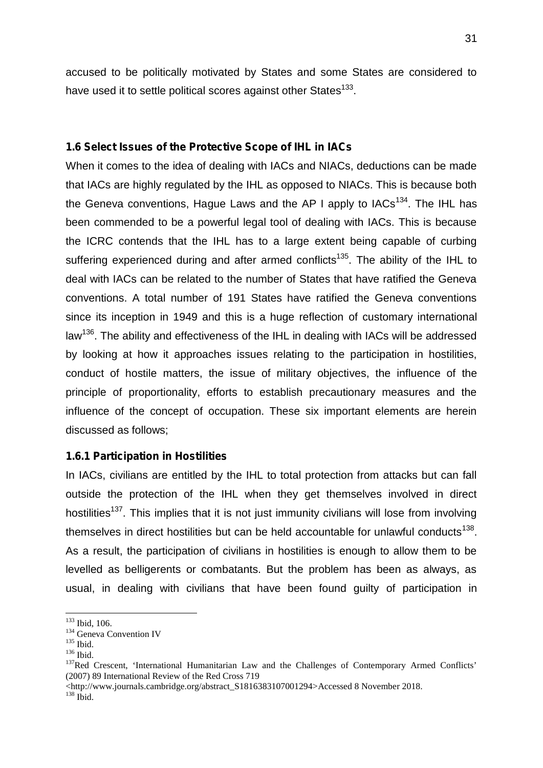accused to be politically motivated by States and some States are considered to have used it to settle political scores against other States<sup>133</sup>.

## **1.6 Select Issues of the Protective Scope of IHL in IACs**

When it comes to the idea of dealing with IACs and NIACs, deductions can be made that IACs are highly regulated by the IHL as opposed to NIACs. This is because both the Geneva conventions, Hague Laws and the AP I apply to  $IACs<sup>134</sup>$ . The IHL has been commended to be a powerful legal tool of dealing with IACs. This is because the ICRC contends that the IHL has to a large extent being capable of curbing suffering experienced during and after armed conflicts<sup>135</sup>. The ability of the IHL to deal with IACs can be related to the number of States that have ratified the Geneva conventions. A total number of 191 States have ratified the Geneva conventions since its inception in 1949 and this is a huge reflection of customary international law<sup>136</sup>. The ability and effectiveness of the IHL in dealing with IACs will be addressed by looking at how it approaches issues relating to the participation in hostilities, conduct of hostile matters, the issue of military objectives, the influence of the principle of proportionality, efforts to establish precautionary measures and the influence of the concept of occupation. These six important elements are herein discussed as follows;

#### **1.6.1 Participation in Hostilities**

In IACs, civilians are entitled by the IHL to total protection from attacks but can fall outside the protection of the IHL when they get themselves involved in direct hostilities<sup>137</sup>. This implies that it is not just immunity civilians will lose from involving themselves in direct hostilities but can be held accountable for unlawful conducts<sup>138</sup>. As a result, the participation of civilians in hostilities is enough to allow them to be levelled as belligerents or combatants. But the problem has been as always, as usual, in dealing with civilians that have been found guilty of participation in

 $^{133}$  Ibid, 106.<br> $^{134}$  Geneva Convention IV<br> $^{135}$  Ibid.

<sup>136</sup> Ibid.<br><sup>136</sup> Ibid. 137Red Crescent, 'International Humanitarian Law and the Challenges of Contemporary Armed Conflicts' (2007) 89 International Review of the Red Cross 719

<sup>&</sup>lt;http://www.journals.cambridge.org/abstract\_S1816383107001294>Accessed 8 November 2018. <sup>138</sup> Ibid.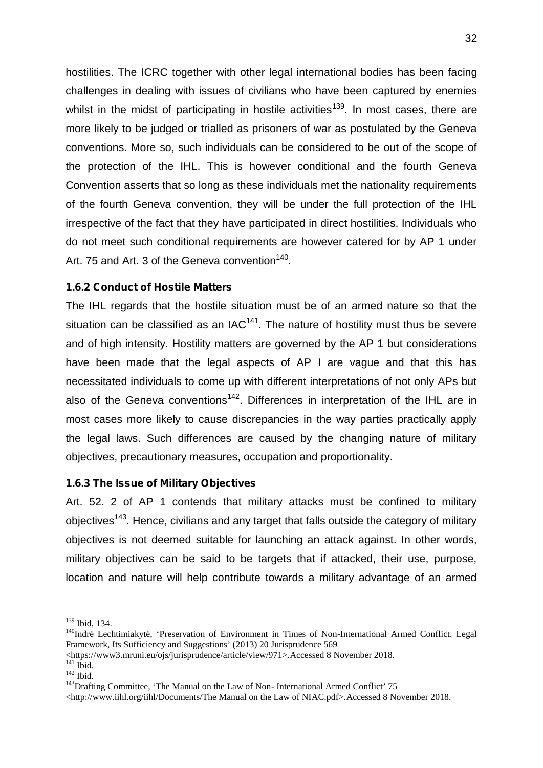hostilities. The ICRC together with other legal international bodies has been facing challenges in dealing with issues of civilians who have been captured by enemies whilst in the midst of participating in hostile activities<sup>139</sup>. In most cases, there are more likely to be judged or trialled as prisoners of war as postulated by the Geneva conventions. More so, such individuals can be considered to be out of the scope of the protection of the IHL. This is however conditional and the fourth Geneva Convention asserts that so long as these individuals met the nationality requirements of the fourth Geneva convention, they will be under the full protection of the IHL irrespective of the fact that they have participated in direct hostilities. Individuals who do not meet such conditional requirements are however catered for by AP 1 under Art. 75 and Art. 3 of the Geneva convention<sup>140</sup>.

# **1.6.2 Conduct of Hostile Matters**

The IHL regards that the hostile situation must be of an armed nature so that the situation can be classified as an  $IAC^{141}$ . The nature of hostility must thus be severe and of high intensity. Hostility matters are governed by the AP 1 but considerations have been made that the legal aspects of AP I are vague and that this has necessitated individuals to come up with different interpretations of not only APs but also of the Geneva conventions<sup>142</sup>. Differences in interpretation of the IHL are in most cases more likely to cause discrepancies in the way parties practically apply the legal laws. Such differences are caused by the changing nature of military objectives, precautionary measures, occupation and proportionality.

# **1.6.3 The Issue of Military Objectives**

Art. 52. 2 of AP 1 contends that military attacks must be confined to military objectives<sup>143</sup>. Hence, civilians and any target that falls outside the category of military objectives is not deemed suitable for launching an attack against. In other words, military objectives can be said to be targets that if attacked, their use, purpose, location and nature will help contribute towards a military advantage of an armed

<sup>&</sup>lt;sup>139</sup> Ibid, 134.<br><sup>140</sup>Indr Lechtimiakyt, 'Preservation of Environment in Times of Non-International Armed Conflict. Legal Framework, Its Sufficiency and Suggestions' (2013) 20 Jurisprudence 569

Attps://www3.mruni.eu/ojs/jurisprudence/article/view/971>.Accessed 8 November 2018.<br><sup>141</sup> Ibid. 142 Ibid. 142 Ibid. 143Drafting Committee, 'The Manual on the Law of Non- International Armed Conflict' 75

<sup>&</sup>lt;http://www.iihl.org/iihl/Documents/The Manual on the Law of NIAC.pdf>.Accessed 8 November 2018.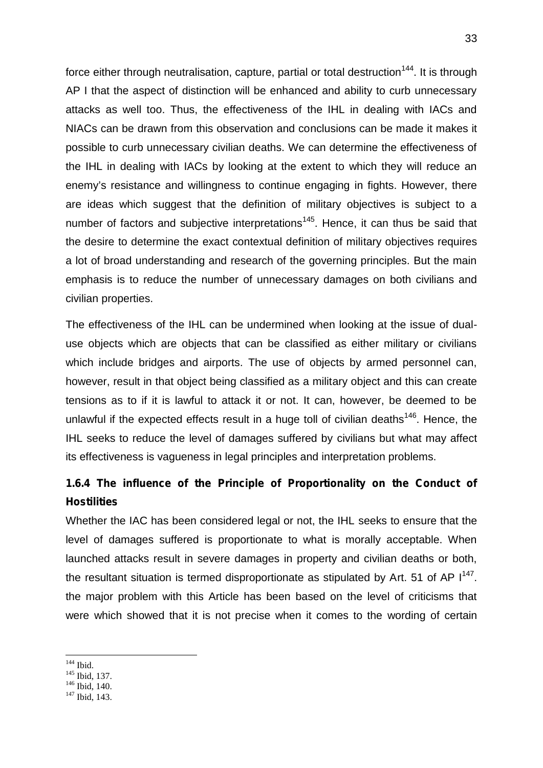force either through neutralisation, capture, partial or total destruction<sup>144</sup>. It is through AP I that the aspect of distinction will be enhanced and ability to curb unnecessary attacks as well too. Thus, the effectiveness of the IHL in dealing with IACs and NIACs can be drawn from this observation and conclusions can be made it makes it possible to curb unnecessary civilian deaths. We can determine the effectiveness of the IHL in dealing with IACs by looking at the extent to which they will reduce an enemy's resistance and willingness to continue engaging in fights. However, there are ideas which suggest that the definition of military objectives is subject to a number of factors and subjective interpretations<sup>145</sup>. Hence, it can thus be said that the desire to determine the exact contextual definition of military objectives requires a lot of broad understanding and research of the governing principles. But the main emphasis is to reduce the number of unnecessary damages on both civilians and civilian properties.

The effectiveness of the IHL can be undermined when looking at the issue of dual use objects which are objects that can be classified as either military or civilians which include bridges and airports. The use of objects by armed personnel can, however, result in that object being classified as a military object and this can create tensions as to if it is lawful to attack it or not. It can, however, be deemed to be unlawful if the expected effects result in a huge toll of civilian deaths<sup>146</sup>. Hence, the IHL seeks to reduce the level of damages suffered by civilians but what may affect its effectiveness is vagueness in legal principles and interpretation problems.

# **1.6.4 The influence of the Principle of Proportionality on the Conduct of Hostilities**

Whether the IAC has been considered legal or not, the IHL seeks to ensure that the level of damages suffered is proportionate to what is morally acceptable. When launched attacks result in severe damages in property and civilian deaths or both, the resultant situation is termed disproportionate as stipulated by Art. 51 of AP  $1^{147}$ . the major problem with this Article has been based on the level of criticisms that were which showed that it is not precise when it comes to the wording of certain

<sup>&</sup>lt;sup>144</sup> Ibid.<br><sup>145</sup> Ibid, 137.<br><sup>146</sup> Ibid, 140.<br><sup>147</sup> Ibid. 143.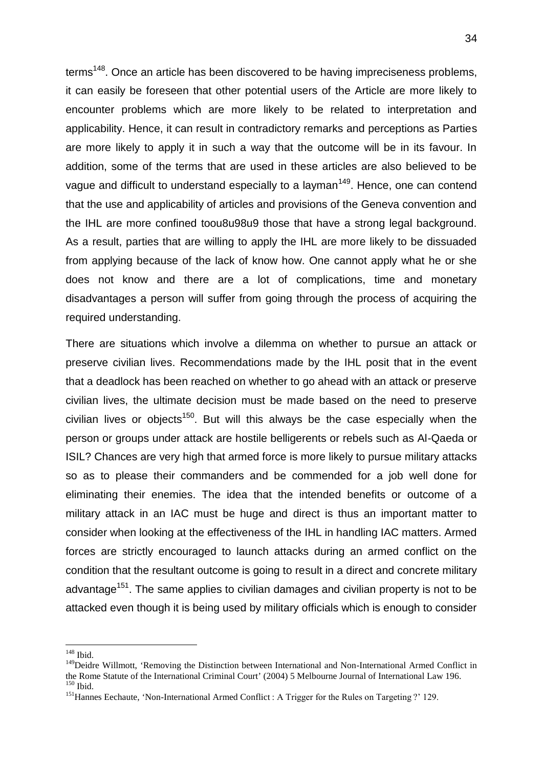terms<sup>148</sup>. Once an article has been discovered to be having impreciseness problems, it can easily be foreseen that other potential users of the Article are more likely to encounter problems which are more likely to be related to interpretation and applicability. Hence, it can result in contradictory remarks and perceptions as Parties are more likely to apply it in such a way that the outcome will be in its favour. In addition, some of the terms that are used in these articles are also believed to be vague and difficult to understand especially to a layman<sup>149</sup>. Hence, one can contend that the use and applicability of articles and provisions of the Geneva convention and the IHL are more confined toou8u98u9 those that have a strong legal background. As a result, parties that are willing to apply the IHL are more likely to be dissuaded from applying because of the lack of know how. One cannot apply what he or she does not know and there are a lot of complications, time and monetary disadvantages a person will suffer from going through the process of acquiring the required understanding.

There are situations which involve a dilemma on whether to pursue an attack or preserve civilian lives. Recommendations made by the IHL posit that in the event that a deadlock has been reached on whether to go ahead with an attack or preserve civilian lives, the ultimate decision must be made based on the need to preserve civilian lives or objects<sup>150</sup>. But will this always be the case especially when the person or groups under attack are hostile belligerents or rebels such as Al-Qaeda or ISIL? Chances are very high that armed force is more likely to pursue military attacks so as to please their commanders and be commended for a job well done for eliminating their enemies. The idea that the intended benefits or outcome of a military attack in an IAC must be huge and direct is thus an important matter to consider when looking at the effectiveness of the IHL in handling IAC matters. Armed forces are strictly encouraged to launch attacks during an armed conflict on the condition that the resultant outcome is going to result in a direct and concrete military advantage<sup>151</sup>. The same applies to civilian damages and civilian property is not to be attacked even though it is being used by military officials which is enough to consider

 $148$  Ibid.

<sup>&</sup>lt;sup>149</sup>Deidre Willmott, 'Removing the Distinction between International and Non-International Armed Conflict in the Rome Statute of the International Criminal Court' (2004) 5 Melbourne Journal of International Law 196. the Rome Statute of the International Armed Conflict : A Trigger for the Rules on Targeting ?' 129.<br><sup>151</sup>Hannes Eechaute, 'Non-International Armed Conflict : A Trigger for the Rules on Targeting ?' 129.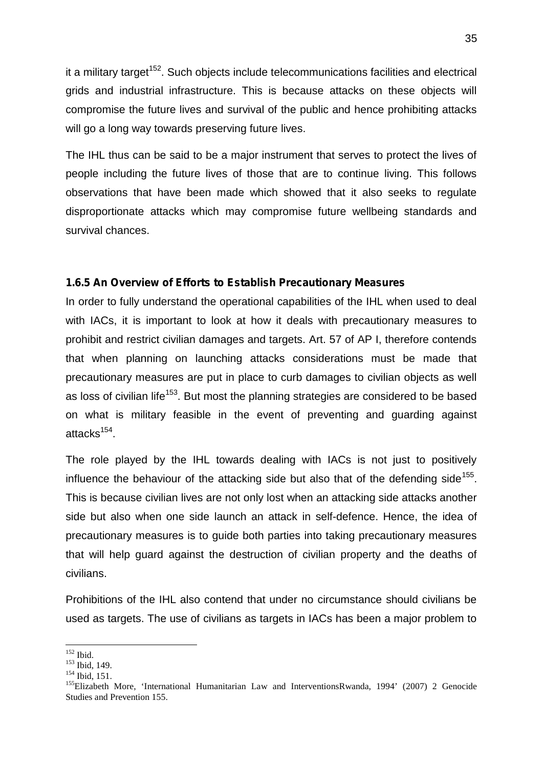it a military target<sup>152</sup>. Such objects include telecommunications facilities and electrical grids and industrial infrastructure. This is because attacks on these objects will compromise the future lives and survival of the public and hence prohibiting attacks will go a long way towards preserving future lives.

The IHL thus can be said to be a major instrument that serves to protect the lives of people including the future lives of those that are to continue living. This follows observations that have been made which showed that it also seeks to regulate disproportionate attacks which may compromise future wellbeing standards and survival chances.

#### **1.6.5 An Overview of Efforts to Establish Precautionary Measures**

In order to fully understand the operational capabilities of the IHL when used to deal with IACs, it is important to look at how it deals with precautionary measures to prohibit and restrict civilian damages and targets. Art. 57 of AP I, therefore contends that when planning on launching attacks considerations must be made that precautionary measures are put in place to curb damages to civilian objects as well as loss of civilian life<sup>153</sup>. But most the planning strategies are considered to be based on what is military feasible in the event of preventing and guarding against attacks<sup>154</sup>.

The role played by the IHL towards dealing with IACs is not just to positively influence the behaviour of the attacking side but also that of the defending side<sup>155</sup>. This is because civilian lives are not only lost when an attacking side attacks another side but also when one side launch an attack in self-defence. Hence, the idea of precautionary measures is to guide both parties into taking precautionary measures that will help guard against the destruction of civilian property and the deaths of civilians.

Prohibitions of the IHL also contend that under no circumstance should civilians be used as targets. The use of civilians as targets in IACs has been a major problem to

<sup>&</sup>lt;sup>152</sup> Ibid.<br><sup>153</sup> Ibid, 149.<br><sup>154</sup> Ibid, 151.<br><sup>155</sup>Elizabeth More, 'International Humanitarian Law and InterventionsRwanda, 1994' (2007) 2 Genocide Studies and Prevention 155.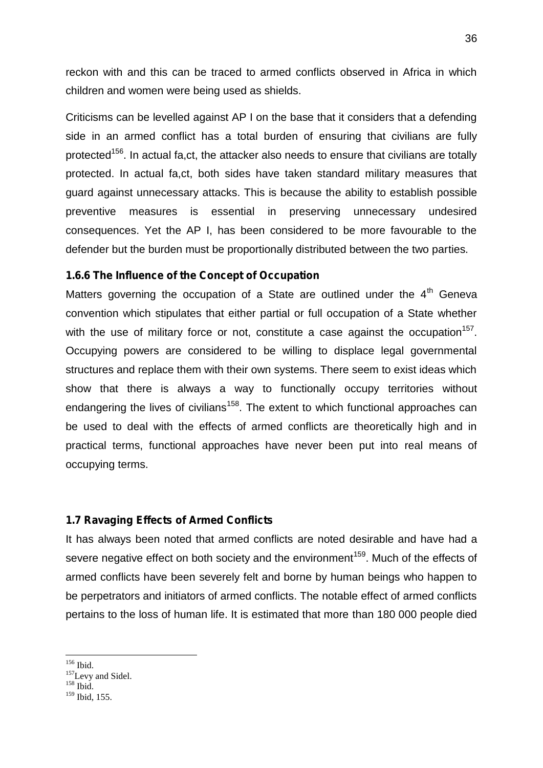reckon with and this can be traced to armed conflicts observed in Africa in which children and women were being used as shields.

Criticisms can be levelled against AP I on the base that it considers that a defending side in an armed conflict has a total burden of ensuring that civilians are fully protected<sup>156</sup>. In actual fa,ct, the attacker also needs to ensure that civilians are totally protected. In actual fa,ct, both sides have taken standard military measures that guard against unnecessary attacks. This is because the ability to establish possible preventive measures is essential in preserving unnecessary undesired consequences. Yet the AP I, has been considered to be more favourable to the defender but the burden must be proportionally distributed between the two parties.

## **1.6.6 The Influence of the Concept of Occupation**

Matters governing the occupation of a State are outlined under the  $4<sup>th</sup>$  Geneva convention which stipulates that either partial or full occupation of a State whether with the use of military force or not, constitute a case against the occupation<sup>157</sup>. Occupying powers are considered to be willing to displace legal governmental structures and replace them with their own systems. There seem to exist ideas which show that there is always a way to functionally occupy territories without endangering the lives of civilians<sup>158</sup>. The extent to which functional approaches can be used to deal with the effects of armed conflicts are theoretically high and in practical terms, functional approaches have never been put into real means of occupying terms.

#### **1.7 Ravaging Effects of Armed Conflicts**

It has always been noted that armed conflicts are noted desirable and have had a severe negative effect on both society and the environment<sup>159</sup>. Much of the effects of armed conflicts have been severely felt and borne by human beings who happen to be perpetrators and initiators of armed conflicts. The notable effect of armed conflicts pertains to the loss of human life. It is estimated that more than 180 000 people died

 $^{156}$  Ibid.<br> $^{157}$ Levy and Sidel.<br> $^{158}$  Ibid.

<sup>159</sup> Ibid, 155.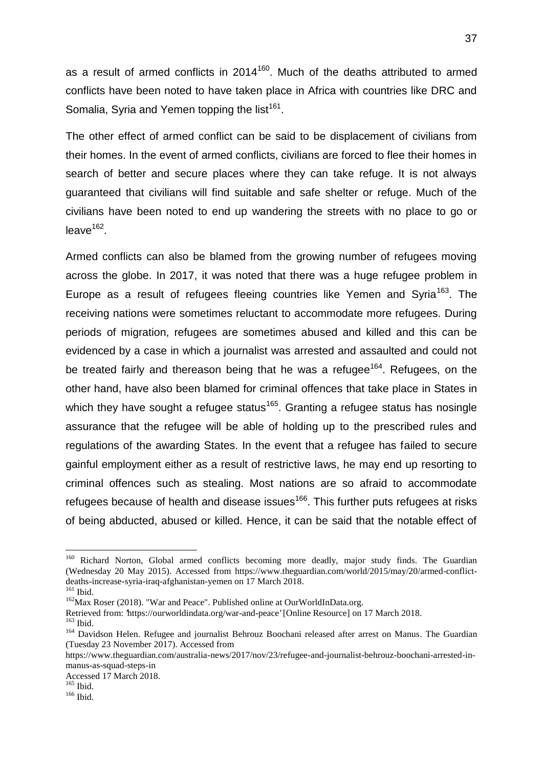as a result of armed conflicts in  $2014^{160}$ . Much of the deaths attributed to armed conflicts have been noted to have taken place in Africa with countries like DRC and Somalia, Syria and Yemen topping the list<sup>161</sup>.

The other effect of armed conflict can be said to be displacement of civilians from their homes. In the event of armed conflicts, civilians are forced to flee their homes in search of better and secure places where they can take refuge. It is not always guaranteed that civilians will find suitable and safe shelter or refuge. Much of the civilians have been noted to end up wandering the streets with no place to go or leave<sup>162</sup>.

Armed conflicts can also be blamed from the growing number of refugees moving across the globe. In 2017, it was noted that there was a huge refugee problem in Europe as a result of refugees fleeing countries like Yemen and Syria<sup>163</sup>. The receiving nations were sometimes reluctant to accommodate more refugees. During periods of migration, refugees are sometimes abused and killed and this can be evidenced by a case in which a journalist was arrested and assaulted and could not be treated fairly and thereason being that he was a refugee<sup>164</sup>. Refugees, on the other hand, have also been blamed for criminal offences that take place in States in which they have sought a refugee status<sup>165</sup>. Granting a refugee status has nosingle assurance that the refugee will be able of holding up to the prescribed rules and regulations of the awarding States. In the event that a refugee has failed to secure gainful employment either as a result of restrictive laws, he may end up resorting to criminal offences such as stealing. Most nations are so afraid to accommodate refugees because of health and disease issues<sup>166</sup>. This further puts refugees at risks of being abducted, abused or killed. Hence, it can be said that the notable effect of

<sup>&</sup>lt;sup>160</sup> Richard Norton, Global armed conflicts becoming more deadly, major study finds. The Guardian (Wednesday 20 May 2015). Accessed from https://www.theguardian.com/world/2015/may/20/armed-conflict deaths-increase-syria-iraq-afghanistan-yemen on 17 March 2018.<br>
<sup>161</sup> Ibid. <sup>162</sup>Max Roser (2018). "War and Peace". Published online at OurWorldInData.org.<br>
Retrieved from: 'https://ourworldindata.org/war-and-peace' [Onlin

<sup>&</sup>lt;sup>163</sup> Ibid.<br><sup>164</sup> Davidson Helen. Refugee and journalist Behrouz Boochani released after arrest on Manus. The Guardian (Tuesday 23 November 2017). Accessed from

https://www.theguardian.com/australia-news/2017/nov/23/refugee-and-journalist-behrouz-boochani-arrested-in manus-as-squad-steps-in

Accessed 17 March 2018.<br><sup>165</sup> Ibid.<br><sup>166</sup> Ibid.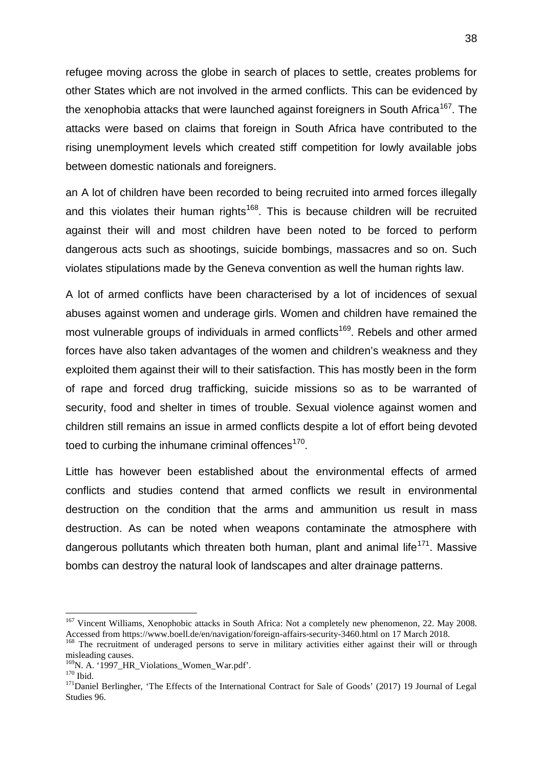refugee moving across the globe in search of places to settle, creates problems for other States which are not involved in the armed conflicts. This can be evidenced by the xenophobia attacks that were launched against foreigners in South Africa<sup>167</sup>. The attacks were based on claims that foreign in South Africa have contributed to the rising unemployment levels which created stiff competition for lowly available jobs between domestic nationals and foreigners.

an A lot of children have been recorded to being recruited into armed forces illegally and this violates their human rights<sup>168</sup>. This is because children will be recruited against their will and most children have been noted to be forced to perform dangerous acts such as shootings, suicide bombings, massacres and so on. Such violates stipulations made by the Geneva convention as well the human rights law.

A lot of armed conflicts have been characterised by a lot of incidences of sexual abuses against women and underage girls. Women and children have remained the most vulnerable groups of individuals in armed conflicts<sup>169</sup>. Rebels and other armed forces have also taken advantages of the women and children's weakness and they exploited them against their will to their satisfaction. This has mostly been in the form of rape and forced drug trafficking, suicide missions so as to be warranted of security, food and shelter in times of trouble. Sexual violence against women and children still remains an issue in armed conflicts despite a lot of effort being devoted toed to curbing the inhumane criminal offences<sup>170</sup>.

Little has however been established about the environmental effects of armed conflicts and studies contend that armed conflicts we result in environmental destruction on the condition that the arms and ammunition us result in mass destruction. As can be noted when weapons contaminate the atmosphere with dangerous pollutants which threaten both human, plant and animal life<sup>171</sup>. Massive bombs can destroy the natural look of landscapes and alter drainage patterns.

<sup>&</sup>lt;sup>167</sup> Vincent Williams, Xenophobic attacks in South Africa: Not a completely new phenomenon, 22. May 2008.<br>Accessed from https://www.boell.de/en/navigation/foreign-affairs-security-3460.html on 17 March 2018.

<sup>&</sup>lt;sup>168</sup> The recruitment of underaged persons to serve in military activities either against their will or through misleading causes.<br><sup>169</sup>N. A. '1997 HR\_Violations\_Women\_War.pdf'.

<sup>&</sup>lt;sup>170</sup> Ibid. <sup>171</sup>Daniel Berlingher, 'The Effects of the International Contract for Sale of Goods' (2017) 19 Journal of Legal <sup>171</sup>Daniel Berlingher, 'The Effects of the International Contract for Sale of Goods' (2017) 19 Studies 96.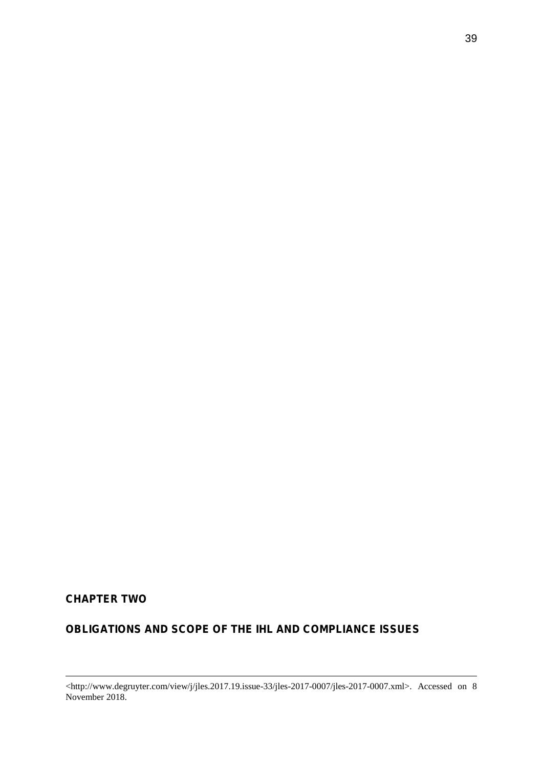# **CHAPTER TWO**

# **OBLIGATIONS AND SCOPE OF THE IHL AND COMPLIANCE ISSUES**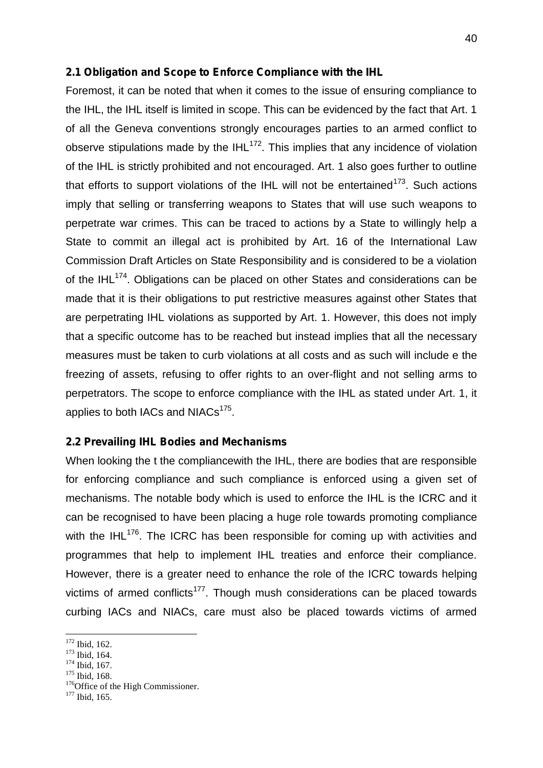## **2.1 Obligation and Scope to Enforce Compliance with the IHL**

Foremost, it can be noted that when it comes to the issue of ensuring compliance to the IHL, the IHL itself is limited in scope. This can be evidenced by the fact that Art. 1 of all the Geneva conventions strongly encourages parties to an armed conflict to observe stipulations made by the  $IHL^{172}$ . This implies that any incidence of violation of the IHL is strictly prohibited and not encouraged. Art. 1 also goes further to outline that efforts to support violations of the IHL will not be entertained $173$ . Such actions imply that selling or transferring weapons to States that will use such weapons to perpetrate war crimes. This can be traced to actions by a State to willingly help a State to commit an illegal act is prohibited by Art. 16 of the International Law Commission Draft Articles on State Responsibility and is considered to be a violation of the IHL $^{174}$ . Obligations can be placed on other States and considerations can be made that it is their obligations to put restrictive measures against other States that are perpetrating IHL violations as supported by Art. 1. However, this does not imply that a specific outcome has to be reached but instead implies that all the necessary measures must be taken to curb violations at all costs and as such will include e the freezing of assets, refusing to offer rights to an over-flight and not selling arms to perpetrators. The scope to enforce compliance with the IHL as stated under Art. 1, it applies to both IACs and NIACs $^{175}$ .

#### **2.2 Prevailing IHL Bodies and Mechanisms**

When looking the t the compliancewith the IHL, there are bodies that are responsible for enforcing compliance and such compliance is enforced using a given set of mechanisms. The notable body which is used to enforce the IHL is the ICRC and it can be recognised to have been placing a huge role towards promoting compliance with the IHL<sup>176</sup>. The ICRC has been responsible for coming up with activities and programmes that help to implement IHL treaties and enforce their compliance. However, there is a greater need to enhance the role of the ICRC towards helping victims of armed conflicts<sup>177</sup>. Though mush considerations can be placed towards curbing IACs and NIACs, care must also be placed towards victims of armed

<sup>&</sup>lt;sup>172</sup> Ibid, 162.<br><sup>173</sup> Ibid, 164.<br><sup>174</sup> Ibid, 167.<br><sup>175</sup> Ibid, 168.<br><sup>176</sup>Office of the High Commissioner.<br><sup>177</sup> Ibid. 165.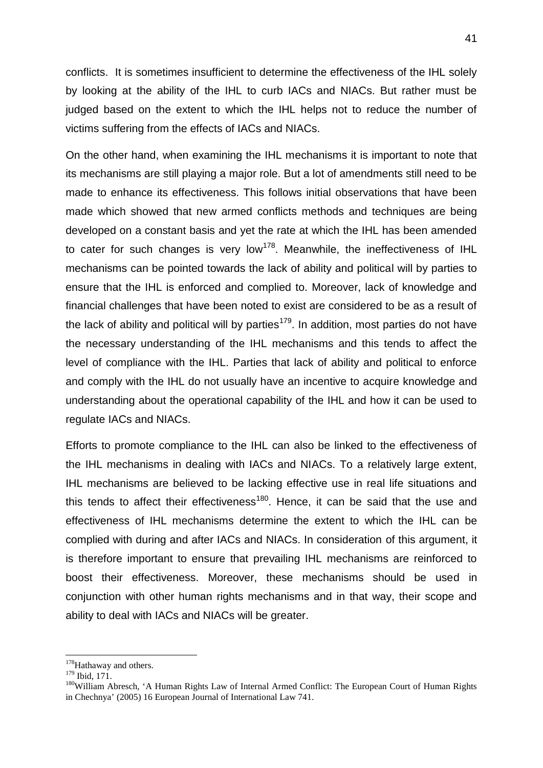conflicts. It is sometimes insufficient to determine the effectiveness of the IHL solely by looking at the ability of the IHL to curb IACs and NIACs. But rather must be judged based on the extent to which the IHL helps not to reduce the number of victims suffering from the effects of IACs and NIACs.

On the other hand, when examining the IHL mechanisms it is important to note that its mechanisms are still playing a major role. But a lot of amendments still need to be made to enhance its effectiveness. This follows initial observations that have been made which showed that new armed conflicts methods and techniques are being developed on a constant basis and yet the rate at which the IHL has been amended to cater for such changes is very low<sup>178</sup>. Meanwhile, the ineffectiveness of IHL mechanisms can be pointed towards the lack of ability and political will by parties to ensure that the IHL is enforced and complied to. Moreover, lack of knowledge and financial challenges that have been noted to exist are considered to be as a result of the lack of ability and political will by parties<sup>179</sup>. In addition, most parties do not have the necessary understanding of the IHL mechanisms and this tends to affect the level of compliance with the IHL. Parties that lack of ability and political to enforce and comply with the IHL do not usually have an incentive to acquire knowledge and understanding about the operational capability of the IHL and how it can be used to regulate IACs and NIACs.

Efforts to promote compliance to the IHL can also be linked to the effectiveness of the IHL mechanisms in dealing with IACs and NIACs. To a relatively large extent, IHL mechanisms are believed to be lacking effective use in real life situations and this tends to affect their effectiveness $180$ . Hence, it can be said that the use and effectiveness of IHL mechanisms determine the extent to which the IHL can be complied with during and after IACs and NIACs. In consideration of this argument, it is therefore important to ensure that prevailing IHL mechanisms are reinforced to boost their effectiveness. Moreover, these mechanisms should be used in conjunction with other human rights mechanisms and in that way, their scope and ability to deal with IACs and NIACs will be greater.

 $178$ Hathaway and others.<br> $179$  Ibid, 171.

<sup>&</sup>lt;sup>180</sup> William Abresch, 'A Human Rights Law of Internal Armed Conflict: The European Court of Human Rights in Chechnya' (2005) 16 European Journal of International Law 741.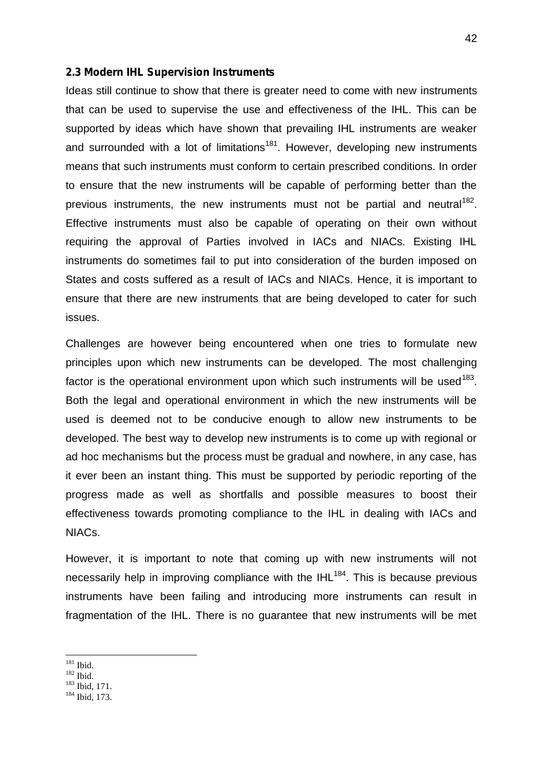#### **2.3 Modern IHL Supervision Instruments**

Ideas still continue to show that there is greater need to come with new instruments that can be used to supervise the use and effectiveness of the IHL. This can be supported by ideas which have shown that prevailing IHL instruments are weaker and surrounded with a lot of limitations<sup>181</sup>. However, developing new instruments means that such instruments must conform to certain prescribed conditions. In order to ensure that the new instruments will be capable of performing better than the previous instruments, the new instruments must not be partial and neutral<sup>182</sup>. Effective instruments must also be capable of operating on their own without requiring the approval of Parties involved in IACs and NIACs. Existing IHL instruments do sometimes fail to put into consideration of the burden imposed on States and costs suffered as a result of IACs and NIACs. Hence, it is important to ensure that there are new instruments that are being developed to cater for such issues.

Challenges are however being encountered when one tries to formulate new principles upon which new instruments can be developed. The most challenging factor is the operational environment upon which such instruments will be used<sup>183</sup>. Both the legal and operational environment in which the new instruments will be used is deemed not to be conducive enough to allow new instruments to be developed. The best way to develop new instruments is to come up with regional or ad hoc mechanisms but the process must be gradual and nowhere, in any case, has it ever been an instant thing. This must be supported by periodic reporting of the progress made as well as shortfalls and possible measures to boost their effectiveness towards promoting compliance to the IHL in dealing with IACs and NIACs.

However, it is important to note that coming up with new instruments will not necessarily help in improving compliance with the  $IHL^{184}$ . This is because previous instruments have been failing and introducing more instruments can result in fragmentation of the IHL. There is no guarantee that new instruments will be met

<sup>&</sup>lt;sup>181</sup> Ibid.<br><sup>182</sup> Ibid.<br><sup>183</sup> Ibid, 171.<br><sup>184</sup> Ibid, 173.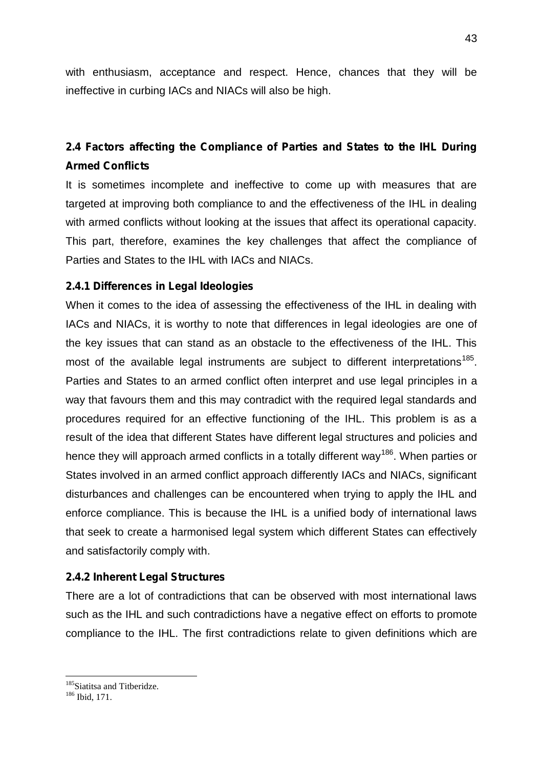with enthusiasm, acceptance and respect. Hence, chances that they will be ineffective in curbing IACs and NIACs will also be high.

# **2.4 Factors affecting the Compliance of Parties and States to the IHL During Armed Conflicts**

It is sometimes incomplete and ineffective to come up with measures that are targeted at improving both compliance to and the effectiveness of the IHL in dealing with armed conflicts without looking at the issues that affect its operational capacity. This part, therefore, examines the key challenges that affect the compliance of Parties and States to the IHL with IACs and NIACs.

# **2.4.1 Differences in Legal Ideologies**

When it comes to the idea of assessing the effectiveness of the IHL in dealing with IACs and NIACs, it is worthy to note that differences in legal ideologies are one of the key issues that can stand as an obstacle to the effectiveness of the IHL. This most of the available legal instruments are subject to different interpretations<sup>185</sup>. Parties and States to an armed conflict often interpret and use legal principles in a way that favours them and this may contradict with the required legal standards and procedures required for an effective functioning of the IHL. This problem is as a result of the idea that different States have different legal structures and policies and hence they will approach armed conflicts in a totally different way<sup>186</sup>. When parties or States involved in an armed conflict approach differently IACs and NIACs, significant disturbances and challenges can be encountered when trying to apply the IHL and enforce compliance. This is because the IHL is a unified body of international laws that seek to create a harmonised legal system which different States can effectively and satisfactorily comply with.

# **2.4.2 Inherent Legal Structures**

There are a lot of contradictions that can be observed with most international laws such as the IHL and such contradictions have a negative effect on efforts to promote compliance to the IHL. The first contradictions relate to given definitions which are

<sup>&</sup>lt;sup>185</sup>Siatitsa and Titberidze.  $186$  Ibid, 171.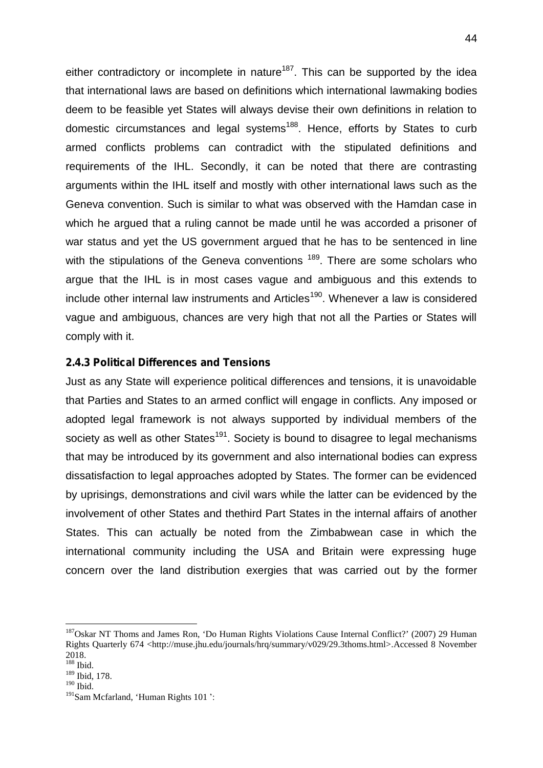either contradictory or incomplete in nature<sup>187</sup>. This can be supported by the idea that international laws are based on definitions which international lawmaking bodies deem to be feasible yet States will always devise their own definitions in relation to domestic circumstances and legal systems<sup>188</sup>. Hence, efforts by States to curb armed conflicts problems can contradict with the stipulated definitions and requirements of the IHL. Secondly, it can be noted that there are contrasting arguments within the IHL itself and mostly with other international laws such as the Geneva convention. Such is similar to what was observed with the Hamdan case in which he argued that a ruling cannot be made until he was accorded a prisoner of war status and yet the US government argued that he has to be sentenced in line with the stipulations of the Geneva conventions <sup>189</sup>. There are some scholars who argue that the IHL is in most cases vague and ambiguous and this extends to include other internal law instruments and Articles<sup>190</sup>. Whenever a law is considered vague and ambiguous, chances are very high that not all the Parties or States will comply with it.

## **2.4.3 Political Differences and Tensions**

Just as any State will experience political differences and tensions, it is unavoidable that Parties and States to an armed conflict will engage in conflicts. Any imposed or adopted legal framework is not always supported by individual members of the society as well as other States<sup>191</sup>. Society is bound to disagree to legal mechanisms that may be introduced by its government and also international bodies can express dissatisfaction to legal approaches adopted by States. The former can be evidenced by uprisings, demonstrations and civil wars while the latter can be evidenced by the involvement of other States and thethird Part States in the internal affairs of another States. This can actually be noted from the Zimbabwean case in which the international community including the USA and Britain were expressing huge concern over the land distribution exergies that was carried out by the former

<sup>187</sup>Oskar NT Thoms and James Ron, 'Do Human Rights Violations Cause Internal Conflict?' (2007) 29 Human Rights Quarterly 674 <http://muse.jhu.edu/journals/hrq/summary/v029/29.3thoms.html>.Accessed 8 November 2018. <sup>188</sup> Ibid.

<sup>189</sup> Ibid, 178.

 $190$  Ibid.

<sup>191</sup>Sam Mcfarland, 'Human Rights 101 ':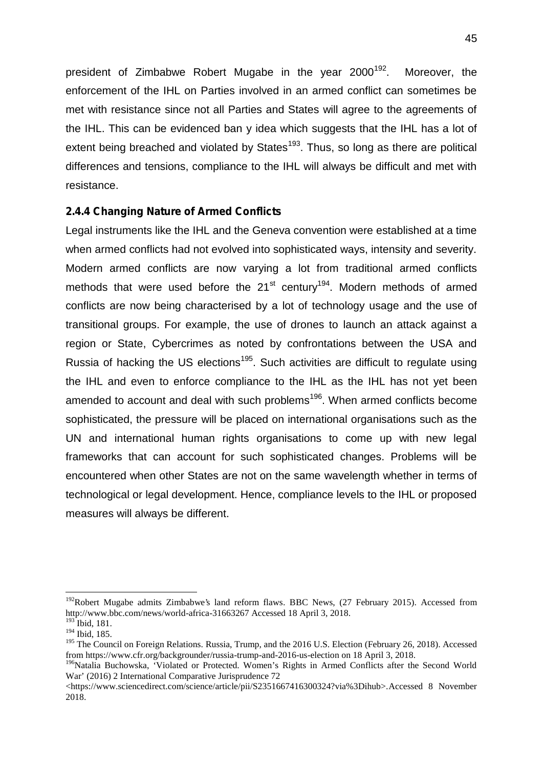president of Zimbabwe Robert Mugabe in the year  $2000^{192}$ . Moreover, the enforcement of the IHL on Parties involved in an armed conflict can sometimes be met with resistance since not all Parties and States will agree to the agreements of the IHL. This can be evidenced ban y idea which suggests that the IHL has a lot of extent being breached and violated by States<sup>193</sup>. Thus, so long as there are political differences and tensions, compliance to the IHL will always be difficult and met with resistance.

# **2.4.4 Changing Nature of Armed Conflicts**

Legal instruments like the IHL and the Geneva convention were established at a time when armed conflicts had not evolved into sophisticated ways, intensity and severity. Modern armed conflicts are now varying a lot from traditional armed conflicts methods that were used before the  $21<sup>st</sup>$  century<sup>194</sup>. Modern methods of armed conflicts are now being characterised by a lot of technology usage and the use of transitional groups. For example, the use of drones to launch an attack against a region or State, Cybercrimes as noted by confrontations between the USA and Russia of hacking the US elections<sup>195</sup>. Such activities are difficult to regulate using the IHL and even to enforce compliance to the IHL as the IHL has not yet been amended to account and deal with such problems<sup>196</sup>. When armed conflicts become sophisticated, the pressure will be placed on international organisations such as the UN and international human rights organisations to come up with new legal frameworks that can account for such sophisticated changes. Problems will be encountered when other States are not on the same wavelength whether in terms of technological or legal development. Hence, compliance levels to the IHL or proposed measures will always be different.

<sup>&</sup>lt;sup>192</sup>Robert Mugabe admits Zimbabwe's land reform flaws. BBC News, (27 February 2015). Accessed from http://www.bbc.com/news/world-africa-31663267 Accessed 18 April 3, 2018.

 $193$  Ibid, 181.  $194$  Ibid, 185.

<sup>&</sup>lt;sup>195</sup> The Council on Foreign Relations. Russia, Trump, and the 2016 U.S. Election (February 26, 2018). Accessed from https://www.cfr.org/backgrounder/russia-trump-and-2016-us-election on 18 April 3, 2018.

<sup>&</sup>lt;sup>196</sup>Natalia Buchowska, 'Violated or Protected. Women's Rights in Armed Conflicts after the Second World War' (2016) 2 International Comparative Jurisprudence 72

<sup>&</sup>lt;https://www.sciencedirect.com/science/article/pii/S2351667416300324?via%3Dihub>.Accessed 8 November 2018.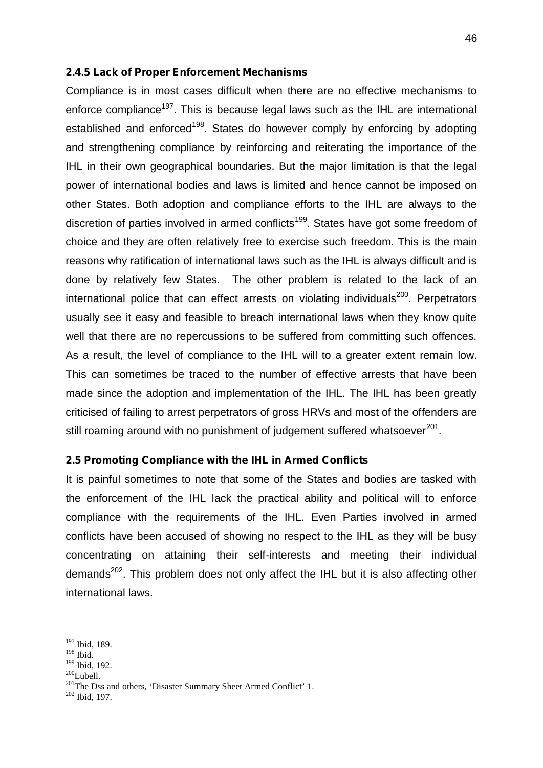#### **2.4.5 Lack of Proper Enforcement Mechanisms**

Compliance is in most cases difficult when there are no effective mechanisms to enforce compliance<sup>197</sup>. This is because legal laws such as the IHL are international established and enforced<sup>198</sup>. States do however comply by enforcing by adopting and strengthening compliance by reinforcing and reiterating the importance of the IHL in their own geographical boundaries. But the major limitation is that the legal power of international bodies and laws is limited and hence cannot be imposed on other States. Both adoption and compliance efforts to the IHL are always to the discretion of parties involved in armed conflicts<sup>199</sup>. States have got some freedom of choice and they are often relatively free to exercise such freedom. This is the main reasons why ratification of international laws such as the IHL is always difficult and is done by relatively few States. The other problem is related to the lack of an international police that can effect arrests on violating individuals $200$ . Perpetrators usually see it easy and feasible to breach international laws when they know quite well that there are no repercussions to be suffered from committing such offences. As a result, the level of compliance to the IHL will to a greater extent remain low. This can sometimes be traced to the number of effective arrests that have been made since the adoption and implementation of the IHL. The IHL has been greatly criticised of failing to arrest perpetrators of gross HRVs and most of the offenders are still roaming around with no punishment of judgement suffered whatsoever<sup>201</sup>.

#### **2.5 Promoting Compliance with the IHL in Armed Conflicts**

It is painful sometimes to note that some of the States and bodies are tasked with the enforcement of the IHL lack the practical ability and political will to enforce compliance with the requirements of the IHL. Even Parties involved in armed conflicts have been accused of showing no respect to the IHL as they will be busy concentrating on attaining their self-interests and meeting their individual demands<sup>202</sup>. This problem does not only affect the IHL but it is also affecting other international laws.

- $\frac{198}{199}$  Ibid.<br><sup>199</sup> Ibid, 192.
- 

<sup>197</sup> Ibid, 189.

<sup>&</sup>lt;sup>200</sup>Lubell. <sup>201</sup>The Dss and others, 'Disaster Summary Sheet Armed Conflict' 1.<br><sup>201</sup>The Dss and others, 'Disaster Summary Sheet Armed Conflict' 1.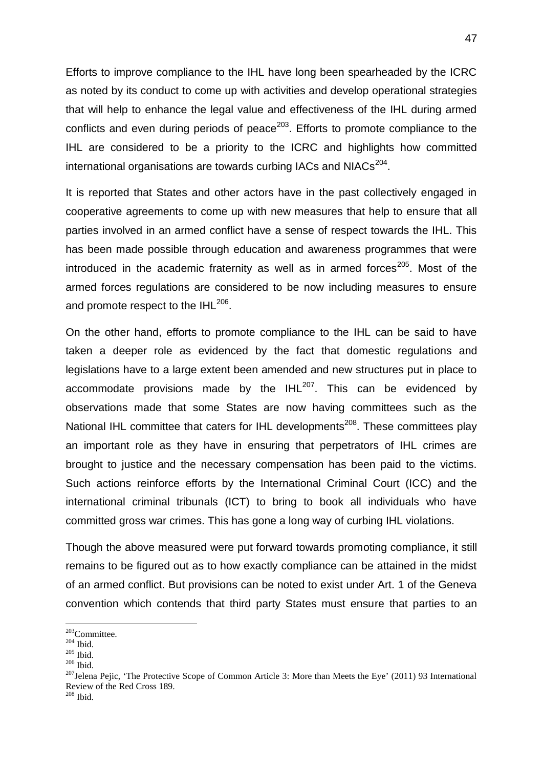Efforts to improve compliance to the IHL have long been spearheaded by the ICRC as noted by its conduct to come up with activities and develop operational strategies that will help to enhance the legal value and effectiveness of the IHL during armed conflicts and even during periods of peace<sup>203</sup>. Efforts to promote compliance to the IHL are considered to be a priority to the ICRC and highlights how committed international organisations are towards curbing IACs and NIACs $^{204}$ .

It is reported that States and other actors have in the past collectively engaged in cooperative agreements to come up with new measures that help to ensure that all parties involved in an armed conflict have a sense of respect towards the IHL. This has been made possible through education and awareness programmes that were introduced in the academic fraternity as well as in armed forces<sup>205</sup>. Most of the armed forces regulations are considered to be now including measures to ensure and promote respect to the IHL $^{206}$ .

On the other hand, efforts to promote compliance to the IHL can be said to have taken a deeper role as evidenced by the fact that domestic regulations and legislations have to a large extent been amended and new structures put in place to accommodate provisions made by the  $IHL^{207}$ . This can be evidenced by observations made that some States are now having committees such as the National IHL committee that caters for IHL developments<sup>208</sup>. These committees play an important role as they have in ensuring that perpetrators of IHL crimes are brought to justice and the necessary compensation has been paid to the victims. Such actions reinforce efforts by the International Criminal Court (ICC) and the international criminal tribunals (ICT) to bring to book all individuals who have committed gross war crimes. This has gone a long way of curbing IHL violations.

Though the above measured were put forward towards promoting compliance, it still remains to be figured out as to how exactly compliance can be attained in the midst of an armed conflict. But provisions can be noted to exist under Art. 1 of the Geneva convention which contends that third party States must ensure that parties to an

<sup>&</sup>lt;sup>203</sup>Committee.<br><sup>204</sup> Ibid.<br><sup>205</sup> Ibid. <sup>205</sup> Ibid.<br><sup>207</sup>Jelena Pejic, 'The Protective Scope of Common Article 3: More than Meets the Eye' (2011) 93 International Review of the Red Cross 189. <sup>208</sup> Ibid.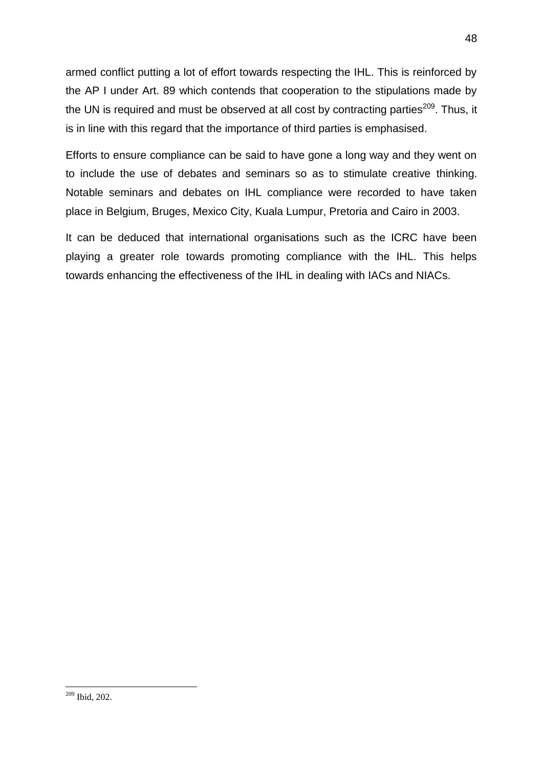armed conflict putting a lot of effort towards respecting the IHL. This is reinforced by the AP I under Art. 89 which contends that cooperation to the stipulations made by the UN is required and must be observed at all cost by contracting parties $^{209}$ . Thus, it is in line with this regard that the importance of third parties is emphasised.

Efforts to ensure compliance can be said to have gone a long way and they went on to include the use of debates and seminars so as to stimulate creative thinking. Notable seminars and debates on IHL compliance were recorded to have taken place in Belgium, Bruges, Mexico City, Kuala Lumpur, Pretoria and Cairo in 2003.

It can be deduced that international organisations such as the ICRC have been playing a greater role towards promoting compliance with the IHL. This helps towards enhancing the effectiveness of the IHL in dealing with IACs and NIACs.

<sup>209</sup> Ibid, 202.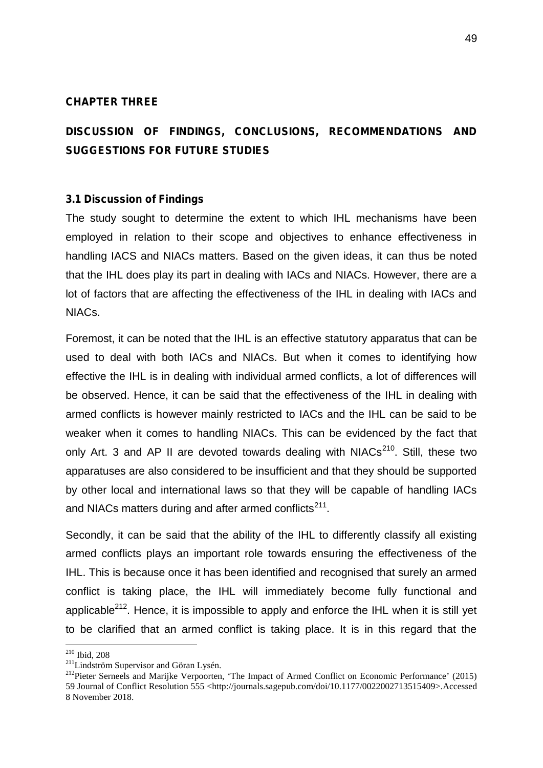## **CHAPTER THREE**

# **DISCUSSION OF FINDINGS, CONCLUSIONS, RECOMMENDATIONS AND SUGGESTIONS FOR FUTURE STUDIES**

#### **3.1 Discussion of Findings**

The study sought to determine the extent to which IHL mechanisms have been employed in relation to their scope and objectives to enhance effectiveness in handling IACS and NIACs matters. Based on the given ideas, it can thus be noted that the IHL does play its part in dealing with IACs and NIACs. However, there are a lot of factors that are affecting the effectiveness of the IHL in dealing with IACs and NIACs.

Foremost, it can be noted that the IHL is an effective statutory apparatus that can be used to deal with both IACs and NIACs. But when it comes to identifying how effective the IHL is in dealing with individual armed conflicts, a lot of differences will be observed. Hence, it can be said that the effectiveness of the IHL in dealing with armed conflicts is however mainly restricted to IACs and the IHL can be said to be weaker when it comes to handling NIACs. This can be evidenced by the fact that only Art. 3 and AP II are devoted towards dealing with  $N_1ACs^{210}$ . Still, these two apparatuses are also considered to be insufficient and that they should be supported by other local and international laws so that they will be capable of handling IACs and NIACs matters during and after armed conflicts<sup>211</sup>.

Secondly, it can be said that the ability of the IHL to differently classify all existing armed conflicts plays an important role towards ensuring the effectiveness of the IHL. This is because once it has been identified and recognised that surely an armed conflict is taking place, the IHL will immediately become fully functional and applicable $2^{12}$ . Hence, it is impossible to apply and enforce the IHL when it is still yet to be clarified that an armed conflict is taking place. It is in this regard that the

<sup>&</sup>lt;sup>210</sup> Ibid, 208<br><sup>211</sup> Lindström Supervisor and Göran Lysén.

<sup>&</sup>lt;sup>212</sup>Pieter Serneels and Marijke Verpoorten, 'The Impact of Armed Conflict on Economic Performance' (2015) 59 Journal of Conflict Resolution 555 <http://journals.sagepub.com/doi/10.1177/0022002713515409>.Accessed 8 November 2018.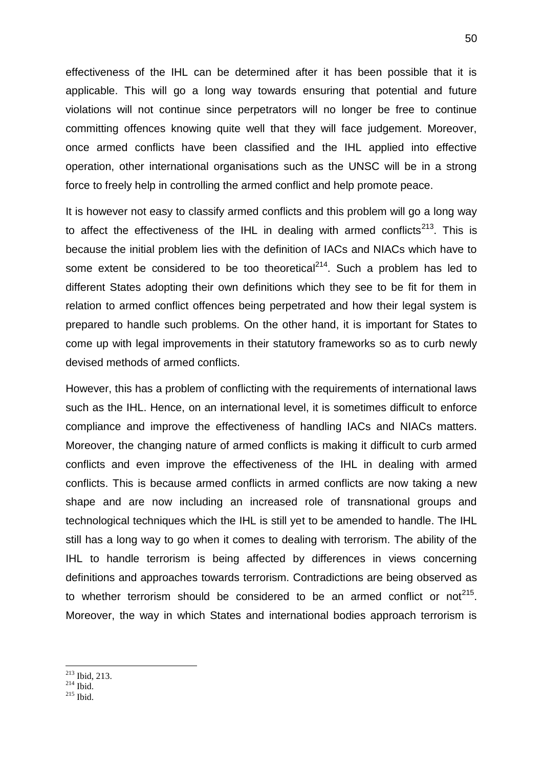effectiveness of the IHL can be determined after it has been possible that it is applicable. This will go a long way towards ensuring that potential and future violations will not continue since perpetrators will no longer be free to continue committing offences knowing quite well that they will face judgement. Moreover, once armed conflicts have been classified and the IHL applied into effective operation, other international organisations such as the UNSC will be in a strong force to freely help in controlling the armed conflict and help promote peace.

It is however not easy to classify armed conflicts and this problem will go a long way to affect the effectiveness of the IHL in dealing with armed conflicts<sup>213</sup>. This is because the initial problem lies with the definition of IACs and NIACs which have to some extent be considered to be too theoretical<sup>214</sup>. Such a problem has led to different States adopting their own definitions which they see to be fit for them in relation to armed conflict offences being perpetrated and how their legal system is prepared to handle such problems. On the other hand, it is important for States to come up with legal improvements in their statutory frameworks so as to curb newly devised methods of armed conflicts.

However, this has a problem of conflicting with the requirements of international laws such as the IHL. Hence, on an international level, it is sometimes difficult to enforce compliance and improve the effectiveness of handling IACs and NIACs matters. Moreover, the changing nature of armed conflicts is making it difficult to curb armed conflicts and even improve the effectiveness of the IHL in dealing with armed conflicts. This is because armed conflicts in armed conflicts are now taking a new shape and are now including an increased role of transnational groups and technological techniques which the IHL is still yet to be amended to handle. The IHL still has a long way to go when it comes to dealing with terrorism. The ability of the IHL to handle terrorism is being affected by differences in views concerning definitions and approaches towards terrorism. Contradictions are being observed as to whether terrorism should be considered to be an armed conflict or not<sup>215</sup>. Moreover, the way in which States and international bodies approach terrorism is

- $^{213}_{214}$  Ibid, 213.<br> $^{214}_{215}$  Ibid.
-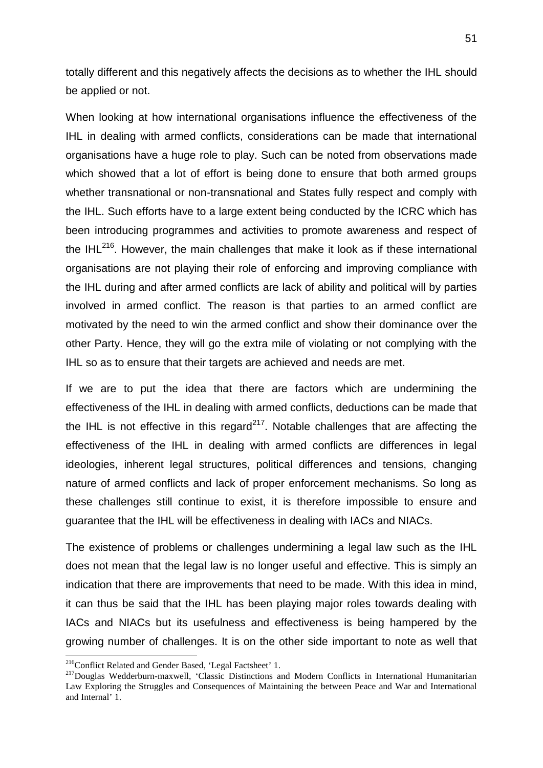totally different and this negatively affects the decisions as to whether the IHL should be applied or not.

When looking at how international organisations influence the effectiveness of the IHL in dealing with armed conflicts, considerations can be made that international organisations have a huge role to play. Such can be noted from observations made which showed that a lot of effort is being done to ensure that both armed groups whether transnational or non-transnational and States fully respect and comply with the IHL. Such efforts have to a large extent being conducted by the ICRC which has been introducing programmes and activities to promote awareness and respect of the IHL $^{216}$ . However, the main challenges that make it look as if these international organisations are not playing their role of enforcing and improving compliance with the IHL during and after armed conflicts are lack of ability and political will by parties involved in armed conflict. The reason is that parties to an armed conflict are motivated by the need to win the armed conflict and show their dominance over the other Party. Hence, they will go the extra mile of violating or not complying with the IHL so as to ensure that their targets are achieved and needs are met.

If we are to put the idea that there are factors which are undermining the effectiveness of the IHL in dealing with armed conflicts, deductions can be made that the IHL is not effective in this regard<sup>217</sup>. Notable challenges that are affecting the effectiveness of the IHL in dealing with armed conflicts are differences in legal ideologies, inherent legal structures, political differences and tensions, changing nature of armed conflicts and lack of proper enforcement mechanisms. So long as these challenges still continue to exist, it is therefore impossible to ensure and guarantee that the IHL will be effectiveness in dealing with IACs and NIACs.

The existence of problems or challenges undermining a legal law such as the IHL does not mean that the legal law is no longer useful and effective. This is simply an indication that there are improvements that need to be made. With this idea in mind, it can thus be said that the IHL has been playing major roles towards dealing with IACs and NIACs but its usefulness and effectiveness is being hampered by the growing number of challenges. It is on the other side important to note as well that

<sup>&</sup>lt;sup>216</sup>Conflict Related and Gender Based, 'Legal Factsheet' 1.<br><sup>217</sup>Douglas Wedderburn-maxwell, 'Classic Distinctions and Modern Conflicts in International Humanitarian Law Exploring the Struggles and Consequences of Maintaining the between Peace and War and International and Internal' 1.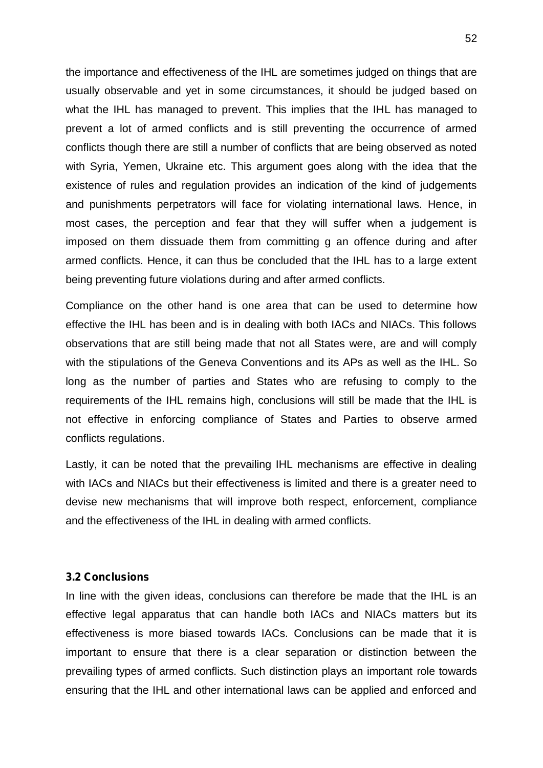the importance and effectiveness of the IHL are sometimes judged on things that are usually observable and yet in some circumstances, it should be judged based on what the IHL has managed to prevent. This implies that the IHL has managed to prevent a lot of armed conflicts and is still preventing the occurrence of armed conflicts though there are still a number of conflicts that are being observed as noted with Syria, Yemen, Ukraine etc. This argument goes along with the idea that the existence of rules and regulation provides an indication of the kind of judgements and punishments perpetrators will face for violating international laws. Hence, in most cases, the perception and fear that they will suffer when a judgement is imposed on them dissuade them from committing g an offence during and after armed conflicts. Hence, it can thus be concluded that the IHL has to a large extent being preventing future violations during and after armed conflicts.

Compliance on the other hand is one area that can be used to determine how effective the IHL has been and is in dealing with both IACs and NIACs. This follows observations that are still being made that not all States were, are and will comply with the stipulations of the Geneva Conventions and its APs as well as the IHL. So long as the number of parties and States who are refusing to comply to the requirements of the IHL remains high, conclusions will still be made that the IHL is not effective in enforcing compliance of States and Parties to observe armed conflicts regulations.

Lastly, it can be noted that the prevailing IHL mechanisms are effective in dealing with IACs and NIACs but their effectiveness is limited and there is a greater need to devise new mechanisms that will improve both respect, enforcement, compliance and the effectiveness of the IHL in dealing with armed conflicts.

## **3.2 Conclusions**

In line with the given ideas, conclusions can therefore be made that the IHL is an effective legal apparatus that can handle both IACs and NIACs matters but its effectiveness is more biased towards IACs. Conclusions can be made that it is important to ensure that there is a clear separation or distinction between the prevailing types of armed conflicts. Such distinction plays an important role towards ensuring that the IHL and other international laws can be applied and enforced and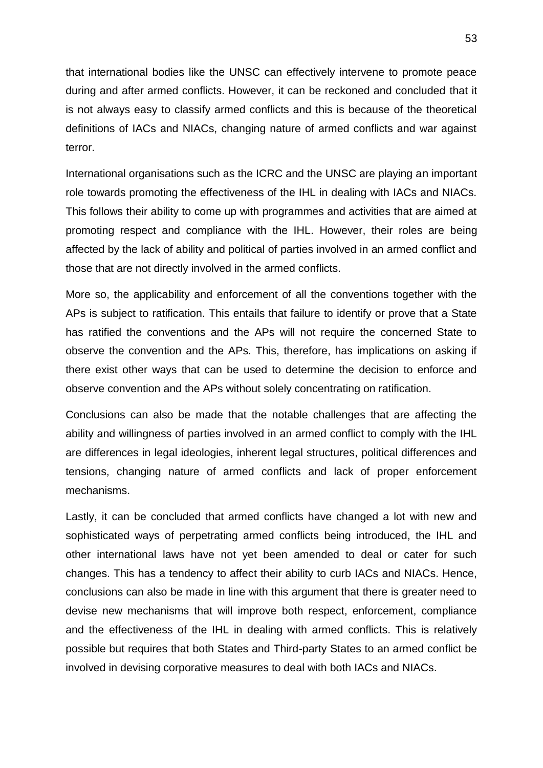that international bodies like the UNSC can effectively intervene to promote peace during and after armed conflicts. However, it can be reckoned and concluded that it is not always easy to classify armed conflicts and this is because of the theoretical definitions of IACs and NIACs, changing nature of armed conflicts and war against terror.

International organisations such as the ICRC and the UNSC are playing an important role towards promoting the effectiveness of the IHL in dealing with IACs and NIACs. This follows their ability to come up with programmes and activities that are aimed at promoting respect and compliance with the IHL. However, their roles are being affected by the lack of ability and political of parties involved in an armed conflict and those that are not directly involved in the armed conflicts.

More so, the applicability and enforcement of all the conventions together with the APs is subject to ratification. This entails that failure to identify or prove that a State has ratified the conventions and the APs will not require the concerned State to observe the convention and the APs. This, therefore, has implications on asking if there exist other ways that can be used to determine the decision to enforce and observe convention and the APs without solely concentrating on ratification.

Conclusions can also be made that the notable challenges that are affecting the ability and willingness of parties involved in an armed conflict to comply with the IHL are differences in legal ideologies, inherent legal structures, political differences and tensions, changing nature of armed conflicts and lack of proper enforcement mechanisms.

Lastly, it can be concluded that armed conflicts have changed a lot with new and sophisticated ways of perpetrating armed conflicts being introduced, the IHL and other international laws have not yet been amended to deal or cater for such changes. This has a tendency to affect their ability to curb IACs and NIACs. Hence, conclusions can also be made in line with this argument that there is greater need to devise new mechanisms that will improve both respect, enforcement, compliance and the effectiveness of the IHL in dealing with armed conflicts. This is relatively possible but requires that both States and Third-party States to an armed conflict be involved in devising corporative measures to deal with both IACs and NIACs.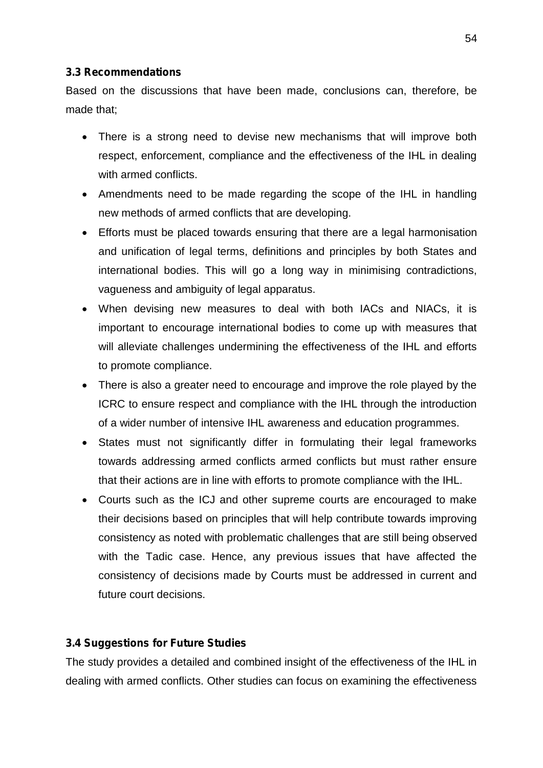# **3.3 Recommendations**

Based on the discussions that have been made, conclusions can, therefore, be made that;

- There is a strong need to devise new mechanisms that will improve both respect, enforcement, compliance and the effectiveness of the IHL in dealing with armed conflicts.
- Amendments need to be made regarding the scope of the IHL in handling new methods of armed conflicts that are developing.
- Efforts must be placed towards ensuring that there are a legal harmonisation and unification of legal terms, definitions and principles by both States and international bodies. This will go a long way in minimising contradictions, vagueness and ambiguity of legal apparatus.
- When devising new measures to deal with both IACs and NIACs, it is important to encourage international bodies to come up with measures that will alleviate challenges undermining the effectiveness of the IHL and efforts to promote compliance.
- There is also a greater need to encourage and improve the role played by the ICRC to ensure respect and compliance with the IHL through the introduction of a wider number of intensive IHL awareness and education programmes.
- States must not significantly differ in formulating their legal frameworks towards addressing armed conflicts armed conflicts but must rather ensure that their actions are in line with efforts to promote compliance with the IHL.
- Courts such as the ICJ and other supreme courts are encouraged to make their decisions based on principles that will help contribute towards improving consistency as noted with problematic challenges that are still being observed with the Tadic case. Hence, any previous issues that have affected the consistency of decisions made by Courts must be addressed in current and future court decisions.

# **3.4 Suggestions for Future Studies**

The study provides a detailed and combined insight of the effectiveness of the IHL in dealing with armed conflicts. Other studies can focus on examining the effectiveness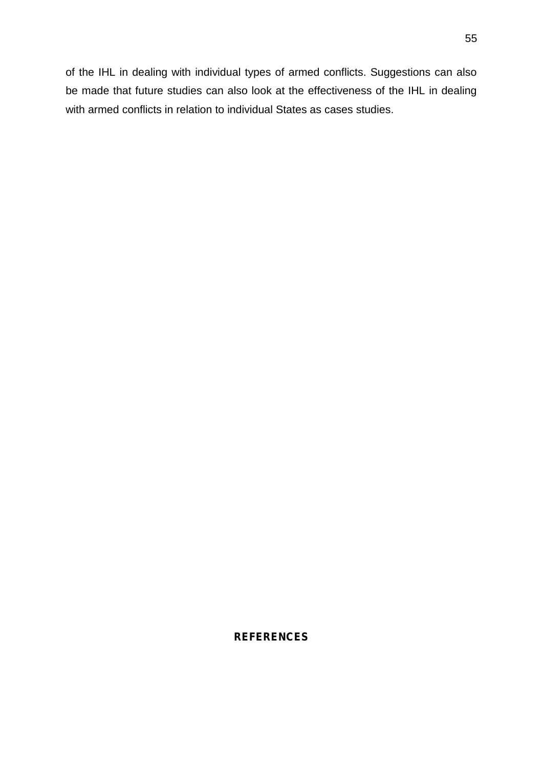of the IHL in dealing with individual types of armed conflicts. Suggestions can also be made that future studies can also look at the effectiveness of the IHL in dealing with armed conflicts in relation to individual States as cases studies.

# **REFERENCES**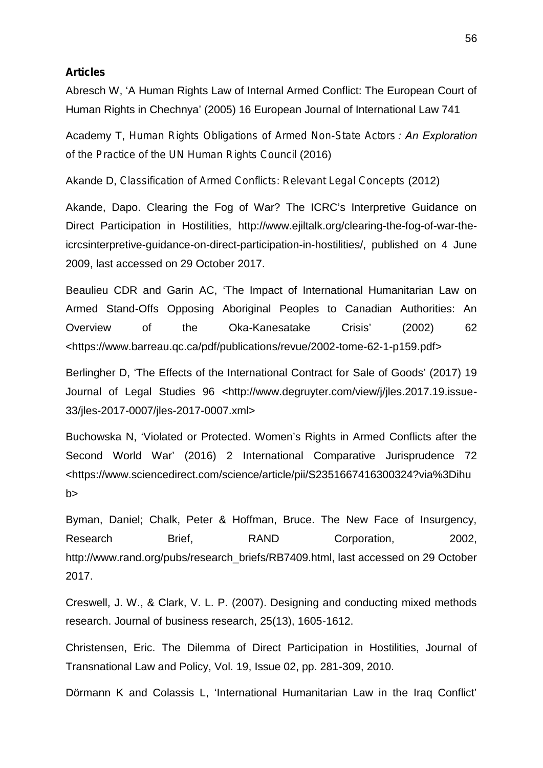#### **Articles**

Abresch W, 'A Human Rights Law of Internal Armed Conflict: The European Court of Human Rights in Chechnya' (2005) 16 European Journal of International Law 741

Academy T, *Human Rights Obligations of Armed Non-State Actors : An Exploration of the Practice of the UN Human Rights Council* (2016)

Akande D, *Classification of Armed Conflicts: Relevant Legal Concepts* (2012)

Akande, Dapo. Clearing the Fog of War? The ICRC's Interpretive Guidance on Direct Participation in Hostilities, http://www.ejiltalk.org/clearing-the-fog-of-war-theicrcsinterpretive-guidance-on-direct-participation-in-hostilities/, published on 4 June 2009, last accessed on 29 October 2017.

Beaulieu CDR and Garin AC, 'The Impact of International Humanitarian Law on Armed Stand-Offs Opposing Aboriginal Peoples to Canadian Authorities: An Overview of the Oka-Kanesatake Crisis' (2002) 62 <https://www.barreau.qc.ca/pdf/publications/revue/2002-tome-62-1-p159.pdf>

Berlingher D, 'The Effects of the International Contract for Sale of Goods' (2017) 19 Journal of Legal Studies 96 <http://www.degruyter.com/view/j/jles.2017.19.issue- 33/jles-2017-0007/jles-2017-0007.xml>

Buchowska N, 'Violated or Protected. Women's Rights in Armed Conflicts after the Second World War' (2016) 2 International Comparative Jurisprudence 72 <https://www.sciencedirect.com/science/article/pii/S2351667416300324?via%3Dihu b>

Byman, Daniel; Chalk, Peter & Hoffman, Bruce. The New Face of Insurgency, Research Brief, RAND Corporation, 2002, http://www.rand.org/pubs/research\_briefs/RB7409.html, last accessed on 29 October 2017.

Creswell, J. W., & Clark, V. L. P. (2007). Designing and conducting mixed methods research. Journal of business research, 25(13), 1605-1612.

Christensen, Eric. The Dilemma of Direct Participation in Hostilities, Journal of Transnational Law and Policy, Vol. 19, Issue 02, pp. 281-309, 2010.

Dörmann K and Colassis L, 'International Humanitarian Law in the Iraq Conflict'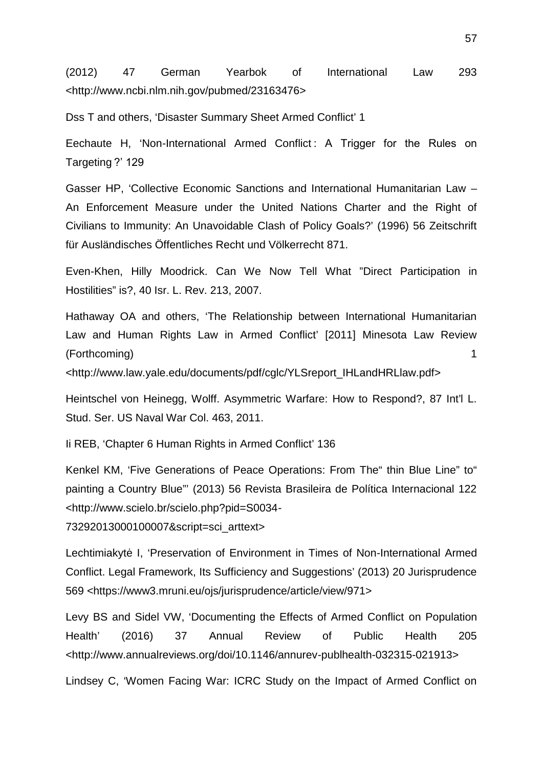(2012) 47 German Yearbok of International Law 293 <http://www.ncbi.nlm.nih.gov/pubmed/23163476>

Dss T and others, 'Disaster Summary Sheet Armed Conflict' 1

Eechaute H, 'Non-International Armed Conflict : A Trigger for the Rules on Targeting ?' 129

Gasser HP, 'Collective Economic Sanctions and International Humanitarian Law – An Enforcement Measure under the United Nations Charter and the Right of Civilians to Immunity: An Unavoidable Clash of Policy Goals?' (1996) 56 Zeitschrift für Ausländisches Öffentliches Recht und Völkerrecht 871.

Even-Khen, Hilly Moodrick. Can We Now Tell What "Direct Participation in Hostilities" is?, 40 Isr. L. Rev. 213, 2007.

Hathaway OA and others, 'The Relationship between International Humanitarian Law and Human Rights Law in Armed Conflict' [2011] Minesota Law Review (Forthcoming) 1

<http://www.law.yale.edu/documents/pdf/cglc/YLSreport\_IHLandHRLlaw.pdf>

Heintschel von Heinegg, Wolff. Asymmetric Warfare: How to Respond?, 87 Int'l L. Stud. Ser. US Naval War Col. 463, 2011.

Ii REB, 'Chapter 6 Human Rights in Armed Conflict' 136

Kenkel KM, 'Five Generations of Peace Operations: From The" thin Blue Line" to" painting a Country Blue"' (2013) 56 Revista Brasileira de Política Internacional 122 <http://www.scielo.br/scielo.php?pid=S0034-

73292013000100007&script=sci\_arttext>

Lechtimiakyt I, 'Preservation of Environment in Times of Non-International Armed Conflict. Legal Framework, Its Sufficiency and Suggestions' (2013) 20 Jurisprudence 569 <https://www3.mruni.eu/ojs/jurisprudence/article/view/971>

Levy BS and Sidel VW, 'Documenting the Effects of Armed Conflict on Population Health' (2016) 37 Annual Review of Public Health 205 <http://www.annualreviews.org/doi/10.1146/annurev-publhealth-032315-021913>

Lindsey C, 'Women Facing War: ICRC Study on the Impact of Armed Conflict on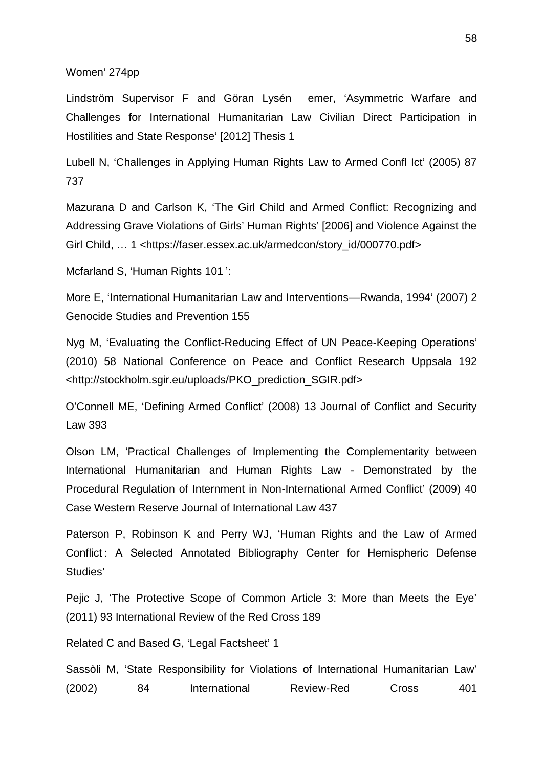#### Women' 274pp

Lindström Supervisor F and Göran Lysén emer, 'Asymmetric Warfare and Challenges for International Humanitarian Law Civilian Direct Participation in Hostilities and State Response' [2012] Thesis 1

Lubell N, 'Challenges in Applying Human Rights Law to Armed Confl Ict' (2005) 87 737

Mazurana D and Carlson K, 'The Girl Child and Armed Conflict: Recognizing and Addressing Grave Violations of Girls' Human Rights' [2006] and Violence Against the Girl Child, ... 1 <https://faser.essex.ac.uk/armedcon/story\_id/000770.pdf>

Mcfarland S, 'Human Rights 101 ':

More E, 'International Humanitarian Law and Interventions—Rwanda, 1994' (2007) 2 Genocide Studies and Prevention 155

Nyg M, 'Evaluating the Conflict-Reducing Effect of UN Peace-Keeping Operations' (2010) 58 National Conference on Peace and Conflict Research Uppsala 192 <http://stockholm.sgir.eu/uploads/PKO\_prediction\_SGIR.pdf>

O'Connell ME, 'Defining Armed Conflict' (2008) 13 Journal of Conflict and Security Law 393

Olson LM, 'Practical Challenges of Implementing the Complementarity between International Humanitarian and Human Rights Law - Demonstrated by the Procedural Regulation of Internment in Non-International Armed Conflict' (2009) 40 Case Western Reserve Journal of International Law 437

Paterson P, Robinson K and Perry WJ, 'Human Rights and the Law of Armed Conflict : A Selected Annotated Bibliography Center for Hemispheric Defense Studies'

Pejic J, 'The Protective Scope of Common Article 3: More than Meets the Eye' (2011) 93 International Review of the Red Cross 189

Related C and Based G, 'Legal Factsheet' 1

Sassòli M, 'State Responsibility for Violations of International Humanitarian Law' (2002) 84 International Review-Red Cross 401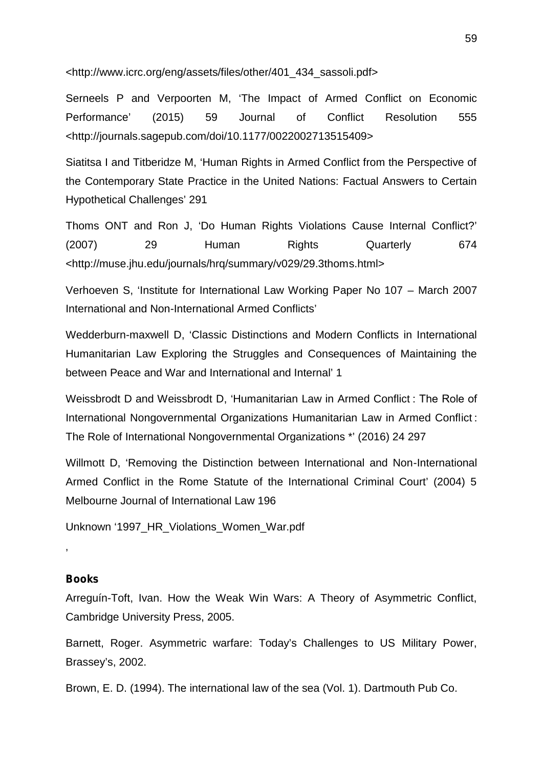<http://www.icrc.org/eng/assets/files/other/401\_434\_sassoli.pdf>

Serneels P and Verpoorten M, 'The Impact of Armed Conflict on Economic Performance' (2015) 59 Journal of Conflict Resolution 555 <http://journals.sagepub.com/doi/10.1177/0022002713515409>

Siatitsa I and Titberidze M, 'Human Rights in Armed Conflict from the Perspective of the Contemporary State Practice in the United Nations: Factual Answers to Certain Hypothetical Challenges' 291

Thoms ONT and Ron J, 'Do Human Rights Violations Cause Internal Conflict?' (2007) 29 Human Rights Quarterly 674 <http://muse.jhu.edu/journals/hrq/summary/v029/29.3thoms.html>

Verhoeven S, 'Institute for International Law Working Paper No 107 – March 2007 International and Non-International Armed Conflicts'

Wedderburn-maxwell D, 'Classic Distinctions and Modern Conflicts in International Humanitarian Law Exploring the Struggles and Consequences of Maintaining the between Peace and War and International and Internal' 1

Weissbrodt D and Weissbrodt D, 'Humanitarian Law in Armed Conflict : The Role of International Nongovernmental Organizations Humanitarian Law in Armed Conflict : The Role of International Nongovernmental Organizations \*' (2016) 24 297

Willmott D, 'Removing the Distinction between International and Non-International Armed Conflict in the Rome Statute of the International Criminal Court' (2004) 5 Melbourne Journal of International Law 196

Unknown '1997\_HR\_Violations\_Women\_War.pdf

## **Books**

'

Arreguín-Toft, Ivan. How the Weak Win Wars: A Theory of Asymmetric Conflict, Cambridge University Press, 2005.

Barnett, Roger. Asymmetric warfare: Today's Challenges to US Military Power, Brassey's, 2002.

Brown, E. D. (1994). The international law of the sea (Vol. 1). Dartmouth Pub Co.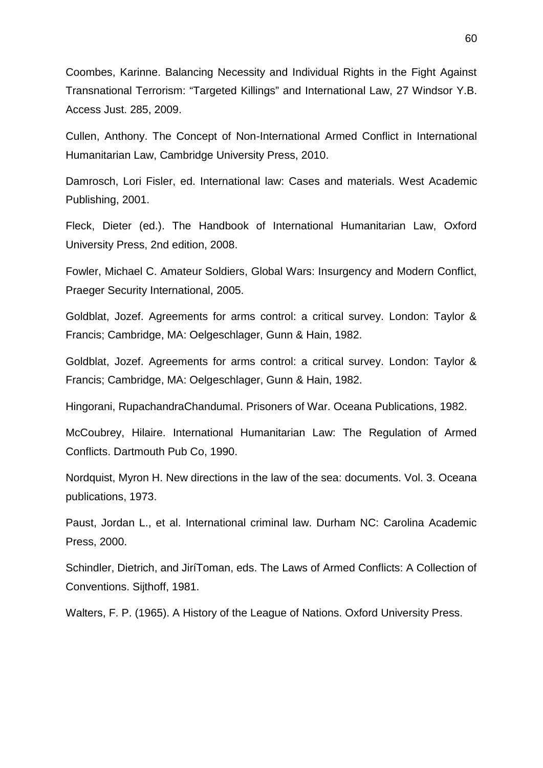Coombes, Karinne. Balancing Necessity and Individual Rights in the Fight Against Transnational Terrorism: "Targeted Killings" and International Law, 27 Windsor Y.B. Access Just. 285, 2009.

Cullen, Anthony. The Concept of Non-International Armed Conflict in International Humanitarian Law, Cambridge University Press, 2010.

Damrosch, Lori Fisler, ed. International law: Cases and materials. West Academic Publishing, 2001.

Fleck, Dieter (ed.). The Handbook of International Humanitarian Law, Oxford University Press, 2nd edition, 2008.

Fowler, Michael C. Amateur Soldiers, Global Wars: Insurgency and Modern Conflict, Praeger Security International, 2005.

Goldblat, Jozef. Agreements for arms control: a critical survey. London: Taylor & Francis; Cambridge, MA: Oelgeschlager, Gunn & Hain, 1982.

Goldblat, Jozef. Agreements for arms control: a critical survey. London: Taylor & Francis; Cambridge, MA: Oelgeschlager, Gunn & Hain, 1982.

Hingorani, RupachandraChandumal. Prisoners of War. Oceana Publications, 1982.

McCoubrey, Hilaire. International Humanitarian Law: The Regulation of Armed Conflicts. Dartmouth Pub Co, 1990.

Nordquist, Myron H. New directions in the law of the sea: documents. Vol. 3. Oceana publications, 1973.

Paust, Jordan L., et al. International criminal law. Durham NC: Carolina Academic Press, 2000.

Schindler, Dietrich, and JiríToman, eds. The Laws of Armed Conflicts: A Collection of Conventions. Sijthoff, 1981.

Walters, F. P. (1965). A History of the League of Nations. Oxford University Press.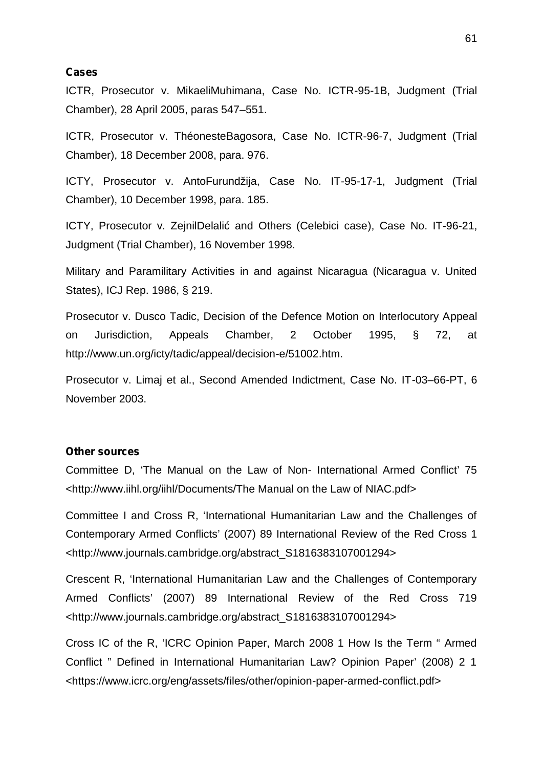#### **Cases**

ICTR, Prosecutor v. MikaeliMuhimana, Case No. ICTR-95-1B, Judgment (Trial Chamber), 28 April 2005, paras 547–551.

ICTR, Prosecutor v. ThéonesteBagosora, Case No. ICTR-96-7, Judgment (Trial Chamber), 18 December 2008, para. 976.

ICTY, Prosecutor v. AntoFurundžija, Case No. IT-95-17-1, Judgment (Trial Chamber), 10 December 1998, para. 185.

ICTY, Prosecutor v. ZejnilDelali and Others (Celebici case), Case No. IT-96-21, Judgment (Trial Chamber), 16 November 1998.

Military and Paramilitary Activities in and against Nicaragua (Nicaragua v. United States), ICJ Rep. 1986, § 219.

Prosecutor v. Dusco Tadic, Decision of the Defence Motion on Interlocutory Appeal on Jurisdiction, Appeals Chamber, 2 October 1995, § 72, at http://www.un.org/icty/tadic/appeal/decision-e/51002.htm.

Prosecutor v. Limaj et al., Second Amended Indictment, Case No. IT-03–66-PT, 6 November 2003.

#### **Other sources**

Committee D, 'The Manual on the Law of Non- International Armed Conflict' 75 <http://www.iihl.org/iihl/Documents/The Manual on the Law of NIAC.pdf>

Committee I and Cross R, 'International Humanitarian Law and the Challenges of Contemporary Armed Conflicts' (2007) 89 International Review of the Red Cross 1 <http://www.journals.cambridge.org/abstract\_S1816383107001294>

Crescent R, 'International Humanitarian Law and the Challenges of Contemporary Armed Conflicts' (2007) 89 International Review of the Red Cross 719 <http://www.journals.cambridge.org/abstract\_S1816383107001294>

Cross IC of the R, 'ICRC Opinion Paper, March 2008 1 How Is the Term " Armed Conflict " Defined in International Humanitarian Law? Opinion Paper' (2008) 2 1 <https://www.icrc.org/eng/assets/files/other/opinion-paper-armed-conflict.pdf>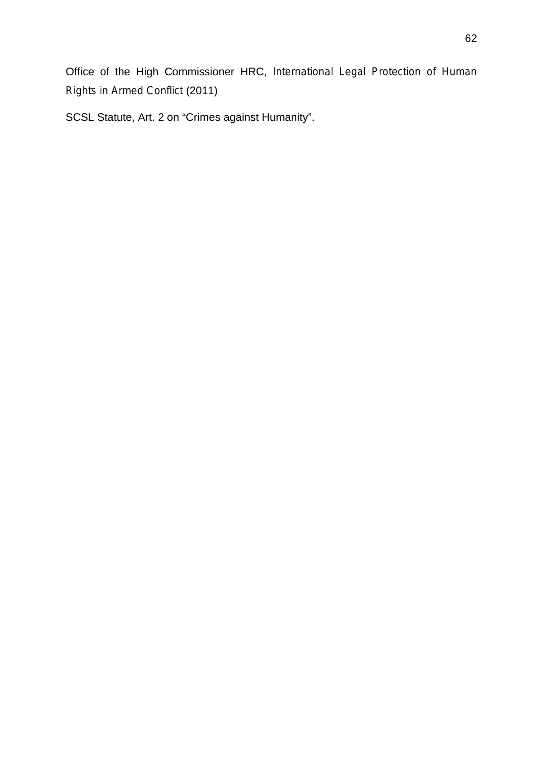Office of the High Commissioner HRC, *International Legal Protection of Human Rights in Armed Conflict* (2011)

SCSL Statute, Art. 2 on "Crimes against Humanity".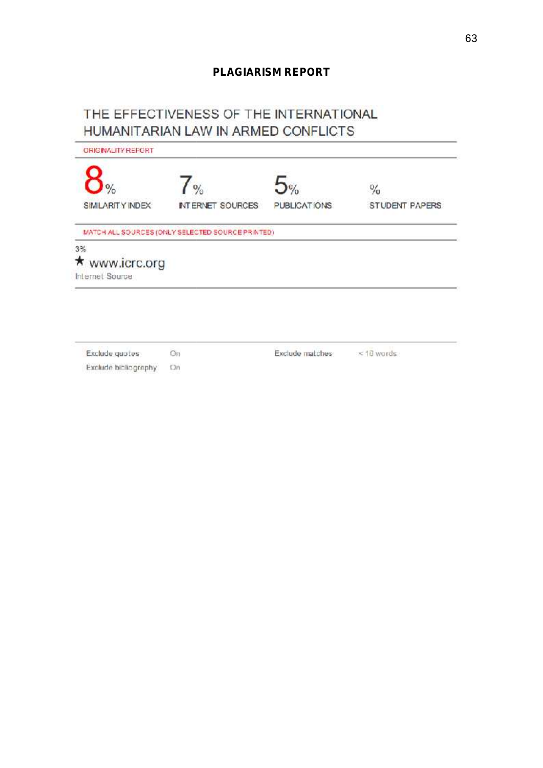## **PLAGIARISM REPORT**

## THE EFFECTIVENESS OF THE INTERNATIONAL HUMANITARIAN LAW IN ARMED CONFLICTS

| <b>CRICINALITY REPORT</b> |                                                  |              |                |
|---------------------------|--------------------------------------------------|--------------|----------------|
| $\frac{1}{2}$             | $\frac{9}{2}$                                    | 5%           | $\frac{1}{2}$  |
| <b>SIMILARITY INDEX</b>   | INTERNET SOURCES                                 | PUBLICATIONS | STUDENT PAPERS |
|                           | MATCH ALL SOURCES (ONLY SELECTED SOURCE PRINTED) |              |                |
| 3%                        |                                                  |              |                |
| ★ www.icrc.org            |                                                  |              |                |
| <b>Internet Source</b>    |                                                  |              |                |

Exclude guotes Ön Exclude bibliography On Exclude matches

 $<$  10 words

63